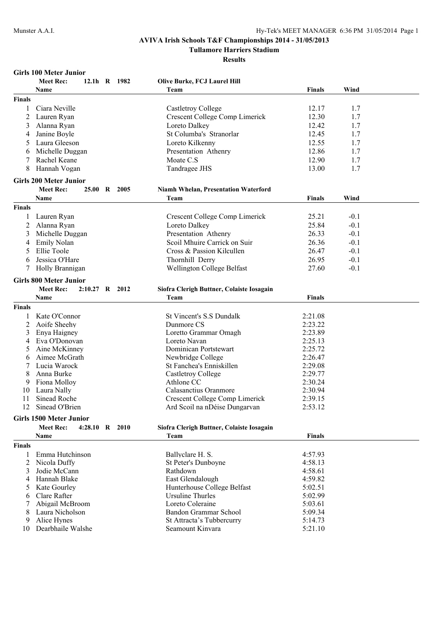10 Dearbhaile Walshe

# **AVIVA Irish Schools T&F Championships 2014 - 31/05/2013**

**Tullamore Harriers Stadium**

**Results**

|               | <b>Girls 100 Meter Junior</b>      |              |                                             |                    |        |  |
|---------------|------------------------------------|--------------|---------------------------------------------|--------------------|--------|--|
|               | <b>Meet Rec:</b>                   | 12.1h R 1982 | Olive Burke, FCJ Laurel Hill                |                    |        |  |
|               | Name                               |              | Team                                        | <b>Finals</b>      | Wind   |  |
| <b>Finals</b> |                                    |              |                                             |                    |        |  |
| 1             | Ciara Neville                      |              | Castletroy College                          | 12.17              | 1.7    |  |
| 2             | Lauren Ryan                        |              | Crescent College Comp Limerick              | 12.30              | 1.7    |  |
| 3             | Alanna Ryan                        |              | Loreto Dalkey                               | 12.42              | 1.7    |  |
| 4             | Janine Boyle                       |              | St Columba's Stranorlar                     | 12.45              | 1.7    |  |
| 5             | Laura Gleeson                      |              | Loreto Kilkenny                             | 12.55              | 1.7    |  |
| 6             | Michelle Duggan                    |              | Presentation Athenry                        | 12.86              | 1.7    |  |
|               | Rachel Keane                       |              | Moate C.S                                   | 12.90              | 1.7    |  |
| 8             | Hannah Vogan                       |              | Tandragee JHS                               | 13.00              | 1.7    |  |
|               |                                    |              |                                             |                    |        |  |
|               | <b>Girls 200 Meter Junior</b>      |              |                                             |                    |        |  |
|               | <b>Meet Rec:</b>                   | 25.00 R 2005 | <b>Niamh Whelan, Presentation Waterford</b> |                    |        |  |
|               | Name                               |              | Team                                        | <b>Finals</b>      | Wind   |  |
| <b>Finals</b> |                                    |              |                                             |                    |        |  |
|               | Lauren Ryan                        |              | Crescent College Comp Limerick              | 25.21              | $-0.1$ |  |
| 2             | Alanna Ryan                        |              | Loreto Dalkey                               | 25.84              | $-0.1$ |  |
| 3             | Michelle Duggan                    |              | Presentation Athenry                        | 26.33              | $-0.1$ |  |
| 4             | Emily Nolan                        |              | Scoil Mhuire Carrick on Suir                | 26.36              | $-0.1$ |  |
| 5             | Ellie Toole                        |              | Cross & Passion Kilcullen                   | 26.47              | $-0.1$ |  |
| 6             | Jessica O'Hare                     |              | Thornhill Derry                             | 26.95              | $-0.1$ |  |
|               | Holly Brannigan                    |              | Wellington College Belfast                  | 27.60              | $-0.1$ |  |
|               | <b>Girls 800 Meter Junior</b>      |              |                                             |                    |        |  |
|               | <b>Meet Rec:</b><br>2:10.27 R 2012 |              | Siofra Clerigh Buttner, Colaiste Iosagain   |                    |        |  |
|               | <b>Name</b>                        |              | Team                                        | <b>Finals</b>      |        |  |
| <b>Finals</b> |                                    |              |                                             |                    |        |  |
|               |                                    |              |                                             |                    |        |  |
|               | Kate O'Connor                      |              | St Vincent's S.S Dundalk<br>Dunmore CS      | 2:21.08            |        |  |
| 2<br>3        | Aoife Sheehy<br>Enya Haigney       |              | Loretto Grammar Omagh                       | 2:23.22<br>2:23.89 |        |  |
|               | Eva O'Donovan                      |              | Loreto Navan                                | 2:25.13            |        |  |
| 4<br>5        | Aine McKinney                      |              | Dominican Portstewart                       | 2:25.72            |        |  |
| 6             | Aimee McGrath                      |              | Newbridge College                           | 2:26.47            |        |  |
|               | Lucia Warock                       |              | St Fanchea's Enniskillen                    | 2:29.08            |        |  |
| 8             | Anna Burke                         |              | Castletroy College                          | 2:29.77            |        |  |
| 9             | Fiona Molloy                       |              | Athlone CC                                  | 2:30.24            |        |  |
| 10            | Laura Nally                        |              | Calasanctius Oranmore                       | 2:30.94            |        |  |
| 11            | Sinead Roche                       |              | Crescent College Comp Limerick              | 2:39.15            |        |  |
| 12            | Sinead O'Brien                     |              | Ard Scoil na nDéise Dungarvan               | 2:53.12            |        |  |
|               |                                    |              |                                             |                    |        |  |
|               | <b>Girls 1500 Meter Junior</b>     |              |                                             |                    |        |  |
|               | <b>Meet Rec:</b><br>4:28.10 R 2010 |              | Siofra Clerigh Buttner, Colaiste Iosagain   |                    |        |  |
|               | Name                               |              | Team                                        | <b>Finals</b>      |        |  |
| <b>Finals</b> |                                    |              |                                             |                    |        |  |
| 1             | Emma Hutchinson                    |              | Ballyclare H. S.                            | 4:57.93            |        |  |
| 2             | Nicola Duffy                       |              | St Peter's Dunboyne                         | 4:58.13            |        |  |
| 3             | Jodie McCann                       |              | Rathdown                                    | 4:58.61            |        |  |
| 4             | Hannah Blake                       |              | East Glendalough                            | 4:59.82            |        |  |
| 5             | Kate Gourley                       |              | Hunterhouse College Belfast                 | 5:02.51            |        |  |
| 6             | Clare Rafter                       |              | <b>Ursuline Thurles</b>                     | 5:02.99            |        |  |
| 7             | Abigail McBroom                    |              | Loreto Coleraine                            | 5:03.61            |        |  |

8 Laura Nicholson Bandon Grammar School 5:09.34<br>9 Alice Hynes St Attracta's Tubbercurry 5:14.73

St Attracta's Tubbercurry 5:14.73<br>
Seamount Kinvara 5:21.10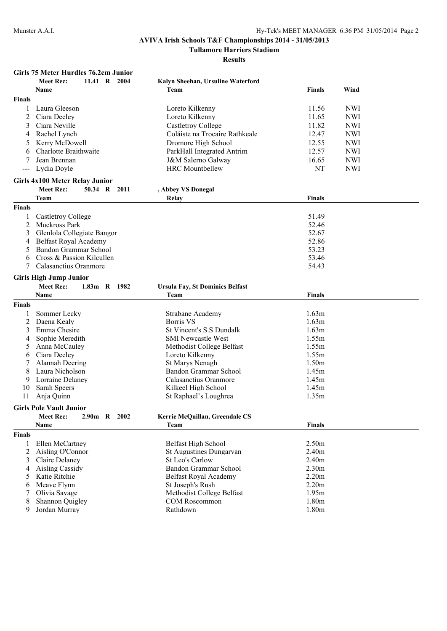**Tullamore Harriers Stadium**

**Results**

### **Girls 75 Meter Hurdles 76.2cm Junior**

|                   | <b>Meet Rec:</b>                   |              | 11.41 R 2004 | Kalyn Sheehan, Ursuline Waterford            |                   |            |
|-------------------|------------------------------------|--------------|--------------|----------------------------------------------|-------------------|------------|
|                   | Name                               |              |              | Team                                         | <b>Finals</b>     | Wind       |
| <b>Finals</b>     |                                    |              |              |                                              |                   |            |
| 1                 | Laura Gleeson                      |              |              | Loreto Kilkenny                              | 11.56             | <b>NWI</b> |
| 2                 | Ciara Deeley                       |              |              | Loreto Kilkenny                              | 11.65             | <b>NWI</b> |
| 3                 | Ciara Neville                      |              |              | <b>Castletroy College</b>                    | 11.82             | <b>NWI</b> |
| 4                 | Rachel Lynch                       |              |              | Coláiste na Trocaire Rathkeale               | 12.47             | <b>NWI</b> |
| 5                 | Kerry McDowell                     |              |              | Dromore High School                          | 12.55             | <b>NWI</b> |
| 6                 | Charlotte Braithwaite              |              |              | ParkHall Integrated Antrim                   | 12.57             | <b>NWI</b> |
|                   | Jean Brennan                       |              |              | J&M Salerno Galway                           | 16.65             | <b>NWI</b> |
|                   | Lydia Doyle                        |              |              | <b>HRC</b> Mountbellew                       | NT                | <b>NWI</b> |
| $\qquad \qquad -$ |                                    |              |              |                                              |                   |            |
|                   | Girls 4x100 Meter Relay Junior     |              |              |                                              |                   |            |
|                   | <b>Meet Rec:</b>                   |              | 50.34 R 2011 | , Abbey VS Donegal                           |                   |            |
|                   | Team                               |              |              | Relay                                        | Finals            |            |
| Finals            |                                    |              |              |                                              |                   |            |
|                   | Castletroy College                 |              |              |                                              | 51.49             |            |
| 2                 | Muckross Park                      |              |              |                                              | 52.46             |            |
| 3                 | Glenlola Collegiate Bangor         |              |              |                                              | 52.67             |            |
| 4                 | Belfast Royal Academy              |              |              |                                              | 52.86             |            |
| 5                 | Bandon Grammar School              |              |              |                                              | 53.23             |            |
| 6                 | Cross & Passion Kilcullen          |              |              |                                              | 53.46             |            |
| 7                 | Calasanctius Oranmore              |              |              |                                              | 54.43             |            |
|                   | <b>Girls High Jump Junior</b>      |              |              |                                              |                   |            |
|                   | <b>Meet Rec:</b>                   | 1.83m R 1982 |              | <b>Ursula Fay, St Dominics Belfast</b>       |                   |            |
|                   | Name                               |              |              | Team                                         | <b>Finals</b>     |            |
|                   |                                    |              |              |                                              |                   |            |
| Finals            |                                    |              |              |                                              |                   |            |
|                   | Sommer Lecky                       |              |              | Strabane Academy                             | 1.63m             |            |
| 2                 | Daena Kealy                        |              |              | <b>Borris VS</b>                             | 1.63m             |            |
| 3                 | Emma Chesire                       |              |              | <b>St Vincent's S.S Dundalk</b>              | 1.63m             |            |
| 4                 | Sophie Meredith                    |              |              | <b>SMI Newcastle West</b>                    | 1.55m             |            |
| 5                 | Anna McCauley                      |              |              | Methodist College Belfast                    | 1.55m             |            |
| 6                 | Ciara Deeley                       |              |              | Loreto Kilkenny                              | 1.55m             |            |
|                   | Alannah Deering<br>Laura Nicholson |              |              | St Marys Nenagh<br>Bandon Grammar School     | 1.50m             |            |
| 8                 |                                    |              |              | Calasanctius Oranmore                        | 1.45m             |            |
| 9<br>10           | Lorraine Delaney                   |              |              |                                              | 1.45m<br>1.45m    |            |
| 11                | Sarah Speers                       |              |              | Kilkeel High School<br>St Raphael's Loughrea | 1.35m             |            |
|                   | Anja Quinn                         |              |              |                                              |                   |            |
|                   | <b>Girls Pole Vault Junior</b>     |              |              |                                              |                   |            |
|                   | <b>Meet Rec:</b>                   | 2.90m R 2002 |              | <b>Kerrie McQuillan, Greendale CS</b>        |                   |            |
|                   | Name                               |              |              | Team                                         | <b>Finals</b>     |            |
| <b>Finals</b>     |                                    |              |              |                                              |                   |            |
|                   | Ellen McCartney                    |              |              | <b>Belfast High School</b>                   | 2.50m             |            |
| $\overline{2}$    | Aisling O'Connor                   |              |              | <b>St Augustines Dungarvan</b>               | 2.40m             |            |
| 3                 | Claire Delaney                     |              |              | <b>St Leo's Carlow</b>                       | 2.40m             |            |
| 4                 | <b>Aisling Cassidy</b>             |              |              | Bandon Grammar School                        | 2.30 <sub>m</sub> |            |
| 5                 | Katie Ritchie                      |              |              | <b>Belfast Royal Academy</b>                 | 2.20m             |            |
| 6                 | Meave Flynn                        |              |              | St Joseph's Rush                             | 2.20m             |            |
|                   | Olivia Savage                      |              |              | Methodist College Belfast                    | 1.95m             |            |
| 8                 | Shannon Quigley                    |              |              | <b>COM Roscommon</b>                         | 1.80m             |            |
| 9                 | Jordan Murray                      |              |              | Rathdown                                     | 1.80m             |            |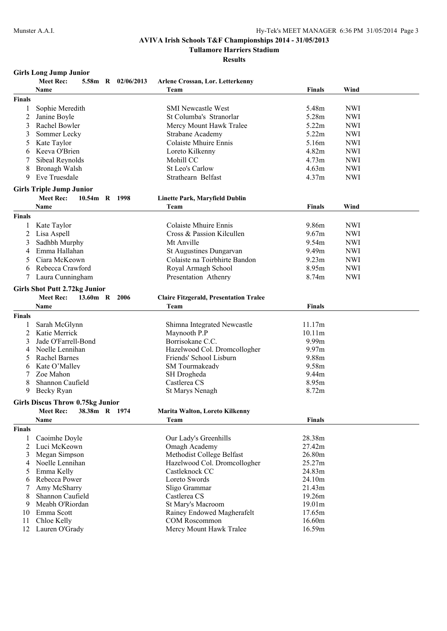**Tullamore Harriers Stadium**

**Results**

### **Girls Long Jump Junior**

|               | <b>Meet Rec:</b>                        |  | 5.58m R 02/06/2013 | Arlene Crossan, Lor. Letterkenny              |                   |            |
|---------------|-----------------------------------------|--|--------------------|-----------------------------------------------|-------------------|------------|
|               | Name                                    |  |                    | Team                                          | <b>Finals</b>     | Wind       |
| <b>Finals</b> |                                         |  |                    |                                               |                   |            |
| 1             | Sophie Meredith                         |  |                    | <b>SMI Newcastle West</b>                     | 5.48m             | <b>NWI</b> |
| 2             | Janine Boyle                            |  |                    | St Columba's Stranorlar                       | 5.28m             | <b>NWI</b> |
| 3             | Rachel Bowler                           |  |                    | Mercy Mount Hawk Tralee                       | 5.22m             | <b>NWI</b> |
| 3             | Sommer Lecky                            |  |                    | Strabane Academy                              | 5.22m             | <b>NWI</b> |
| 5             | Kate Taylor                             |  |                    | Colaiste Mhuire Ennis                         | 5.16m             | <b>NWI</b> |
| 6             | Keeva O'Brien                           |  |                    | Loreto Kilkenny                               | 4.82m             | <b>NWI</b> |
|               | Sibeal Reynolds                         |  |                    | Mohill CC                                     | 4.73 <sub>m</sub> | <b>NWI</b> |
|               |                                         |  |                    | St Leo's Carlow                               |                   | <b>NWI</b> |
| 8             | Bronagh Walsh                           |  |                    |                                               | 4.63m             |            |
| 9             | Eve Truesdale                           |  |                    | Strathearn Belfast                            | 4.37m             | <b>NWI</b> |
|               | <b>Girls Triple Jump Junior</b>         |  |                    |                                               |                   |            |
|               | <b>Meet Rec:</b>                        |  | 10.54m R 1998      | <b>Linette Park, Maryfield Dublin</b>         |                   |            |
|               | <b>Name</b>                             |  |                    | Team                                          | <b>Finals</b>     | Wind       |
| <b>Finals</b> |                                         |  |                    |                                               |                   |            |
| 1             | Kate Taylor                             |  |                    | Colaiste Mhuire Ennis                         | 9.86m             | <b>NWI</b> |
| 2             | Lisa Aspell                             |  |                    | Cross & Passion Kilcullen                     | 9.67m             | <b>NWI</b> |
| 3             | Sadhbh Murphy                           |  |                    | Mt Anville                                    | 9.54m             | <b>NWI</b> |
|               | Emma Hallahan                           |  |                    |                                               |                   |            |
| 4             |                                         |  |                    | St Augustines Dungarvan                       | 9.49m             | <b>NWI</b> |
| 5             | Ciara McKeown                           |  |                    | Colaiste na Toirbhirte Bandon                 | 9.23 <sub>m</sub> | <b>NWI</b> |
| 6             | Rebecca Crawford                        |  |                    | Royal Armagh School                           | 8.95m             | <b>NWI</b> |
|               | Laura Cunningham                        |  |                    | Presentation Athenry                          | 8.74m             | <b>NWI</b> |
|               | <b>Girls Shot Putt 2.72kg Junior</b>    |  |                    |                                               |                   |            |
|               | <b>Meet Rec:</b>                        |  | 13.60m R 2006      | <b>Claire Fitzgerald, Presentation Tralee</b> |                   |            |
|               | Name                                    |  |                    | Team                                          | <b>Finals</b>     |            |
| <b>Finals</b> |                                         |  |                    |                                               |                   |            |
|               | Sarah McGlynn                           |  |                    | Shimna Integrated Newcastle                   | 11.17m            |            |
| 2             | Katie Merrick                           |  |                    | Maynooth P.P                                  | 10.11m            |            |
| 3             | Jade O'Farrell-Bond                     |  |                    | Borrisokane C.C.                              | 9.99m             |            |
| 4             | Noelle Lennihan                         |  |                    | Hazelwood Col. Dromcollogher                  | 9.97m             |            |
| 5             | <b>Rachel Barnes</b>                    |  |                    | Friends' School Lisburn                       | 9.88m             |            |
|               | Kate O'Malley                           |  |                    | SM Tourmakeady                                | 9.58m             |            |
| 6             | Zoe Mahon                               |  |                    |                                               | 9.44m             |            |
|               |                                         |  |                    | SH Drogheda<br>Castlerea CS                   | 8.95m             |            |
| 8             | Shannon Caufield                        |  |                    | St Marys Nenagh                               | 8.72m             |            |
| 9             | Becky Ryan                              |  |                    |                                               |                   |            |
|               | <b>Girls Discus Throw 0.75kg Junior</b> |  |                    |                                               |                   |            |
|               | <b>Meet Rec:</b>                        |  | 38.38m R 1974      | <b>Marita Walton, Loreto Kilkenny</b>         |                   |            |
|               | Name                                    |  |                    | Team                                          | <b>Finals</b>     |            |
| <b>Finals</b> |                                         |  |                    |                                               |                   |            |
|               | Caoimhe Doyle                           |  |                    | Our Lady's Greenhills                         | 28.38m            |            |
| 2             | Luci McKeown                            |  |                    | Omagh Academy                                 | 27.42m            |            |
| 3             | Megan Simpson                           |  |                    | Methodist College Belfast                     | 26.80m            |            |
| 4             | Noelle Lennihan                         |  |                    | Hazelwood Col. Dromcollogher                  | 25.27m            |            |
| 5             | Emma Kelly                              |  |                    | Castleknock CC                                | 24.83m            |            |
| 6             | Rebecca Power                           |  |                    | Loreto Swords                                 | 24.10m            |            |
|               | Amy McSharry                            |  |                    | Sligo Grammar                                 | 21.43m            |            |
| 8             | Shannon Caufield                        |  |                    | Castlerea CS                                  | 19.26m            |            |
| 9             | Meabh O'Riordan                         |  |                    | St Mary's Macroom                             | 19.01m            |            |
| 10            | Emma Scott                              |  |                    | Rainey Endowed Magherafelt                    | 17.65m            |            |
| 11            | Chloe Kelly                             |  |                    | <b>COM Roscommon</b>                          | 16.60m            |            |
| 12            | Lauren O'Grady                          |  |                    | Mercy Mount Hawk Tralee                       | 16.59m            |            |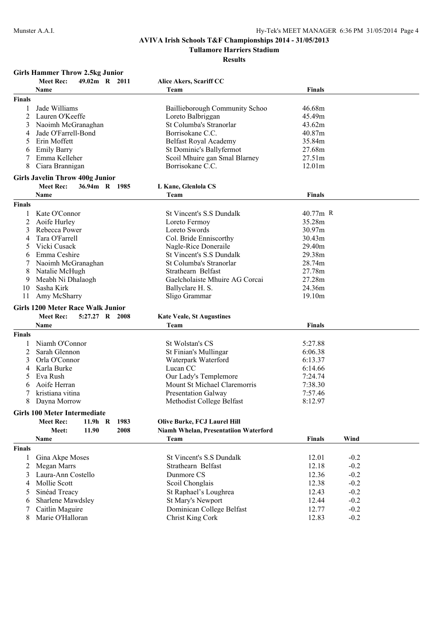**Tullamore Harriers Stadium**

**Results**

### **Girls Hammer Throw 2.5kg Junior**

|               | <b>Meet Rec:</b><br>49.02m R 2011                                              | Alice Akers, Scariff CC                      |                       |  |
|---------------|--------------------------------------------------------------------------------|----------------------------------------------|-----------------------|--|
|               | Name                                                                           | Team                                         | Finals                |  |
| Finals        |                                                                                |                                              |                       |  |
| 1             | Jade Williams                                                                  | Baillieborough Community Schoo               | 46.68m                |  |
| 2             | Lauren O'Keeffe                                                                | Loreto Balbriggan                            | 45.49m                |  |
| 3             | Naoimh McGranaghan                                                             | St Columba's Stranorlar                      | 43.62m                |  |
| 4             | Jade O'Farrell-Bond                                                            | Borrisokane C.C.                             | 40.87m                |  |
| 5             | Erin Moffett                                                                   | Belfast Royal Academy                        | 35.84m                |  |
| 6             | <b>Emily Barry</b>                                                             | St Dominic's Ballyfermot                     | 27.68m                |  |
| 7             | Emma Kelleher                                                                  | Scoil Mhuire gan Smal Blarney                | 27.51m                |  |
| 8             | Ciara Brannigan                                                                | Borrisokane C.C.                             | 12.01m                |  |
|               | <b>Girls Javelin Throw 400g Junior</b>                                         |                                              |                       |  |
|               | <b>Meet Rec:</b><br>36.94m R 1985                                              | L Kane, Glenlola CS                          |                       |  |
|               | Name                                                                           | Team                                         | <b>Finals</b>         |  |
| <b>Finals</b> |                                                                                |                                              |                       |  |
| 1             | Kate O'Connor                                                                  | <b>St Vincent's S.S Dundalk</b>              | $40.77m$ R            |  |
| 2             | Aoife Hurley                                                                   | Loreto Fermoy                                | 35.28m                |  |
| 3             | Rebecca Power                                                                  | Loreto Swords                                | 30.97m                |  |
| 4             | Tara O'Farrell                                                                 | Col. Bride Enniscorthy                       | 30.43m                |  |
| 5             | Vicki Cusack                                                                   | Nagle-Rice Doneraile                         | 29.40m                |  |
| 6             | Emma Ceshire                                                                   | <b>St Vincent's S.S Dundalk</b>              | 29.38m                |  |
| 7             | Naoimh McGranaghan                                                             | St Columba's Stranorlar                      | 28.74m                |  |
| 8             | Natalie McHugh                                                                 | Strathearn Belfast                           | 27.78m                |  |
| 9             | Meabh Ni Dhalaogh                                                              | Gaelcholaiste Mhuire AG Corcai               | 27.28m                |  |
| 10            | Sasha Kirk                                                                     | Ballyclare H. S.                             | 24.36m                |  |
| 11            | Amy McSharry                                                                   | Sligo Grammar                                | 19.10m                |  |
|               |                                                                                |                                              |                       |  |
|               | <b>Girls 1200 Meter Race Walk Junior</b><br><b>Meet Rec:</b><br>5:27.27 R 2008 |                                              |                       |  |
|               | Name                                                                           | <b>Kate Veale, St Augustines</b><br>Team     | Finals                |  |
|               |                                                                                |                                              |                       |  |
| Finals        |                                                                                |                                              |                       |  |
|               | Niamh O'Connor                                                                 | St Wolstan's CS                              | 5:27.88               |  |
| 2             | Sarah Glennon                                                                  | St Finian's Mullingar                        | 6:06.38               |  |
| 3             | Orla O'Connor                                                                  | Waterpark Waterford                          | 6:13.37               |  |
| 4             | Karla Burke                                                                    | Lucan CC                                     | 6:14.66               |  |
| 5             | Eva Rush                                                                       | Our Lady's Templemore                        | 7:24.74               |  |
| 6             | Aoife Herran                                                                   | Mount St Michael Claremorris                 | 7:38.30               |  |
|               | kristiana vitina                                                               | <b>Presentation Galway</b>                   | 7:57.46               |  |
| 8             | Dayna Morrow                                                                   | Methodist College Belfast                    | 8:12.97               |  |
|               | <b>Girls 100 Meter Intermediate</b>                                            |                                              |                       |  |
|               | 1983<br><b>Meet Rec:</b><br>$11.9h$ R                                          | <b>Olive Burke, FCJ Laurel Hill</b>          |                       |  |
|               | 2008<br>Meet:<br>11.90                                                         | <b>Niamh Whelan, Presentatiion Waterford</b> |                       |  |
|               | Name                                                                           | Team                                         | Wind<br><b>Finals</b> |  |
| Finals        |                                                                                |                                              |                       |  |
| 1             | Gina Akpe Moses                                                                | St Vincent's S.S Dundalk                     | 12.01<br>$-0.2$       |  |
| 2             | Megan Marrs                                                                    | Strathearn Belfast                           | 12.18<br>$-0.2$       |  |
| 3             | Laura-Ann Costello                                                             | Dunmore CS                                   | 12.36<br>$-0.2$       |  |
| 4             | Mollie Scott                                                                   | Scoil Chonglais                              | 12.38<br>$-0.2$       |  |
|               | Sinéad Treacy                                                                  | St Raphael's Loughrea                        | 12.43<br>$-0.2$       |  |
| 6             | Sharlene Mawdsley                                                              | St Mary's Newport                            | 12.44<br>$-0.2$       |  |
|               | Caitlin Maguire                                                                | Dominican College Belfast                    | 12.77<br>$-0.2$       |  |
| 8             | Marie O'Halloran                                                               | Christ King Cork                             | 12.83<br>$-0.2$       |  |
|               |                                                                                |                                              |                       |  |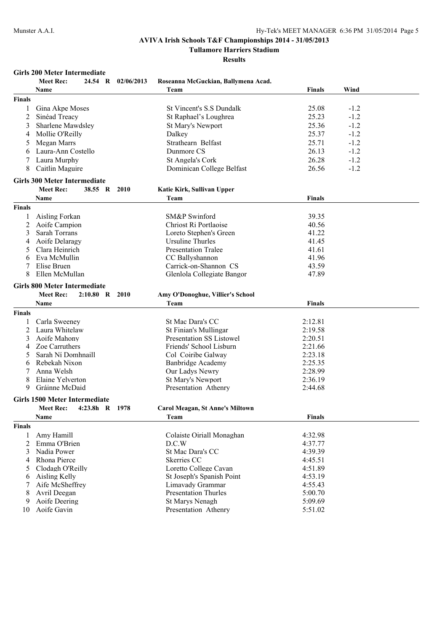**Tullamore Harriers Stadium**

**Results**

### **Girls 200 Meter Intermediate**

|                | Meet Rec:                            |                | 24.54 R 02/06/2013 | Roseanna McGuckian, Ballymena Acad.               |                |        |  |
|----------------|--------------------------------------|----------------|--------------------|---------------------------------------------------|----------------|--------|--|
|                | <b>Name</b>                          |                |                    | Team                                              | <b>Finals</b>  | Wind   |  |
| <b>Finals</b>  |                                      |                |                    |                                                   |                |        |  |
| 1              | Gina Akpe Moses                      |                |                    | St Vincent's S.S Dundalk                          | 25.08          | $-1.2$ |  |
| 2              | Sinéad Treacy                        |                |                    | St Raphael's Loughrea                             | 25.23          | $-1.2$ |  |
| 3              | Sharlene Mawdsley                    |                |                    | St Mary's Newport                                 | 25.36          | $-1.2$ |  |
| 4              | Mollie O'Reilly                      |                |                    | Dalkey                                            | 25.37          | $-1.2$ |  |
| 5              | Megan Marrs                          |                |                    | Strathearn Belfast                                | 25.71          | $-1.2$ |  |
| 6              | Laura-Ann Costello                   |                |                    | Dunmore CS                                        | 26.13          | $-1.2$ |  |
|                | Laura Murphy                         |                |                    | St Angela's Cork                                  | 26.28          | $-1.2$ |  |
| 8              | Caitlin Maguire                      |                |                    | Dominican College Belfast                         | 26.56          | $-1.2$ |  |
|                | <b>Girls 300 Meter Intermediate</b>  |                |                    |                                                   |                |        |  |
|                | <b>Meet Rec:</b>                     | 38.55 R        | <b>2010</b>        | Katie Kirk, Sullivan Upper                        |                |        |  |
|                | Name                                 |                |                    | Team                                              | <b>Finals</b>  |        |  |
| <b>Finals</b>  |                                      |                |                    |                                                   |                |        |  |
|                |                                      |                |                    |                                                   |                |        |  |
| 1              | Aisling Forkan                       |                |                    | SM&P Swinford<br>Chriost Ri Portlaoise            | 39.35<br>40.56 |        |  |
| 2<br>3         | Aoife Campion                        |                |                    |                                                   | 41.22          |        |  |
| 4              | Sarah Torrans                        |                |                    | Loreto Stephen's Green<br><b>Ursuline Thurles</b> | 41.45          |        |  |
| 5              | Aoife Delaragy<br>Clara Heinrich     |                |                    | <b>Presentation Tralee</b>                        | 41.61          |        |  |
| 6              | Eva McMullin                         |                |                    | CC Ballyshannon                                   | 41.96          |        |  |
|                | Elise Bruen                          |                |                    | Carrick-on-Shannon CS                             | 43.59          |        |  |
| 8              | Ellen McMullan                       |                |                    | Glenlola Collegiate Bangor                        | 47.89          |        |  |
|                |                                      |                |                    |                                                   |                |        |  |
|                | <b>Girls 800 Meter Intermediate</b>  |                |                    |                                                   |                |        |  |
|                | <b>Meet Rec:</b>                     | $2:10.80$ R    | 2010               | Amy O'Donoghue, Villier's School                  |                |        |  |
|                | Name                                 |                |                    | Team                                              | <b>Finals</b>  |        |  |
| <b>Finals</b>  |                                      |                |                    |                                                   |                |        |  |
| 1              | Carla Sweeney                        |                |                    | St Mac Dara's CC                                  | 2:12.81        |        |  |
| $\overline{c}$ | Laura Whitelaw                       |                |                    | St Finian's Mullingar                             | 2:19.58        |        |  |
| 3              | Aoife Mahony                         |                |                    | Presentation SS Listowel                          | 2:20.51        |        |  |
| 4              | Zoe Carruthers                       |                |                    | Friends' School Lisburn                           | 2:21.66        |        |  |
| 5              | Sarah Ní Domhnaill                   |                |                    | Col Coiribe Galway                                | 2:23.18        |        |  |
| 6              | Rebekah Nixon                        |                |                    | <b>Banbridge Academy</b>                          | 2:25.35        |        |  |
| 7              | Anna Welsh                           |                |                    | Our Ladys Newry                                   | 2:28.99        |        |  |
| 8              | Elaine Yelverton                     |                |                    | St Mary's Newport                                 | 2:36.19        |        |  |
| 9              | Gráinne McDaid                       |                |                    | Presentation Athenry                              | 2:44.68        |        |  |
|                | <b>Girls 1500 Meter Intermediate</b> |                |                    |                                                   |                |        |  |
|                | <b>Meet Rec:</b>                     | 4:23.8h R 1978 |                    | <b>Carol Meagan, St Anne's Miltown</b>            |                |        |  |
|                | Name                                 |                |                    | Team                                              | <b>Finals</b>  |        |  |
| <b>Finals</b>  |                                      |                |                    |                                                   |                |        |  |
| 1              | Amy Hamill                           |                |                    | Colaiste Oiriall Monaghan                         | 4:32.98        |        |  |
| $\overline{2}$ | Emma O'Brien                         |                |                    | D.C.W                                             | 4:37.77        |        |  |
| 3              | Nadia Power                          |                |                    | St Mac Dara's CC                                  | 4:39.39        |        |  |
| 4              | Rhona Pierce                         |                |                    | Skerries CC                                       | 4:45.51        |        |  |
| 5              | Clodagh O'Reilly                     |                |                    | Loretto College Cavan                             | 4:51.89        |        |  |
| 6              | Aisling Kelly                        |                |                    | St Joseph's Spanish Point                         | 4:53.19        |        |  |
| 7              | Aife McSheffrey                      |                |                    | Limavady Grammar                                  | 4:55.43        |        |  |
| 8              | Avril Deegan                         |                |                    | <b>Presentation Thurles</b>                       | 5:00.70        |        |  |
| 9              | Aoife Deering                        |                |                    | <b>St Marys Nenagh</b>                            | 5:09.69        |        |  |
| 10             | Aoife Gavin                          |                |                    | Presentation Athenry                              | 5:51.02        |        |  |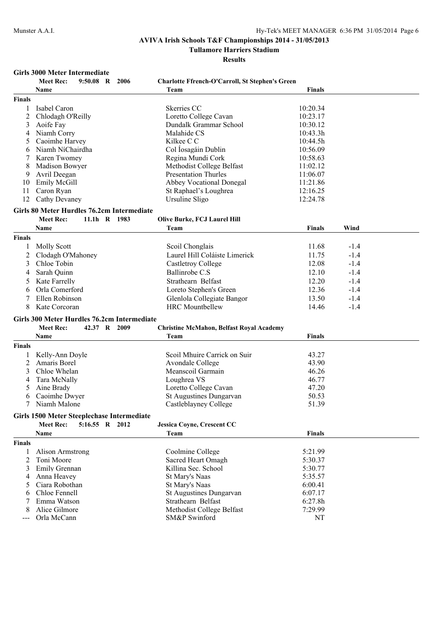**Tullamore Harriers Stadium**

|                | Girls 3000 Meter Intermediate               |           |                |                                                        |               |        |  |
|----------------|---------------------------------------------|-----------|----------------|--------------------------------------------------------|---------------|--------|--|
|                | <b>Meet Rec:</b>                            | 9:50.08 R | 2006           | <b>Charlotte Ffrench-O'Carroll, St Stephen's Green</b> |               |        |  |
|                | Name                                        |           |                | Team                                                   | <b>Finals</b> |        |  |
| <b>Finals</b>  |                                             |           |                |                                                        |               |        |  |
| 1              | Isabel Caron                                |           |                | Skerries CC                                            | 10:20.34      |        |  |
| 2              | Chlodagh O'Reilly                           |           |                | Loretto College Cavan                                  | 10:23.17      |        |  |
| 3              | Aoife Fay                                   |           |                | Dundalk Grammar School                                 | 10:30.12      |        |  |
| 4              | Niamh Corry                                 |           |                | Malahide CS                                            | 10:43.3h      |        |  |
| 5              | Caoimhe Harvey                              |           |                | Kilkee C C                                             | 10:44.5h      |        |  |
| 6              | Niamh NíChairdha                            |           |                | Col Íosagáin Dublin                                    | 10:56.09      |        |  |
| 7              | Karen Twomey                                |           |                | Regina Mundi Cork                                      | 10:58.63      |        |  |
|                | Madison Bowyer                              |           |                | Methodist College Belfast                              | 11:02.12      |        |  |
| 8<br>9         | Avril Deegan                                |           |                | <b>Presentation Thurles</b>                            | 11:06.07      |        |  |
|                |                                             |           |                |                                                        |               |        |  |
| 10             | Emily McGill                                |           |                | <b>Abbey Vocational Donegal</b>                        | 11:21.86      |        |  |
| 11             | Caron Ryan                                  |           |                | St Raphael's Loughrea                                  | 12:16.25      |        |  |
| 12             | Cathy Devaney                               |           |                | Ursuline Sligo                                         | 12:24.78      |        |  |
|                | Girls 80 Meter Hurdles 76.2cm Intermediate  |           |                |                                                        |               |        |  |
|                | <b>Meet Rec:</b>                            |           | 11.1h R 1983   | Olive Burke, FCJ Laurel Hill                           |               |        |  |
|                | Name                                        |           |                | Team                                                   | <b>Finals</b> | Wind   |  |
| <b>Finals</b>  |                                             |           |                |                                                        |               |        |  |
|                | <b>Molly Scott</b>                          |           |                | Scoil Chonglais                                        | 11.68         | $-1.4$ |  |
| 2              | Clodagh O'Mahoney                           |           |                | Laurel Hill Coláiste Limerick                          | 11.75         | $-1.4$ |  |
| 3              | Chloe Tobin                                 |           |                | <b>Castletroy College</b>                              | 12.08         | $-1.4$ |  |
|                |                                             |           |                | Ballinrobe C.S                                         | 12.10         | $-1.4$ |  |
| 4              | Sarah Quinn                                 |           |                |                                                        |               |        |  |
| 5              | Kate Farrelly                               |           |                | Strathearn Belfast                                     | 12.20         | $-1.4$ |  |
| 6              | Orla Comerford                              |           |                | Loreto Stephen's Green                                 | 12.36         | $-1.4$ |  |
| 7              | Ellen Robinson                              |           |                | Glenlola Collegiate Bangor                             | 13.50         | $-1.4$ |  |
| 8              | Kate Corcoran                               |           |                | <b>HRC</b> Mountbellew                                 | 14.46         | $-1.4$ |  |
|                | Girls 300 Meter Hurdles 76.2cm Intermediate |           |                |                                                        |               |        |  |
|                | <b>Meet Rec:</b>                            |           | 42.37 R 2009   | <b>Christine McMahon, Belfast Royal Academy</b>        |               |        |  |
|                | Name                                        |           |                | Team                                                   | <b>Finals</b> |        |  |
| <b>Finals</b>  |                                             |           |                |                                                        |               |        |  |
|                |                                             |           |                |                                                        |               |        |  |
|                | Kelly-Ann Doyle                             |           |                | Scoil Mhuire Carrick on Suir                           | 43.27         |        |  |
| 2              | Amaris Borel                                |           |                | Avondale College                                       | 43.90         |        |  |
| 3              | Chloe Whelan                                |           |                | Meanscoil Garmain                                      | 46.26         |        |  |
| 4              | Tara McNally                                |           |                | Loughrea VS                                            | 46.77         |        |  |
| 5              | Aine Brady                                  |           |                | Loretto College Cavan                                  | 47.20         |        |  |
| 6              | Caoimhe Dwyer                               |           |                | St Augustines Dungarvan                                | 50.53         |        |  |
|                | Niamh Malone                                |           |                | Castleblayney College                                  | 51.39         |        |  |
|                | Girls 1500 Meter Steeplechase Intermediate  |           |                |                                                        |               |        |  |
|                | <b>Meet Rec:</b>                            |           | 5:16.55 R 2012 | Jessica Coyne, Crescent CC                             |               |        |  |
|                | Name                                        |           |                | Team                                                   | Finals        |        |  |
| <b>Finals</b>  |                                             |           |                |                                                        |               |        |  |
| 1              | Alison Armstrong                            |           |                | Coolmine College                                       | 5:21.99       |        |  |
| $\overline{2}$ | Toni Moore                                  |           |                | Sacred Heart Omagh                                     | 5:30.37       |        |  |
| 3              | Emily Grennan                               |           |                | Killina Sec. School                                    | 5:30.77       |        |  |
|                | Anna Heavey                                 |           |                | St Mary's Naas                                         | 5:35.57       |        |  |
| 4              | Ciara Robothan                              |           |                |                                                        |               |        |  |
| 5              | Chloe Fennell                               |           |                | St Mary's Naas                                         | 6:00.41       |        |  |
| 6              |                                             |           |                | St Augustines Dungarvan<br>Strathearn Belfast          | 6:07.17       |        |  |
| 7              | Emma Watson<br>Alice Gilmore                |           |                |                                                        | 6:27.8h       |        |  |
| 8              |                                             |           |                | Methodist College Belfast                              | 7:29.99       |        |  |
|                | Orla McCann                                 |           |                | SM&P Swinford                                          | NT            |        |  |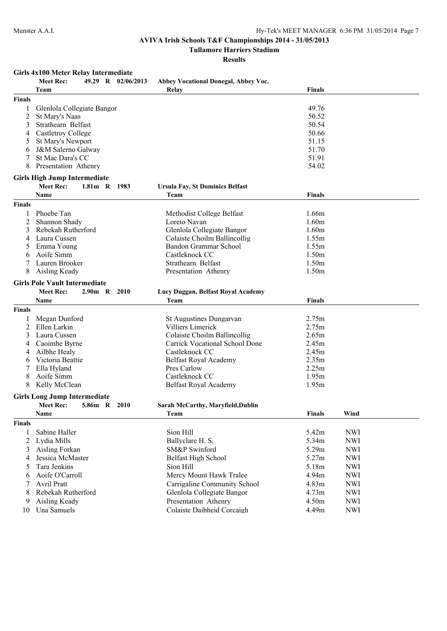**Tullamore Harriers Stadium**

**Results**

### **Girls 4x100 Meter Relay Intermediate**

|                | Meet Rec:                            |              | 49.29 R 02/06/2013 | Abbey Vocational Donegal, Abbey Voc.   |               |            |
|----------------|--------------------------------------|--------------|--------------------|----------------------------------------|---------------|------------|
|                | Team                                 |              |                    | Relay                                  | <b>Finals</b> |            |
| <b>Finals</b>  |                                      |              |                    |                                        |               |            |
|                | Glenlola Collegiate Bangor           |              |                    |                                        | 49.76         |            |
| 2              | St Mary's Naas                       |              |                    |                                        | 50.52         |            |
| 3              | Strathearn Belfast                   |              |                    |                                        | 50.54         |            |
| 4              | Castletroy College                   |              |                    |                                        | 50.66         |            |
| 5              | St Mary's Newport                    |              |                    |                                        | 51.15         |            |
| 6              | J&M Salerno Galway                   |              |                    |                                        | 51.70         |            |
|                | St Mac Dara's CC                     |              |                    |                                        | 51.91         |            |
| 8              | Presentation Athenry                 |              |                    |                                        | 54.02         |            |
|                | <b>Girls High Jump Intermediate</b>  |              |                    |                                        |               |            |
|                | <b>Meet Rec:</b>                     | $1.81m$ R    | 1983               | <b>Ursula Fay, St Dominics Belfast</b> |               |            |
|                | <b>Name</b>                          |              |                    | Team                                   | <b>Finals</b> |            |
| <b>Finals</b>  |                                      |              |                    |                                        |               |            |
| 1              | Phoebe Tan                           |              |                    | Methodist College Belfast              | 1.66m         |            |
| 2              | Shannon Shady                        |              |                    | Loreto Navan                           | 1.60m         |            |
| 3              | Rebekah Rutherford                   |              |                    | Glenlola Collegiate Bangor             | 1.60m         |            |
| 4              | Laura Cussen                         |              |                    | Colaiste Choilm Ballincollig           | 1.55m         |            |
| 5              | Emma Young                           |              |                    | Bandon Grammar School                  | 1.55m         |            |
| 6              | Aoife Simm                           |              |                    | Castleknock CC                         | 1.50m         |            |
| 7              | Lauren Brooker                       |              |                    | Strathearn Belfast                     | 1.50m         |            |
| 8              | Aisling Keady                        |              |                    | Presentation Athenry                   | 1.50m         |            |
|                | <b>Girls Pole Vault Intermediate</b> |              |                    |                                        |               |            |
|                | <b>Meet Rec:</b>                     | 2.90m R 2010 |                    | Lucy Duggan, Belfast Royal Academy     |               |            |
|                | Name                                 |              |                    | Team                                   | <b>Finals</b> |            |
| <b>Finals</b>  |                                      |              |                    |                                        |               |            |
|                | Megan Dunford                        |              |                    | St Augustines Dungarvan                | 2.75m         |            |
| 2              | Ellen Larkin                         |              |                    | Villiers Limerick                      | 2.75m         |            |
| 3              | Laura Cussen                         |              |                    | Colaiste Choilm Ballincollig           | 2.65m         |            |
| 4              | Caoimhe Byrne                        |              |                    | Carrick Vocational School Done         | 2.45m         |            |
| 4              | Ailbhe Healy                         |              |                    | Castleknock CC                         | 2.45m         |            |
| 6              | Victoria Beattie                     |              |                    | Belfast Royal Academy                  | 2.35m         |            |
| 7              | Ella Hyland                          |              |                    | Pres Carlow                            | 2.25m         |            |
| 8              | Aoife Simm                           |              |                    | Castleknock CC                         | 1.95m         |            |
| 8              | Kelly McClean                        |              |                    | Belfast Royal Academy                  | 1.95m         |            |
|                |                                      |              |                    |                                        |               |            |
|                | <b>Girls Long Jump Intermediate</b>  |              |                    |                                        |               |            |
|                | <b>Meet Rec:</b>                     | 5.86m R 2010 |                    | Sarah McCarthy, Maryfield, Dublin      |               |            |
|                | <b>Name</b>                          |              |                    | Team                                   | <b>Finals</b> | Wind       |
| <b>Finals</b>  |                                      |              |                    |                                        |               |            |
| 1              | Sabine Haller                        |              |                    | Sion Hill                              | 5.42m         | <b>NWI</b> |
| $\overline{c}$ | Lydia Mills                          |              |                    | Ballyclare H. S.                       | 5.34m         | <b>NWI</b> |
| 3              | Aisling Forkan                       |              |                    | SM&P Swinford                          | 5.29m         | <b>NWI</b> |
| $\overline{4}$ | Jessica McMaster                     |              |                    | Belfast High School                    | 5.27m         | <b>NWI</b> |
| 5              | Tara Jenkins                         |              |                    | Sion Hill                              | 5.18m         | <b>NWI</b> |
| 6              | Aoife O'Carroll                      |              |                    | Mercy Mount Hawk Tralee                | 4.94m         | <b>NWI</b> |
| 7              | Avril Pratt                          |              |                    | Carrigaline Community School           | 4.83m         | <b>NWI</b> |
| 8              | Rebekah Rutherford                   |              |                    | Glenlola Collegiate Bangor             | 4.73m         | <b>NWI</b> |
| 9              | Aisling Keady                        |              |                    | Presentation Athenry                   | 4.50m         | <b>NWI</b> |
| 10             | Una Samuels                          |              |                    | Colaiste Daibheid Corcaigh             | 4.49m         | <b>NWI</b> |
|                |                                      |              |                    |                                        |               |            |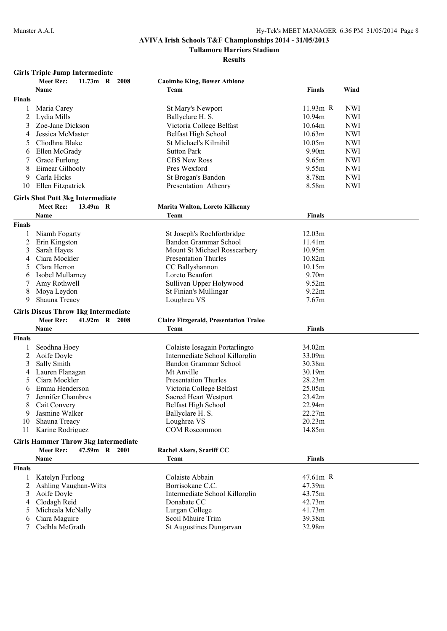**Tullamore Harriers Stadium**

**Results**

### **Girls Triple Jump Intermediate**

|               | <b>Meet Rec:</b><br>11.73m R 2008          | <b>Caoimhe King, Bower Athlone</b>            |               |            |
|---------------|--------------------------------------------|-----------------------------------------------|---------------|------------|
|               | Name                                       | Team                                          | <b>Finals</b> | Wind       |
| <b>Finals</b> |                                            |                                               |               |            |
| 1             | Maria Carey                                | St Mary's Newport                             | $11.93m$ R    | <b>NWI</b> |
| 2             | Lydia Mills                                | Ballyclare H. S.                              | 10.94m        | <b>NWI</b> |
| 3             | Zoe-Jane Dickson                           | Victoria College Belfast                      | 10.64m        | <b>NWI</b> |
|               |                                            |                                               | 10.63m        |            |
| 4             | Jessica McMaster                           | Belfast High School                           |               | <b>NWI</b> |
| 5             | Cliodhna Blake                             | St Michael's Kilmihil                         | 10.05m        | <b>NWI</b> |
| 6             | Ellen McGrady                              | <b>Sutton Park</b>                            | 9.90m         | <b>NWI</b> |
|               | Grace Furlong                              | <b>CBS New Ross</b>                           | 9.65m         | <b>NWI</b> |
| 8             | Eimear Gilhooly                            | Pres Wexford                                  | 9.55m         | <b>NWI</b> |
| 9             | Carla Hicks                                | St Brogan's Bandon                            | 8.78m         | <b>NWI</b> |
| 10            | Ellen Fitzpatrick                          | Presentation Athenry                          | 8.58m         | <b>NWI</b> |
|               | <b>Girls Shot Putt 3kg Intermediate</b>    |                                               |               |            |
|               | <b>Meet Rec:</b><br>13.49m R               | Marita Walton, Loreto Kilkenny                |               |            |
|               | Name                                       | Team                                          | <b>Finals</b> |            |
| <b>Finals</b> |                                            |                                               |               |            |
| 1             | Niamh Fogarty                              | St Joseph's Rochfortbridge                    | 12.03m        |            |
| 2             | Erin Kingston                              | Bandon Grammar School                         | 11.41m        |            |
| 3             | Sarah Hayes                                | Mount St Michael Rosscarbery                  | 10.95m        |            |
| 4             | Ciara Mockler                              | <b>Presentation Thurles</b>                   | 10.82m        |            |
| 5             | Clara Herron                               | CC Ballyshannon                               | 10.15m        |            |
| 6             | Isobel Mullarney                           | Loreto Beaufort                               | 9.70m         |            |
| 7             | Amy Rothwell                               | Sullivan Upper Holywood                       | 9.52m         |            |
| 8             | Moya Leydon                                | St Finian's Mullingar                         | 9.22m         |            |
| 9             | Shauna Treacy                              | Loughrea VS                                   | 7.67m         |            |
|               |                                            |                                               |               |            |
|               | <b>Girls Discus Throw 1kg Intermediate</b> |                                               |               |            |
|               | <b>Meet Rec:</b><br>41.92m R 2008          | <b>Claire Fitzgerald, Presentation Tralee</b> |               |            |
|               | Name                                       | Team                                          | <b>Finals</b> |            |
| <b>Finals</b> |                                            |                                               |               |            |
|               | Seodhna Hoey                               | Colaiste Iosagain Portarlingto                | 34.02m        |            |
| 2             | Aoife Doyle                                | Intermediate School Killorglin                | 33.09m        |            |
| 3             | Sally Smith                                | Bandon Grammar School                         | 30.38m        |            |
| 4             | Lauren Flanagan                            | Mt Anville                                    | 30.19m        |            |
| 5             | Ciara Mockler                              | <b>Presentation Thurles</b>                   | 28.23m        |            |
| 6             | Emma Henderson                             | Victoria College Belfast                      | 25.05m        |            |
| 7             | Jennifer Chambres                          | Sacred Heart Westport                         | 23.42m        |            |
| 8             | Cait Convery                               | <b>Belfast High School</b>                    | 22.94m        |            |
| 9             | Jasmine Walker                             | Ballyclare H. S.                              | 22.27m        |            |
|               | 10 Shauna Treacy                           | Loughrea VS                                   | 20.23m        |            |
| 11            | Karine Rodriguez                           | <b>COM Roscommon</b>                          | 14.85m        |            |
|               | <b>Girls Hammer Throw 3kg Intermediate</b> |                                               |               |            |
|               | 47.59m R 2001<br><b>Meet Rec:</b>          | Rachel Akers, Scariff CC                      |               |            |
|               | Name                                       | Team                                          | <b>Finals</b> |            |
|               |                                            |                                               |               |            |
| <b>Finals</b> |                                            | Colaiste Abbain                               |               |            |
| 1             | Katelyn Furlong                            |                                               | 47.61m R      |            |
| 2             | Ashling Vaughan-Witts                      | Borrisokane C.C.                              | 47.39m        |            |
| 3             | Aoife Doyle                                | Intermediate School Killorglin                | 43.75m        |            |
| 4             | Clodagh Reid                               | Donabate CC                                   | 42.73m        |            |
| 5             | Micheala McNally                           | Lurgan College                                | 41.73m        |            |
| 6             | Ciara Maguire                              | Scoil Mhuire Trim                             | 39.38m        |            |
| 7             | Cadhla McGrath                             | St Augustines Dungarvan                       | 32.98m        |            |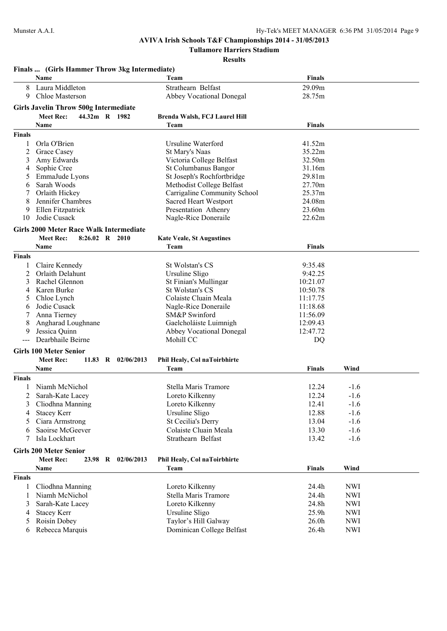**Tullamore Harriers Stadium**

|                | Finals  (Girls Hammer Throw 3kg Intermediate)  |                                  |                   |            |  |
|----------------|------------------------------------------------|----------------------------------|-------------------|------------|--|
|                | <b>Name</b>                                    | Team                             | <b>Finals</b>     |            |  |
| 8              | Laura Middleton                                | Strathearn Belfast               | 29.09m            |            |  |
| 9              | <b>Chloe Masterson</b>                         | <b>Abbey Vocational Donegal</b>  | 28.75m            |            |  |
|                | Girls Javelin Throw 500g Intermediate          |                                  |                   |            |  |
|                | 44.32m R 1982<br><b>Meet Rec:</b>              | Brenda Walsh, FCJ Laurel Hill    |                   |            |  |
|                | Name                                           | Team                             | <b>Finals</b>     |            |  |
| <b>Finals</b>  |                                                |                                  |                   |            |  |
| 1              | Orla O'Brien                                   | Ursuline Waterford               | 41.52m            |            |  |
| 2              | Grace Casey                                    | St Mary's Naas                   | 35.22m            |            |  |
| 3              | Amy Edwards                                    | Victoria College Belfast         | 32.50m            |            |  |
| 4              | Sophie Cree                                    | St Columbanus Bangor             | 31.16m            |            |  |
| 5              | EmmaJude Lyons                                 | St Joseph's Rochfortbridge       | 29.81m            |            |  |
| 6              | Sarah Woods                                    | Methodist College Belfast        | 27.70m            |            |  |
| 7              | Orlaith Hickey                                 | Carrigaline Community School     | 25.37m            |            |  |
| 8              | Jennifer Chambres                              | <b>Sacred Heart Westport</b>     | 24.08m            |            |  |
| 9              | Ellen Fitzpatrick                              | Presentation Athenry             | 23.60m            |            |  |
| 10             | Jodie Cusack                                   | Nagle-Rice Doneraile             | 22.62m            |            |  |
|                | <b>Girls 2000 Meter Race Walk Intermediate</b> |                                  |                   |            |  |
|                |                                                |                                  |                   |            |  |
|                | <b>Meet Rec:</b><br>8:26.02 R 2010             | <b>Kate Veale, St Augustines</b> |                   |            |  |
|                | Name                                           | Team                             | <b>Finals</b>     |            |  |
| <b>Finals</b>  |                                                |                                  |                   |            |  |
| 1              | Claire Kennedy                                 | St Wolstan's CS                  | 9:35.48           |            |  |
| 2              | Orlaith Delahunt                               | Ursuline Sligo                   | 9:42.25           |            |  |
| 3              | Rachel Glennon                                 | St Finian's Mullingar            | 10:21.07          |            |  |
| 4              | Karen Burke                                    | St Wolstan's CS                  | 10:50.78          |            |  |
| 5              | Chloe Lynch                                    | Colaiste Cluain Meala            | 11:17.75          |            |  |
| 6              | Jodie Cusack                                   | Nagle-Rice Doneraile             | 11:18.68          |            |  |
| 7              | Anna Tierney                                   | SM&P Swinford                    | 11:56.09          |            |  |
| 8              | Angharad Loughnane                             | Gaelcholáiste Luimnigh           | 12:09.43          |            |  |
| 9              | Jessica Quinn                                  | <b>Abbey Vocational Donegal</b>  | 12:47.72          |            |  |
| $---$          | Dearbhaile Beirne                              | Mohill CC                        | D <sub>O</sub>    |            |  |
|                | <b>Girls 100 Meter Senior</b>                  |                                  |                   |            |  |
|                | <b>Meet Rec:</b><br>11.83 R 02/06/2013         | Phil Healy, Col naToirbhirte     |                   |            |  |
|                | Name                                           | Team                             | Finals            | Wind       |  |
| <b>Finals</b>  |                                                |                                  |                   |            |  |
| 1              | Niamh McNichol                                 | Stella Maris Tramore             | 12.24             | $-1.6$     |  |
| $\overline{c}$ | Sarah-Kate Lacey                               | Loreto Kilkenny                  | 12.24             | $-1.6$     |  |
| 3              | Cliodhna Manning                               | Loreto Kilkenny                  | 12.41             | $-1.6$     |  |
| 4              | <b>Stacey Kerr</b>                             | Ursuline Sligo                   | 12.88             | $-1.6$     |  |
| 5              | Ciara Armstrong                                | St Cecilia's Derry               | 13.04             | $-1.6$     |  |
|                | Saoirse McGeever                               | Colaiste Cluain Meala            | 13.30             |            |  |
| 6              |                                                |                                  |                   | $-1.6$     |  |
| 7              | Isla Lockhart                                  | Strathearn Belfast               | 13.42             | $-1.6$     |  |
|                | <b>Girls 200 Meter Senior</b>                  |                                  |                   |            |  |
|                | <b>Meet Rec:</b><br>23.98 R 02/06/2013         | Phil Healy, Col naToirbhirte     |                   |            |  |
|                | Name                                           | Team                             | <b>Finals</b>     | Wind       |  |
| <b>Finals</b>  |                                                |                                  |                   |            |  |
| 1              | Cliodhna Manning                               | Loreto Kilkenny                  | 24.4h             | <b>NWI</b> |  |
| 1              | Niamh McNichol                                 | Stella Maris Tramore             | 24.4h             | <b>NWI</b> |  |
| 3              | Sarah-Kate Lacey                               | Loreto Kilkenny                  | 24.8h             | <b>NWI</b> |  |
| 4              | <b>Stacey Kerr</b>                             | Ursuline Sligo                   | 25.9h             | <b>NWI</b> |  |
| 5              | Roisín Dobey                                   | Taylor's Hill Galway             | 26.0 <sub>h</sub> | <b>NWI</b> |  |
| 6              | Rebecca Marquis                                | Dominican College Belfast        | 26.4h             | <b>NWI</b> |  |
|                |                                                |                                  |                   |            |  |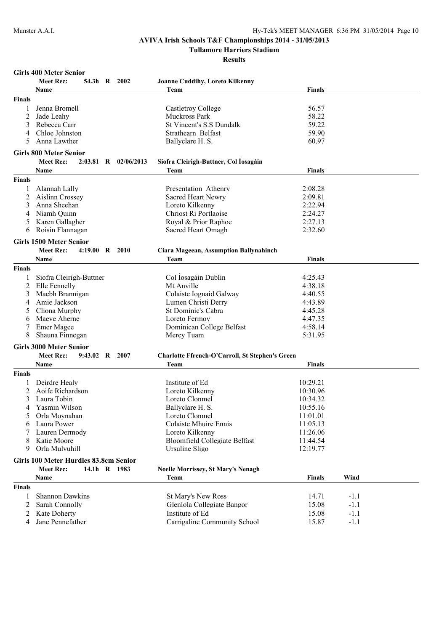**Tullamore Harriers Stadium**

| <b>Girls 400 Meter Senior</b> |  |  |
|-------------------------------|--|--|
|-------------------------------|--|--|

| Team<br><b>Finals</b><br>Name<br><b>Finals</b><br>Jenna Bromell<br>56.57<br>Castletroy College<br>58.22<br>Jade Leahy<br>Muckross Park<br>2<br>59.22<br>Rebecca Carr<br>St Vincent's S.S Dundalk<br>3<br>59.90<br>Chloe Johnston<br>Strathearn Belfast<br>Anna Lawther<br>60.97<br>Ballyclare H. S.<br>5<br><b>Girls 800 Meter Senior</b><br>Siofra Cleirigh-Buttner, Col Íosagáin<br><b>Meet Rec:</b><br>$2:03.81$ R<br>02/06/2013<br>Team<br><b>Finals</b><br>Name<br>Finals<br>Alannah Lally<br>Presentation Athenry<br>2:08.28<br>1<br>Aislinn Crossey<br>Sacred Heart Newry<br>2<br>2:09.81<br>Anna Sheehan<br>Loreto Kilkenny<br>2:22.94<br>Niamh Quinn<br>Chriost Ri Portlaoise<br>2:24.27<br>4<br>Karen Gallagher<br>Royal & Prior Raphoe<br>2:27.13<br>C<br>Roisin Flannagan<br>Sacred Heart Omagh<br>2:32.60<br>6<br><b>Girls 1500 Meter Senior</b><br><b>Meet Rec:</b><br>$4:19.00 \quad R \quad 2010$<br><b>Ciara Mageean, Assumption Ballynahinch</b><br>Team<br><b>Finals</b><br>Name<br>Finals<br>Col Iosagáin Dublin<br>Siofra Cleirigh-Buttner<br>4:25.43<br>Mt Anville<br>Elle Fennelly<br>4:38.18<br>2<br>Maebh Brannigan<br>Colaiste Iognaid Galway<br>4:40.55<br>3<br>Amie Jackson<br>4:43.89<br>Lumen Christi Derry<br>4<br>Cliona Murphy<br>St Dominic's Cabra<br>4:45.28<br>5<br>Maeve Aherne<br>Loreto Fermoy<br>4:47.35<br>6<br>Emer Magee<br>Dominican College Belfast<br>4:58.14<br>Shauna Finnegan<br>8<br>Mercy Tuam<br>5:31.95<br><b>Girls 3000 Meter Senior</b><br>Meet Rec:<br>9:43.02 R 2007<br><b>Charlotte Ffrench-O'Carroll, St Stephen's Green</b><br>Name<br>Team<br><b>Finals</b><br>Finals<br>Institute of Ed<br>Deirdre Healy<br>10:29.21<br>1<br>Aoife Richardson<br>Loreto Kilkenny<br>10:30.96<br>2<br>Laura Tobin<br>Loreto Clonmel<br>10:34.32<br>Yasmin Wilson<br>10:55.16<br>4<br>Ballyclare H. S.<br>Orla Moynahan<br>Loreto Clonmel<br>11:01.01<br>5<br><b>Colaiste Mhuire Ennis</b><br>11:05.13<br>Laura Power<br>6<br>Lauren Dermody<br>Loreto Kilkenny<br>11:26.06<br>7<br><b>Bloomfield Collegiate Belfast</b><br>Katie Moore<br>11:44.54<br>8<br>Orla Mulvuhill<br>Ursuline Sligo<br>12:19.77<br>9<br>Girls 100 Meter Hurdles 83.8cm Senior<br><b>Meet Rec:</b><br>14.1h R 1983<br><b>Noelle Morrissey, St Mary's Nenagh</b><br>Finals<br>Wind<br>Name<br>Team<br><b>Finals</b><br><b>Shannon Dawkins</b><br>St Mary's New Ross<br>14.71<br>$-1.1$<br>1<br>2<br>Sarah Connolly<br>Glenlola Collegiate Bangor<br>15.08<br>$-1.1$<br>Kate Doherty<br>Institute of Ed<br>15.08<br>$-1.1$<br>2<br>Carrigaline Community School<br>Jane Pennefather<br>15.87<br>$-1.1$<br>4 | эн із тоо ілісісі беніо.<br>54.3h R 2002<br>Meet Rec: | <b>Joanne Cuddihy, Loreto Kilkenny</b> |  |  |
|--------------------------------------------------------------------------------------------------------------------------------------------------------------------------------------------------------------------------------------------------------------------------------------------------------------------------------------------------------------------------------------------------------------------------------------------------------------------------------------------------------------------------------------------------------------------------------------------------------------------------------------------------------------------------------------------------------------------------------------------------------------------------------------------------------------------------------------------------------------------------------------------------------------------------------------------------------------------------------------------------------------------------------------------------------------------------------------------------------------------------------------------------------------------------------------------------------------------------------------------------------------------------------------------------------------------------------------------------------------------------------------------------------------------------------------------------------------------------------------------------------------------------------------------------------------------------------------------------------------------------------------------------------------------------------------------------------------------------------------------------------------------------------------------------------------------------------------------------------------------------------------------------------------------------------------------------------------------------------------------------------------------------------------------------------------------------------------------------------------------------------------------------------------------------------------------------------------------------------------------------------------------------------------------------------------------------------------------------------------------------------------------------------------------------------------------------------------------------------------------------------------------------------------------------------------------------------------------------------------------------------|-------------------------------------------------------|----------------------------------------|--|--|
|                                                                                                                                                                                                                                                                                                                                                                                                                                                                                                                                                                                                                                                                                                                                                                                                                                                                                                                                                                                                                                                                                                                                                                                                                                                                                                                                                                                                                                                                                                                                                                                                                                                                                                                                                                                                                                                                                                                                                                                                                                                                                                                                                                                                                                                                                                                                                                                                                                                                                                                                                                                                                                |                                                       |                                        |  |  |
|                                                                                                                                                                                                                                                                                                                                                                                                                                                                                                                                                                                                                                                                                                                                                                                                                                                                                                                                                                                                                                                                                                                                                                                                                                                                                                                                                                                                                                                                                                                                                                                                                                                                                                                                                                                                                                                                                                                                                                                                                                                                                                                                                                                                                                                                                                                                                                                                                                                                                                                                                                                                                                |                                                       |                                        |  |  |
|                                                                                                                                                                                                                                                                                                                                                                                                                                                                                                                                                                                                                                                                                                                                                                                                                                                                                                                                                                                                                                                                                                                                                                                                                                                                                                                                                                                                                                                                                                                                                                                                                                                                                                                                                                                                                                                                                                                                                                                                                                                                                                                                                                                                                                                                                                                                                                                                                                                                                                                                                                                                                                |                                                       |                                        |  |  |
|                                                                                                                                                                                                                                                                                                                                                                                                                                                                                                                                                                                                                                                                                                                                                                                                                                                                                                                                                                                                                                                                                                                                                                                                                                                                                                                                                                                                                                                                                                                                                                                                                                                                                                                                                                                                                                                                                                                                                                                                                                                                                                                                                                                                                                                                                                                                                                                                                                                                                                                                                                                                                                |                                                       |                                        |  |  |
|                                                                                                                                                                                                                                                                                                                                                                                                                                                                                                                                                                                                                                                                                                                                                                                                                                                                                                                                                                                                                                                                                                                                                                                                                                                                                                                                                                                                                                                                                                                                                                                                                                                                                                                                                                                                                                                                                                                                                                                                                                                                                                                                                                                                                                                                                                                                                                                                                                                                                                                                                                                                                                |                                                       |                                        |  |  |
|                                                                                                                                                                                                                                                                                                                                                                                                                                                                                                                                                                                                                                                                                                                                                                                                                                                                                                                                                                                                                                                                                                                                                                                                                                                                                                                                                                                                                                                                                                                                                                                                                                                                                                                                                                                                                                                                                                                                                                                                                                                                                                                                                                                                                                                                                                                                                                                                                                                                                                                                                                                                                                |                                                       |                                        |  |  |
|                                                                                                                                                                                                                                                                                                                                                                                                                                                                                                                                                                                                                                                                                                                                                                                                                                                                                                                                                                                                                                                                                                                                                                                                                                                                                                                                                                                                                                                                                                                                                                                                                                                                                                                                                                                                                                                                                                                                                                                                                                                                                                                                                                                                                                                                                                                                                                                                                                                                                                                                                                                                                                |                                                       |                                        |  |  |
|                                                                                                                                                                                                                                                                                                                                                                                                                                                                                                                                                                                                                                                                                                                                                                                                                                                                                                                                                                                                                                                                                                                                                                                                                                                                                                                                                                                                                                                                                                                                                                                                                                                                                                                                                                                                                                                                                                                                                                                                                                                                                                                                                                                                                                                                                                                                                                                                                                                                                                                                                                                                                                |                                                       |                                        |  |  |
|                                                                                                                                                                                                                                                                                                                                                                                                                                                                                                                                                                                                                                                                                                                                                                                                                                                                                                                                                                                                                                                                                                                                                                                                                                                                                                                                                                                                                                                                                                                                                                                                                                                                                                                                                                                                                                                                                                                                                                                                                                                                                                                                                                                                                                                                                                                                                                                                                                                                                                                                                                                                                                |                                                       |                                        |  |  |
|                                                                                                                                                                                                                                                                                                                                                                                                                                                                                                                                                                                                                                                                                                                                                                                                                                                                                                                                                                                                                                                                                                                                                                                                                                                                                                                                                                                                                                                                                                                                                                                                                                                                                                                                                                                                                                                                                                                                                                                                                                                                                                                                                                                                                                                                                                                                                                                                                                                                                                                                                                                                                                |                                                       |                                        |  |  |
|                                                                                                                                                                                                                                                                                                                                                                                                                                                                                                                                                                                                                                                                                                                                                                                                                                                                                                                                                                                                                                                                                                                                                                                                                                                                                                                                                                                                                                                                                                                                                                                                                                                                                                                                                                                                                                                                                                                                                                                                                                                                                                                                                                                                                                                                                                                                                                                                                                                                                                                                                                                                                                |                                                       |                                        |  |  |
|                                                                                                                                                                                                                                                                                                                                                                                                                                                                                                                                                                                                                                                                                                                                                                                                                                                                                                                                                                                                                                                                                                                                                                                                                                                                                                                                                                                                                                                                                                                                                                                                                                                                                                                                                                                                                                                                                                                                                                                                                                                                                                                                                                                                                                                                                                                                                                                                                                                                                                                                                                                                                                |                                                       |                                        |  |  |
|                                                                                                                                                                                                                                                                                                                                                                                                                                                                                                                                                                                                                                                                                                                                                                                                                                                                                                                                                                                                                                                                                                                                                                                                                                                                                                                                                                                                                                                                                                                                                                                                                                                                                                                                                                                                                                                                                                                                                                                                                                                                                                                                                                                                                                                                                                                                                                                                                                                                                                                                                                                                                                |                                                       |                                        |  |  |
|                                                                                                                                                                                                                                                                                                                                                                                                                                                                                                                                                                                                                                                                                                                                                                                                                                                                                                                                                                                                                                                                                                                                                                                                                                                                                                                                                                                                                                                                                                                                                                                                                                                                                                                                                                                                                                                                                                                                                                                                                                                                                                                                                                                                                                                                                                                                                                                                                                                                                                                                                                                                                                |                                                       |                                        |  |  |
|                                                                                                                                                                                                                                                                                                                                                                                                                                                                                                                                                                                                                                                                                                                                                                                                                                                                                                                                                                                                                                                                                                                                                                                                                                                                                                                                                                                                                                                                                                                                                                                                                                                                                                                                                                                                                                                                                                                                                                                                                                                                                                                                                                                                                                                                                                                                                                                                                                                                                                                                                                                                                                |                                                       |                                        |  |  |
|                                                                                                                                                                                                                                                                                                                                                                                                                                                                                                                                                                                                                                                                                                                                                                                                                                                                                                                                                                                                                                                                                                                                                                                                                                                                                                                                                                                                                                                                                                                                                                                                                                                                                                                                                                                                                                                                                                                                                                                                                                                                                                                                                                                                                                                                                                                                                                                                                                                                                                                                                                                                                                |                                                       |                                        |  |  |
|                                                                                                                                                                                                                                                                                                                                                                                                                                                                                                                                                                                                                                                                                                                                                                                                                                                                                                                                                                                                                                                                                                                                                                                                                                                                                                                                                                                                                                                                                                                                                                                                                                                                                                                                                                                                                                                                                                                                                                                                                                                                                                                                                                                                                                                                                                                                                                                                                                                                                                                                                                                                                                |                                                       |                                        |  |  |
|                                                                                                                                                                                                                                                                                                                                                                                                                                                                                                                                                                                                                                                                                                                                                                                                                                                                                                                                                                                                                                                                                                                                                                                                                                                                                                                                                                                                                                                                                                                                                                                                                                                                                                                                                                                                                                                                                                                                                                                                                                                                                                                                                                                                                                                                                                                                                                                                                                                                                                                                                                                                                                |                                                       |                                        |  |  |
|                                                                                                                                                                                                                                                                                                                                                                                                                                                                                                                                                                                                                                                                                                                                                                                                                                                                                                                                                                                                                                                                                                                                                                                                                                                                                                                                                                                                                                                                                                                                                                                                                                                                                                                                                                                                                                                                                                                                                                                                                                                                                                                                                                                                                                                                                                                                                                                                                                                                                                                                                                                                                                |                                                       |                                        |  |  |
|                                                                                                                                                                                                                                                                                                                                                                                                                                                                                                                                                                                                                                                                                                                                                                                                                                                                                                                                                                                                                                                                                                                                                                                                                                                                                                                                                                                                                                                                                                                                                                                                                                                                                                                                                                                                                                                                                                                                                                                                                                                                                                                                                                                                                                                                                                                                                                                                                                                                                                                                                                                                                                |                                                       |                                        |  |  |
|                                                                                                                                                                                                                                                                                                                                                                                                                                                                                                                                                                                                                                                                                                                                                                                                                                                                                                                                                                                                                                                                                                                                                                                                                                                                                                                                                                                                                                                                                                                                                                                                                                                                                                                                                                                                                                                                                                                                                                                                                                                                                                                                                                                                                                                                                                                                                                                                                                                                                                                                                                                                                                |                                                       |                                        |  |  |
|                                                                                                                                                                                                                                                                                                                                                                                                                                                                                                                                                                                                                                                                                                                                                                                                                                                                                                                                                                                                                                                                                                                                                                                                                                                                                                                                                                                                                                                                                                                                                                                                                                                                                                                                                                                                                                                                                                                                                                                                                                                                                                                                                                                                                                                                                                                                                                                                                                                                                                                                                                                                                                |                                                       |                                        |  |  |
|                                                                                                                                                                                                                                                                                                                                                                                                                                                                                                                                                                                                                                                                                                                                                                                                                                                                                                                                                                                                                                                                                                                                                                                                                                                                                                                                                                                                                                                                                                                                                                                                                                                                                                                                                                                                                                                                                                                                                                                                                                                                                                                                                                                                                                                                                                                                                                                                                                                                                                                                                                                                                                |                                                       |                                        |  |  |
|                                                                                                                                                                                                                                                                                                                                                                                                                                                                                                                                                                                                                                                                                                                                                                                                                                                                                                                                                                                                                                                                                                                                                                                                                                                                                                                                                                                                                                                                                                                                                                                                                                                                                                                                                                                                                                                                                                                                                                                                                                                                                                                                                                                                                                                                                                                                                                                                                                                                                                                                                                                                                                |                                                       |                                        |  |  |
|                                                                                                                                                                                                                                                                                                                                                                                                                                                                                                                                                                                                                                                                                                                                                                                                                                                                                                                                                                                                                                                                                                                                                                                                                                                                                                                                                                                                                                                                                                                                                                                                                                                                                                                                                                                                                                                                                                                                                                                                                                                                                                                                                                                                                                                                                                                                                                                                                                                                                                                                                                                                                                |                                                       |                                        |  |  |
|                                                                                                                                                                                                                                                                                                                                                                                                                                                                                                                                                                                                                                                                                                                                                                                                                                                                                                                                                                                                                                                                                                                                                                                                                                                                                                                                                                                                                                                                                                                                                                                                                                                                                                                                                                                                                                                                                                                                                                                                                                                                                                                                                                                                                                                                                                                                                                                                                                                                                                                                                                                                                                |                                                       |                                        |  |  |
|                                                                                                                                                                                                                                                                                                                                                                                                                                                                                                                                                                                                                                                                                                                                                                                                                                                                                                                                                                                                                                                                                                                                                                                                                                                                                                                                                                                                                                                                                                                                                                                                                                                                                                                                                                                                                                                                                                                                                                                                                                                                                                                                                                                                                                                                                                                                                                                                                                                                                                                                                                                                                                |                                                       |                                        |  |  |
|                                                                                                                                                                                                                                                                                                                                                                                                                                                                                                                                                                                                                                                                                                                                                                                                                                                                                                                                                                                                                                                                                                                                                                                                                                                                                                                                                                                                                                                                                                                                                                                                                                                                                                                                                                                                                                                                                                                                                                                                                                                                                                                                                                                                                                                                                                                                                                                                                                                                                                                                                                                                                                |                                                       |                                        |  |  |
|                                                                                                                                                                                                                                                                                                                                                                                                                                                                                                                                                                                                                                                                                                                                                                                                                                                                                                                                                                                                                                                                                                                                                                                                                                                                                                                                                                                                                                                                                                                                                                                                                                                                                                                                                                                                                                                                                                                                                                                                                                                                                                                                                                                                                                                                                                                                                                                                                                                                                                                                                                                                                                |                                                       |                                        |  |  |
|                                                                                                                                                                                                                                                                                                                                                                                                                                                                                                                                                                                                                                                                                                                                                                                                                                                                                                                                                                                                                                                                                                                                                                                                                                                                                                                                                                                                                                                                                                                                                                                                                                                                                                                                                                                                                                                                                                                                                                                                                                                                                                                                                                                                                                                                                                                                                                                                                                                                                                                                                                                                                                |                                                       |                                        |  |  |
|                                                                                                                                                                                                                                                                                                                                                                                                                                                                                                                                                                                                                                                                                                                                                                                                                                                                                                                                                                                                                                                                                                                                                                                                                                                                                                                                                                                                                                                                                                                                                                                                                                                                                                                                                                                                                                                                                                                                                                                                                                                                                                                                                                                                                                                                                                                                                                                                                                                                                                                                                                                                                                |                                                       |                                        |  |  |
|                                                                                                                                                                                                                                                                                                                                                                                                                                                                                                                                                                                                                                                                                                                                                                                                                                                                                                                                                                                                                                                                                                                                                                                                                                                                                                                                                                                                                                                                                                                                                                                                                                                                                                                                                                                                                                                                                                                                                                                                                                                                                                                                                                                                                                                                                                                                                                                                                                                                                                                                                                                                                                |                                                       |                                        |  |  |
|                                                                                                                                                                                                                                                                                                                                                                                                                                                                                                                                                                                                                                                                                                                                                                                                                                                                                                                                                                                                                                                                                                                                                                                                                                                                                                                                                                                                                                                                                                                                                                                                                                                                                                                                                                                                                                                                                                                                                                                                                                                                                                                                                                                                                                                                                                                                                                                                                                                                                                                                                                                                                                |                                                       |                                        |  |  |
|                                                                                                                                                                                                                                                                                                                                                                                                                                                                                                                                                                                                                                                                                                                                                                                                                                                                                                                                                                                                                                                                                                                                                                                                                                                                                                                                                                                                                                                                                                                                                                                                                                                                                                                                                                                                                                                                                                                                                                                                                                                                                                                                                                                                                                                                                                                                                                                                                                                                                                                                                                                                                                |                                                       |                                        |  |  |
|                                                                                                                                                                                                                                                                                                                                                                                                                                                                                                                                                                                                                                                                                                                                                                                                                                                                                                                                                                                                                                                                                                                                                                                                                                                                                                                                                                                                                                                                                                                                                                                                                                                                                                                                                                                                                                                                                                                                                                                                                                                                                                                                                                                                                                                                                                                                                                                                                                                                                                                                                                                                                                |                                                       |                                        |  |  |
|                                                                                                                                                                                                                                                                                                                                                                                                                                                                                                                                                                                                                                                                                                                                                                                                                                                                                                                                                                                                                                                                                                                                                                                                                                                                                                                                                                                                                                                                                                                                                                                                                                                                                                                                                                                                                                                                                                                                                                                                                                                                                                                                                                                                                                                                                                                                                                                                                                                                                                                                                                                                                                |                                                       |                                        |  |  |
|                                                                                                                                                                                                                                                                                                                                                                                                                                                                                                                                                                                                                                                                                                                                                                                                                                                                                                                                                                                                                                                                                                                                                                                                                                                                                                                                                                                                                                                                                                                                                                                                                                                                                                                                                                                                                                                                                                                                                                                                                                                                                                                                                                                                                                                                                                                                                                                                                                                                                                                                                                                                                                |                                                       |                                        |  |  |
|                                                                                                                                                                                                                                                                                                                                                                                                                                                                                                                                                                                                                                                                                                                                                                                                                                                                                                                                                                                                                                                                                                                                                                                                                                                                                                                                                                                                                                                                                                                                                                                                                                                                                                                                                                                                                                                                                                                                                                                                                                                                                                                                                                                                                                                                                                                                                                                                                                                                                                                                                                                                                                |                                                       |                                        |  |  |
|                                                                                                                                                                                                                                                                                                                                                                                                                                                                                                                                                                                                                                                                                                                                                                                                                                                                                                                                                                                                                                                                                                                                                                                                                                                                                                                                                                                                                                                                                                                                                                                                                                                                                                                                                                                                                                                                                                                                                                                                                                                                                                                                                                                                                                                                                                                                                                                                                                                                                                                                                                                                                                |                                                       |                                        |  |  |
|                                                                                                                                                                                                                                                                                                                                                                                                                                                                                                                                                                                                                                                                                                                                                                                                                                                                                                                                                                                                                                                                                                                                                                                                                                                                                                                                                                                                                                                                                                                                                                                                                                                                                                                                                                                                                                                                                                                                                                                                                                                                                                                                                                                                                                                                                                                                                                                                                                                                                                                                                                                                                                |                                                       |                                        |  |  |
|                                                                                                                                                                                                                                                                                                                                                                                                                                                                                                                                                                                                                                                                                                                                                                                                                                                                                                                                                                                                                                                                                                                                                                                                                                                                                                                                                                                                                                                                                                                                                                                                                                                                                                                                                                                                                                                                                                                                                                                                                                                                                                                                                                                                                                                                                                                                                                                                                                                                                                                                                                                                                                |                                                       |                                        |  |  |
|                                                                                                                                                                                                                                                                                                                                                                                                                                                                                                                                                                                                                                                                                                                                                                                                                                                                                                                                                                                                                                                                                                                                                                                                                                                                                                                                                                                                                                                                                                                                                                                                                                                                                                                                                                                                                                                                                                                                                                                                                                                                                                                                                                                                                                                                                                                                                                                                                                                                                                                                                                                                                                |                                                       |                                        |  |  |
|                                                                                                                                                                                                                                                                                                                                                                                                                                                                                                                                                                                                                                                                                                                                                                                                                                                                                                                                                                                                                                                                                                                                                                                                                                                                                                                                                                                                                                                                                                                                                                                                                                                                                                                                                                                                                                                                                                                                                                                                                                                                                                                                                                                                                                                                                                                                                                                                                                                                                                                                                                                                                                |                                                       |                                        |  |  |
|                                                                                                                                                                                                                                                                                                                                                                                                                                                                                                                                                                                                                                                                                                                                                                                                                                                                                                                                                                                                                                                                                                                                                                                                                                                                                                                                                                                                                                                                                                                                                                                                                                                                                                                                                                                                                                                                                                                                                                                                                                                                                                                                                                                                                                                                                                                                                                                                                                                                                                                                                                                                                                |                                                       |                                        |  |  |
|                                                                                                                                                                                                                                                                                                                                                                                                                                                                                                                                                                                                                                                                                                                                                                                                                                                                                                                                                                                                                                                                                                                                                                                                                                                                                                                                                                                                                                                                                                                                                                                                                                                                                                                                                                                                                                                                                                                                                                                                                                                                                                                                                                                                                                                                                                                                                                                                                                                                                                                                                                                                                                |                                                       |                                        |  |  |
|                                                                                                                                                                                                                                                                                                                                                                                                                                                                                                                                                                                                                                                                                                                                                                                                                                                                                                                                                                                                                                                                                                                                                                                                                                                                                                                                                                                                                                                                                                                                                                                                                                                                                                                                                                                                                                                                                                                                                                                                                                                                                                                                                                                                                                                                                                                                                                                                                                                                                                                                                                                                                                |                                                       |                                        |  |  |
|                                                                                                                                                                                                                                                                                                                                                                                                                                                                                                                                                                                                                                                                                                                                                                                                                                                                                                                                                                                                                                                                                                                                                                                                                                                                                                                                                                                                                                                                                                                                                                                                                                                                                                                                                                                                                                                                                                                                                                                                                                                                                                                                                                                                                                                                                                                                                                                                                                                                                                                                                                                                                                |                                                       |                                        |  |  |
|                                                                                                                                                                                                                                                                                                                                                                                                                                                                                                                                                                                                                                                                                                                                                                                                                                                                                                                                                                                                                                                                                                                                                                                                                                                                                                                                                                                                                                                                                                                                                                                                                                                                                                                                                                                                                                                                                                                                                                                                                                                                                                                                                                                                                                                                                                                                                                                                                                                                                                                                                                                                                                |                                                       |                                        |  |  |
|                                                                                                                                                                                                                                                                                                                                                                                                                                                                                                                                                                                                                                                                                                                                                                                                                                                                                                                                                                                                                                                                                                                                                                                                                                                                                                                                                                                                                                                                                                                                                                                                                                                                                                                                                                                                                                                                                                                                                                                                                                                                                                                                                                                                                                                                                                                                                                                                                                                                                                                                                                                                                                |                                                       |                                        |  |  |
|                                                                                                                                                                                                                                                                                                                                                                                                                                                                                                                                                                                                                                                                                                                                                                                                                                                                                                                                                                                                                                                                                                                                                                                                                                                                                                                                                                                                                                                                                                                                                                                                                                                                                                                                                                                                                                                                                                                                                                                                                                                                                                                                                                                                                                                                                                                                                                                                                                                                                                                                                                                                                                |                                                       |                                        |  |  |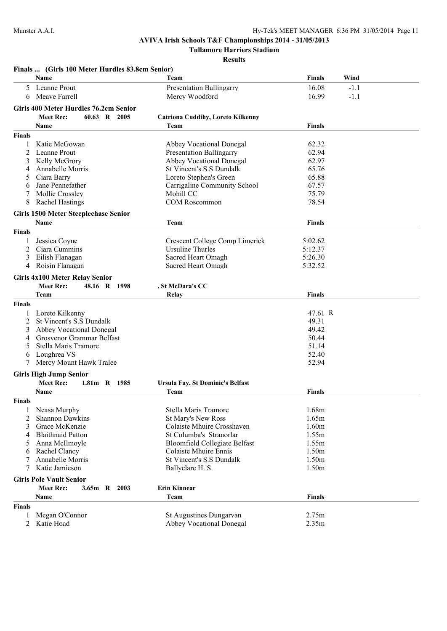**Tullamore Harriers Stadium**

|               | Finals  (Girls 100 Meter Hurdles 83.8cm Senior)                   |                                                                      |                 |  |
|---------------|-------------------------------------------------------------------|----------------------------------------------------------------------|-----------------|--|
|               | Name                                                              | Team                                                                 | Finals<br>Wind  |  |
| 5             | Leanne Prout                                                      | <b>Presentation Ballingarry</b>                                      | 16.08<br>$-1.1$ |  |
| 6             | Meave Farrell                                                     | Mercy Woodford                                                       | 16.99<br>$-1.1$ |  |
|               |                                                                   |                                                                      |                 |  |
|               | Girls 400 Meter Hurdles 76.2cm Senior                             |                                                                      |                 |  |
|               | <b>Meet Rec:</b><br>60.63 R 2005                                  | <b>Catriona Cuddihy, Loreto Kilkenny</b>                             |                 |  |
|               | Name                                                              | Team                                                                 | <b>Finals</b>   |  |
| <b>Finals</b> |                                                                   |                                                                      |                 |  |
| 1             | Katie McGowan                                                     | <b>Abbey Vocational Donegal</b>                                      | 62.32           |  |
| 2             | Leanne Prout                                                      | <b>Presentation Ballingarry</b>                                      | 62.94           |  |
| 3             | Kelly McGrory                                                     | <b>Abbey Vocational Donegal</b>                                      | 62.97           |  |
| 4             | Annabelle Morris                                                  | St Vincent's S.S Dundalk                                             | 65.76           |  |
| 5             | Ciara Barry                                                       | Loreto Stephen's Green                                               | 65.88           |  |
| 6             | Jane Pennefather                                                  | Carrigaline Community School                                         | 67.57           |  |
| 7             | Mollie Crossley                                                   | Mohill CC                                                            | 75.79           |  |
| 8             | <b>Rachel Hastings</b>                                            | COM Roscommon                                                        | 78.54           |  |
|               | <b>Girls 1500 Meter Steeplechase Senior</b>                       |                                                                      |                 |  |
|               | Name                                                              | Team                                                                 | Finals          |  |
| <b>Finals</b> |                                                                   |                                                                      |                 |  |
|               | Jessica Coyne                                                     | Crescent College Comp Limerick                                       | 5:02.62         |  |
| 2             | Ciara Cummins                                                     | Ursuline Thurles                                                     | 5:12.37         |  |
| 3             | Eilish Flanagan                                                   | Sacred Heart Omagh                                                   | 5:26.30         |  |
| 4             | Roisin Flanagan                                                   | Sacred Heart Omagh                                                   | 5:32.52         |  |
|               | <b>Girls 4x100 Meter Relay Senior</b>                             |                                                                      |                 |  |
|               | <b>Meet Rec:</b><br>48.16 R 1998                                  | , St McDara's CC                                                     |                 |  |
|               | Team                                                              | Relay                                                                | Finals          |  |
| <b>Finals</b> |                                                                   |                                                                      |                 |  |
|               | Loreto Kilkenny                                                   |                                                                      | 47.61 R         |  |
| 2             | St Vincent's S.S Dundalk                                          |                                                                      | 49.31           |  |
| 3             | Abbey Vocational Donegal                                          |                                                                      | 49.42           |  |
| 4             | Grosvenor Grammar Belfast                                         |                                                                      | 50.44           |  |
| 5             | Stella Maris Tramore                                              |                                                                      | 51.14           |  |
| 6             | Loughrea VS                                                       |                                                                      | 52.40           |  |
|               | Mercy Mount Hawk Tralee                                           |                                                                      | 52.94           |  |
|               |                                                                   |                                                                      |                 |  |
|               | <b>Girls High Jump Senior</b><br><b>Meet Rec:</b><br>1.81m R 1985 |                                                                      |                 |  |
|               | Name                                                              | Ursula Fay, St Dominic's Belfast<br>Team                             | <b>Finals</b>   |  |
|               |                                                                   |                                                                      |                 |  |
| <b>Finals</b> |                                                                   |                                                                      |                 |  |
|               | Neasa Murphy                                                      | Stella Maris Tramore                                                 | 1.68m           |  |
| 2             | Shannon Dawkins                                                   | <b>St Mary's New Ross</b>                                            | 1.65m           |  |
| 3             | Grace McKenzie                                                    | Colaiste Mhuire Crosshaven<br>St Columba's Stranorlar                | 1.60m           |  |
| 4             | <b>Blaithnaid Patton</b>                                          |                                                                      | 1.55m           |  |
| 5             | Anna McIlmoyle                                                    | <b>Bloomfield Collegiate Belfast</b><br><b>Colaiste Mhuire Ennis</b> | 1.55m<br>1.50m  |  |
| 6             | Rachel Clancy                                                     | <b>St Vincent's S.S Dundalk</b>                                      |                 |  |
| 7             | Annabelle Morris<br>Katie Jamieson                                | Ballyclare H. S.                                                     | 1.50m<br>1.50m  |  |
|               |                                                                   |                                                                      |                 |  |
|               | <b>Girls Pole Vault Senior</b>                                    |                                                                      |                 |  |
|               | <b>Meet Rec:</b><br>2003<br>3.65m<br>R                            | <b>Erin Kinnear</b>                                                  |                 |  |
|               | <b>Name</b>                                                       | Team                                                                 | Finals          |  |
| <b>Finals</b> |                                                                   |                                                                      |                 |  |
| 1             | Megan O'Connor                                                    | St Augustines Dungarvan                                              | 2.75m           |  |
| 2             | Katie Hoad                                                        | <b>Abbey Vocational Donegal</b>                                      | 2.35m           |  |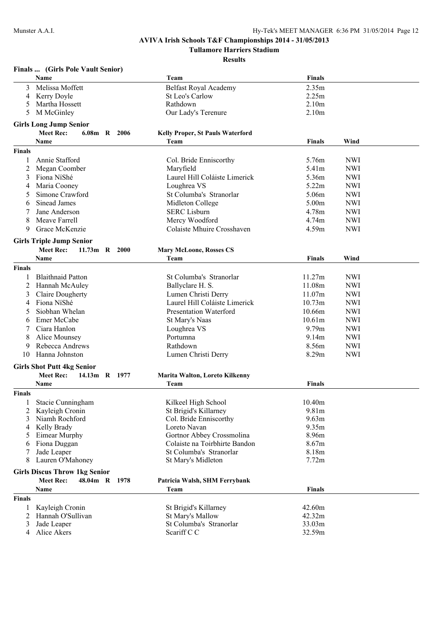**Tullamore Harriers Stadium**

|                | Finals  (Girls Pole Vault Senior)    |  |                                         |               |            |
|----------------|--------------------------------------|--|-----------------------------------------|---------------|------------|
|                | Name                                 |  | Team                                    | <b>Finals</b> |            |
| 3              | Melissa Moffett                      |  | <b>Belfast Royal Academy</b>            | 2.35m         |            |
| 4              | Kerry Doyle                          |  | St Leo's Carlow                         | 2.25m         |            |
| 5              | Martha Hossett                       |  | Rathdown                                | 2.10m         |            |
| 5              | M McGinley                           |  | Our Lady's Terenure                     | 2.10m         |            |
|                | <b>Girls Long Jump Senior</b>        |  |                                         |               |            |
|                | <b>Meet Rec:</b><br>6.08m R 2006     |  | <b>Kelly Proper, St Pauls Waterford</b> |               |            |
|                | Name                                 |  | Team                                    | <b>Finals</b> | Wind       |
| <b>Finals</b>  |                                      |  |                                         |               |            |
| 1              | Annie Stafford                       |  | Col. Bride Enniscorthy                  | 5.76m         | <b>NWI</b> |
| 2              | Megan Coomber                        |  | Maryfield                               | 5.41m         | <b>NWI</b> |
| 3              | Fiona NíShé                          |  | Laurel Hill Coláiste Limerick           | 5.36m         | <b>NWI</b> |
| 4              | Maria Cooney                         |  | Loughrea VS                             | 5.22m         | <b>NWI</b> |
| 5              | Simone Crawford                      |  | St Columba's Stranorlar                 | 5.06m         | <b>NWI</b> |
| 6              | Sinead James                         |  | Midleton College                        | 5.00m         | <b>NWI</b> |
|                | Jane Anderson                        |  | <b>SERC</b> Lisburn                     | 4.78m         | <b>NWI</b> |
| 8              | Meave Farrell                        |  | Mercy Woodford                          | 4.74m         | <b>NWI</b> |
| 9              | Grace McKenzie                       |  | Colaiste Mhuire Crosshaven              | 4.59m         | <b>NWI</b> |
|                |                                      |  |                                         |               |            |
|                | <b>Girls Triple Jump Senior</b>      |  |                                         |               |            |
|                | <b>Meet Rec:</b><br>11.73m R 2000    |  | <b>Mary McLoone, Rosses CS</b>          |               |            |
|                | Name                                 |  | Team                                    | <b>Finals</b> | Wind       |
| <b>Finals</b>  |                                      |  |                                         |               |            |
| 1              | <b>Blaithnaid Patton</b>             |  | St Columba's Stranorlar                 | 11.27m        | <b>NWI</b> |
| 2              | Hannah McAuley                       |  | Ballyclare H. S.                        | 11.08m        | <b>NWI</b> |
| 3              | <b>Claire Dougherty</b>              |  | Lumen Christi Derry                     | 11.07m        | <b>NWI</b> |
| 4              | Fiona NíShé                          |  | Laurel Hill Coláiste Limerick           | 10.73m        | <b>NWI</b> |
| 5              | Siobhan Whelan                       |  | <b>Presentation Waterford</b>           | 10.66m        | <b>NWI</b> |
| 6              | Emer McCabe                          |  | St Mary's Naas                          | 10.61m        | <b>NWI</b> |
|                | Ciara Hanlon                         |  | Loughrea VS                             | 9.79m         | <b>NWI</b> |
| 8              | Alice Mounsey                        |  | Portumna                                | 9.14m         | <b>NWI</b> |
| 9              | Rebecca Andrews                      |  | Rathdown                                | 8.56m         | <b>NWI</b> |
| 10             | Hanna Johnston                       |  | Lumen Christi Derry                     | 8.29m         | <b>NWI</b> |
|                | <b>Girls Shot Putt 4kg Senior</b>    |  |                                         |               |            |
|                | <b>Meet Rec:</b><br>14.13m R 1977    |  | Marita Walton, Loreto Kilkenny          |               |            |
|                | Name                                 |  | Team                                    | <b>Finals</b> |            |
| <b>Finals</b>  |                                      |  |                                         |               |            |
| 1              | Stacie Cunningham                    |  | Kilkeel High School                     | 10.40m        |            |
| 2              | Kayleigh Cronin                      |  | St Brigid's Killarney                   | 9.81m         |            |
| 3              | Niamh Rochford                       |  | Col. Bride Enniscorthy                  | 9.63m         |            |
| 4              | Kelly Brady                          |  | Loreto Navan                            | 9.35m         |            |
| 5              | Eimear Murphy                        |  | Gortnor Abbey Crossmolina               | 8.96m         |            |
| 6              | Fiona Duggan                         |  | Colaiste na Toirbhirte Bandon           | 8.67m         |            |
|                | Jade Leaper                          |  | St Columba's Stranorlar                 | 8.18m         |            |
| 8              | Lauren O'Mahoney                     |  | St Mary's Midleton                      | 7.72m         |            |
|                | <b>Girls Discus Throw 1kg Senior</b> |  |                                         |               |            |
|                | <b>Meet Rec:</b><br>48.04m R 1978    |  | Patricia Walsh, SHM Ferrybank           |               |            |
|                | Name                                 |  | Team                                    | <b>Finals</b> |            |
| <b>Finals</b>  |                                      |  |                                         |               |            |
| 1              | Kayleigh Cronin                      |  | St Brigid's Killarney                   | 42.60m        |            |
| $\overline{2}$ | Hannah O'Sullivan                    |  | St Mary's Mallow                        | 42.32m        |            |
| 3              | Jade Leaper                          |  | St Columba's Stranorlar                 | 33.03m        |            |
| 4              | Alice Akers                          |  | Scariff C C                             | 32.59m        |            |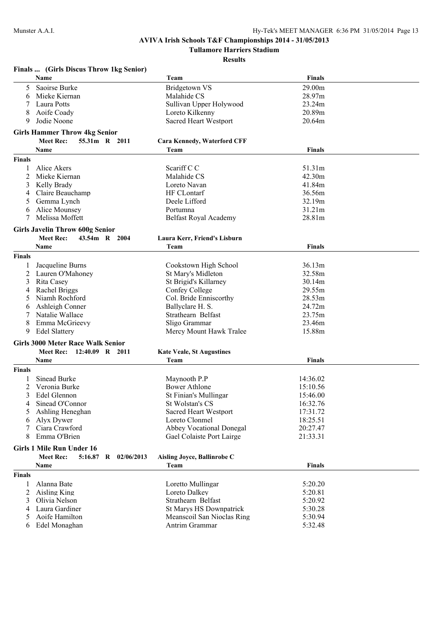**Tullamore Harriers Stadium**

|               | Finals  (Girls Discus Throw 1kg Senior)     |                                    |               |
|---------------|---------------------------------------------|------------------------------------|---------------|
|               | Name                                        | Team                               | <b>Finals</b> |
| 5             | Saoirse Burke                               | <b>Bridgetown VS</b>               | 29.00m        |
| 6             | Mieke Kiernan                               | Malahide CS                        | 28.97m        |
|               | Laura Potts                                 | Sullivan Upper Holywood            | 23.24m        |
| 8             | Aoife Coady                                 | Loreto Kilkenny                    | 20.89m        |
| 9             | Jodie Noone                                 | Sacred Heart Westport              | 20.64m        |
|               |                                             |                                    |               |
|               | <b>Girls Hammer Throw 4kg Senior</b>        |                                    |               |
|               | <b>Meet Rec:</b><br>55.31m R 2011           | <b>Cara Kennedy, Waterford CFF</b> |               |
|               | Name                                        | Team                               | <b>Finals</b> |
| <b>Finals</b> |                                             |                                    |               |
|               | Alice Akers                                 | Scariff C C                        | 51.31m        |
| 2             | Mieke Kiernan                               | Malahide CS                        | 42.30m        |
| 3             | Kelly Brady                                 | Loreto Navan                       | 41.84m        |
| 4             | Claire Beauchamp                            | HF CLontarf                        | 36.56m        |
| 5             | Gemma Lynch                                 | Deele Lifford                      | 32.19m        |
| 6             | Alice Mounsey                               | Portumna                           | 31.21m        |
| 7             | Melissa Moffett                             | <b>Belfast Royal Academy</b>       | 28.81m        |
|               | <b>Girls Javelin Throw 600g Senior</b>      |                                    |               |
|               | <b>Meet Rec:</b><br>43.54m R 2004           | Laura Kerr, Friend's Lisburn       |               |
|               | Name                                        | Team                               | <b>Finals</b> |
| <b>Finals</b> |                                             |                                    |               |
| 1             | Jacqueline Burns                            | Cookstown High School              | 36.13m        |
| 2             | Lauren O'Mahoney                            | St Mary's Midleton                 | 32.58m        |
| 3             | Rita Casey                                  | St Brigid's Killarney              | 30.14m        |
| 4             | Rachel Briggs                               | Confey College                     | 29.55m        |
| 5             | Niamh Rochford                              | Col. Bride Enniscorthy             | 28.53m        |
| 6             | Ashleigh Conner                             | Ballyclare H. S.                   | 24.72m        |
| 7             | Natalie Wallace                             | Strathearn Belfast                 | 23.75m        |
| 8             | Emma McGrieevy                              | Sligo Grammar                      | 23.46m        |
| 9             | <b>Edel Slattery</b>                        | Mercy Mount Hawk Tralee            | 15.88m        |
|               |                                             |                                    |               |
|               | <b>Girls 3000 Meter Race Walk Senior</b>    |                                    |               |
|               | <b>Meet Rec:</b><br>12:40.09 R 2011         | <b>Kate Veale, St Augustines</b>   |               |
|               | Name                                        | Team                               | <b>Finals</b> |
| <b>Finals</b> |                                             |                                    |               |
|               | Sinead Burke                                | Maynooth P.P                       | 14:36.02      |
| 2             | Veronia Burke                               | <b>Bower Athlone</b>               | 15:10.56      |
| 3             | Edel Glennon                                | St Finian's Mullingar              | 15:46.00      |
| 4             | Sinead O'Connor                             | St Wolstan's CS                    | 16:32.76      |
| 5             | Ashling Heneghan                            | Sacred Heart Westport              | 17:31.72      |
| 6             | Alyx Dywer                                  | Loreto Clonmel                     | 18:25.51      |
| 7             | Ciara Crawford                              | <b>Abbey Vocational Donegal</b>    | 20:27.47      |
| 8             | Emma O'Brien                                | Gael Colaiste Port Lairge          | 21:33.31      |
|               | <b>Girls 1 Mile Run Under 16</b>            |                                    |               |
|               | <b>Meet Rec:</b><br>5:16.87 R<br>02/06/2013 | Aisling Joyce, Ballinrobe C        |               |
|               | <b>Name</b>                                 | Team                               | <b>Finals</b> |
| <b>Finals</b> |                                             |                                    |               |
| 1             | Alanna Bate                                 | Loretto Mullingar                  | 5:20.20       |
| 2             | Aisling King                                | Loreto Dalkey                      | 5:20.81       |
| 3             | Olivia Nelson                               | Strathearn Belfast                 | 5:20.92       |
| 4             | Laura Gardiner                              | St Marys HS Downpatrick            | 5:30.28       |
| 5             | Aoife Hamilton                              | Meanscoil San Nioclas Ring         | 5:30.94       |
| 6             | Edel Monaghan                               | Antrim Grammar                     | 5:32.48       |
|               |                                             |                                    |               |
|               |                                             |                                    |               |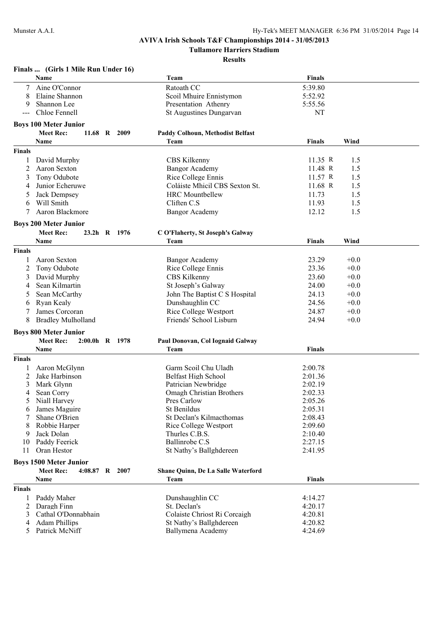**Finals ... (Girls 1 Mile Run Under 16)**

## **AVIVA Irish Schools T&F Championships 2014 - 31/05/2013**

**Tullamore Harriers Stadium**

|               | Name                                              |                |      | Team                                                 | <b>Finals</b>      |            |  |
|---------------|---------------------------------------------------|----------------|------|------------------------------------------------------|--------------------|------------|--|
|               | Aine O'Connor                                     |                |      | Ratoath CC                                           | 5:39.80            |            |  |
| 8             | Elaine Shannon                                    |                |      | Scoil Mhuire Ennistymon                              | 5:52.92            |            |  |
| 9             | Shannon Lee                                       |                |      | Presentation Athenry                                 | 5:55.56            |            |  |
|               | Chloe Fennell                                     |                |      | <b>St Augustines Dungarvan</b>                       | NT                 |            |  |
|               | <b>Boys 100 Meter Junior</b>                      |                |      |                                                      |                    |            |  |
|               | <b>Meet Rec:</b>                                  | 11.68 R        | 2009 | <b>Paddy Colhoun, Methodist Belfast</b>              |                    |            |  |
|               | Name                                              |                |      | Team                                                 | <b>Finals</b>      | Wind       |  |
| <b>Finals</b> |                                                   |                |      |                                                      |                    |            |  |
|               |                                                   |                |      |                                                      |                    |            |  |
| 1<br>2        | David Murphy<br>Aaron Sexton                      |                |      | CBS Kilkenny                                         | 11.35 R<br>11.48 R | 1.5<br>1.5 |  |
|               |                                                   |                |      | <b>Bangor Academy</b>                                | 11.57 R            | 1.5        |  |
| 3             | Tony Odubote                                      |                |      | Rice College Ennis<br>Coláiste Mhicil CBS Sexton St. |                    |            |  |
| 4             | Junior Echeruwe                                   |                |      |                                                      | 11.68 R            | 1.5        |  |
| 5             | Jack Dempsey                                      |                |      | <b>HRC</b> Mountbellew                               | 11.73              | 1.5        |  |
| 6             | Will Smith                                        |                |      | Cliften C.S                                          | 11.93              | 1.5        |  |
| 7             | Aaron Blackmore                                   |                |      | <b>Bangor Academy</b>                                | 12.12              | 1.5        |  |
|               | <b>Boys 200 Meter Junior</b>                      |                |      |                                                      |                    |            |  |
|               | <b>Meet Rec:</b>                                  | 23.2h R 1976   |      | C O'Flaherty, St Joseph's Galway                     |                    |            |  |
|               | Name                                              |                |      | Team                                                 | <b>Finals</b>      | Wind       |  |
| <b>Finals</b> |                                                   |                |      |                                                      |                    |            |  |
|               | Aaron Sexton                                      |                |      | Bangor Academy                                       | 23.29              | $+0.0$     |  |
| 2             | Tony Odubote                                      |                |      | Rice College Ennis                                   | 23.36              | $+0.0$     |  |
| 3             | David Murphy                                      |                |      | CBS Kilkenny                                         | 23.60              | $+0.0$     |  |
| 4             | Sean Kilmartin                                    |                |      | St Joseph's Galway                                   | 24.00              | $+0.0$     |  |
| 5             | Sean McCarthy                                     |                |      | John The Baptist C S Hospital                        | 24.13              | $+0.0$     |  |
| 6             | Ryan Kealy                                        |                |      | Dunshaughlin CC                                      | 24.56              | $+0.0$     |  |
| 7             | James Corcoran                                    |                |      | <b>Rice College Westport</b>                         | 24.87              | $+0.0$     |  |
| 8             | <b>Bradley Mulholland</b>                         |                |      | Friends' School Lisburn                              | 24.94              | $+0.0$     |  |
|               | <b>Boys 800 Meter Junior</b>                      |                |      |                                                      |                    |            |  |
|               | <b>Meet Rec:</b>                                  | 2:00.0h R 1978 |      | Paul Donovan, Col Iognaid Galway                     |                    |            |  |
|               | Name                                              |                |      | Team                                                 | <b>Finals</b>      |            |  |
| <b>Finals</b> |                                                   |                |      |                                                      |                    |            |  |
|               |                                                   |                |      | Garm Scoil Chu Uladh                                 | 2:00.78            |            |  |
| 2             | Aaron McGlynn<br>Jake Harbinson                   |                |      | Belfast High School                                  | 2:01.36            |            |  |
| 3             | Mark Glynn                                        |                |      | Patrician Newbridge                                  | 2:02.19            |            |  |
| 4             | Sean Corry                                        |                |      | Omagh Christian Brothers                             | 2:02.33            |            |  |
| 5             | Niall Harvey                                      |                |      | Pres Carlow                                          | 2:05.26            |            |  |
|               | 6 James Maguire                                   |                |      | St Benildus                                          | 2:05.31            |            |  |
|               | Shane O'Brien                                     |                |      | St Declan's Kilmacthomas                             | 2:08.43            |            |  |
| 8             | Robbie Harper                                     |                |      | Rice College Westport                                | 2:09.60            |            |  |
| 9             | Jack Dolan                                        |                |      | Thurles C.B.S.                                       | 2:10.40            |            |  |
| 10            | Paddy Feerick                                     |                |      | Ballinrobe C.S                                       | 2:27.15            |            |  |
| 11            | Oran Hestor                                       |                |      | St Nathy's Ballghdereen                              | 2:41.95            |            |  |
|               |                                                   |                |      |                                                      |                    |            |  |
|               | <b>Boys 1500 Meter Junior</b><br><b>Meet Rec:</b> | 4:08.87 R 2007 |      | <b>Shane Quinn, De La Salle Waterford</b>            |                    |            |  |
|               |                                                   |                |      |                                                      | <b>Finals</b>      |            |  |
|               | Name                                              |                |      | Team                                                 |                    |            |  |
| <b>Finals</b> |                                                   |                |      |                                                      |                    |            |  |
|               | Paddy Maher                                       |                |      | Dunshaughlin CC                                      | 4:14.27            |            |  |
| 2             | Daragh Finn                                       |                |      | St. Declan's                                         | 4:20.17            |            |  |
| 3             | Cathal O'Donnabhain                               |                |      | Colaiste Chriost Ri Corcaigh                         | 4:20.81            |            |  |
| 4             | <b>Adam Phillips</b>                              |                |      | St Nathy's Ballghdereen                              | 4:20.82            |            |  |
| 5             | Patrick McNiff                                    |                |      | Ballymena Academy                                    | 4:24.69            |            |  |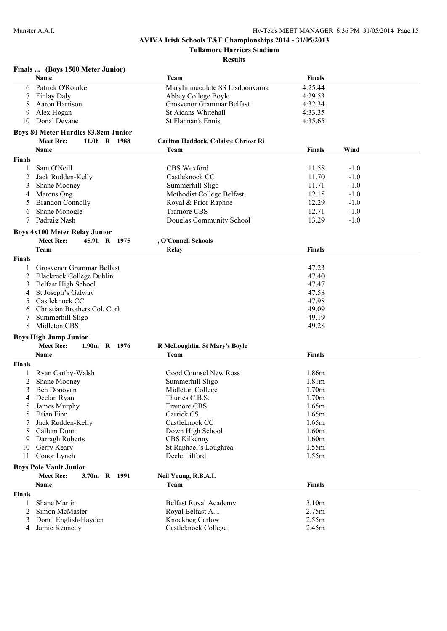**Tullamore Harriers Stadium**

|               | Finals  (Boys 1500 Meter Junior)           |                                      |                   |        |
|---------------|--------------------------------------------|--------------------------------------|-------------------|--------|
|               | Name                                       | Team                                 | <b>Finals</b>     |        |
| 6             | Patrick O'Rourke                           | MaryImmaculate SS Lisdoonvarna       | 4:25.44           |        |
| 7             | <b>Finlay Daly</b>                         | Abbey College Boyle                  | 4:29.53           |        |
| 8             | Aaron Harrison                             | Grosvenor Grammar Belfast            | 4:32.34           |        |
| 9             | Alex Hogan                                 | St Aidans Whitehall                  | 4:33.35           |        |
| 10            | Donal Devane                               | St Flannan's Ennis                   | 4:35.65           |        |
|               | <b>Boys 80 Meter Hurdles 83.8cm Junior</b> |                                      |                   |        |
|               | <b>Meet Rec:</b><br>11.0h R 1988           | Carlton Haddock, Colaiste Chriost Ri |                   |        |
|               | Name                                       | Team                                 | <b>Finals</b>     | Wind   |
| <b>Finals</b> |                                            |                                      |                   |        |
| 1             | Sam O'Neill                                | <b>CBS</b> Wexford                   | 11.58             | $-1.0$ |
|               |                                            |                                      |                   |        |
| 2             | Jack Rudden-Kelly                          | Castleknock CC                       | 11.70             | $-1.0$ |
| 3             | Shane Mooney                               | Summerhill Sligo                     | 11.71             | $-1.0$ |
| 4             | Marcus Ong                                 | Methodist College Belfast            | 12.15             | $-1.0$ |
| 5             | <b>Brandon Connolly</b>                    | Royal & Prior Raphoe                 | 12.29             | $-1.0$ |
| 6             | Shane Monogle                              | <b>Tramore CBS</b>                   | 12.71             | $-1.0$ |
| 7             | Padraig Nash                               | Douglas Community School             | 13.29             | $-1.0$ |
|               | <b>Boys 4x100 Meter Relay Junior</b>       |                                      |                   |        |
|               | <b>Meet Rec:</b><br>45.9h R 1975           | , O'Connell Schools                  |                   |        |
|               | Team                                       | Relay                                | Finals            |        |
| <b>Finals</b> |                                            |                                      |                   |        |
| 1             | Grosvenor Grammar Belfast                  |                                      | 47.23             |        |
| 2             | <b>Blackrock College Dublin</b>            |                                      | 47.40             |        |
| 3             | Belfast High School                        |                                      | 47.47             |        |
| 4             | St Joseph's Galway                         |                                      | 47.58             |        |
| 5             | Castleknock CC                             |                                      | 47.98             |        |
| 6             | Christian Brothers Col. Cork               |                                      | 49.09             |        |
| 7             | Summerhill Sligo                           |                                      | 49.19             |        |
| 8             | Midleton CBS                               |                                      | 49.28             |        |
|               | <b>Boys High Jump Junior</b>               |                                      |                   |        |
|               | <b>Meet Rec:</b><br>1.90m R 1976           | R McLoughlin, St Mary's Boyle        |                   |        |
|               | Name                                       | Team                                 | <b>Finals</b>     |        |
| <b>Finals</b> |                                            |                                      |                   |        |
|               |                                            | Good Counsel New Ross                | 1.86m             |        |
| 1             | Ryan Carthy-Walsh<br>Shane Mooney          | Summerhill Sligo                     | 1.81 <sub>m</sub> |        |
| 2<br>3        | Ben Donovan                                | Midleton College                     | 1.70m             |        |
| 4             | Declan Ryan                                | Thurles C.B.S.                       | 1.70m             |        |
| 5             | James Murphy                               | <b>Tramore CBS</b>                   | 1.65m             |        |
| 5             | <b>Brian Finn</b>                          | Carrick CS                           | 1.65m             |        |
|               | Jack Rudden-Kelly                          | Castleknock CC                       | 1.65m             |        |
| 8             | Callum Dunn                                | Down High School                     | 1.60m             |        |
| 9             | Darragh Roberts                            | <b>CBS</b> Kilkenny                  | 1.60m             |        |
| 10            | Gerry Keary                                | St Raphael's Loughrea                | 1.55m             |        |
| 11            | Conor Lynch                                | Deele Lifford                        | 1.55m             |        |
|               |                                            |                                      |                   |        |
|               | <b>Boys Pole Vault Junior</b>              |                                      |                   |        |
|               | <b>Meet Rec:</b><br>3.70m R 1991           | Neil Young, R.B.A.I.                 |                   |        |
|               | Name                                       | Team                                 | <b>Finals</b>     |        |
| <b>Finals</b> |                                            |                                      |                   |        |
| 1             | Shane Martin                               | Belfast Royal Academy                | 3.10m             |        |
| 2             | Simon McMaster                             | Royal Belfast A. I                   | 2.75m             |        |
| 3             | Donal English-Hayden                       | Knockbeg Carlow                      | 2.55m             |        |
| 4             | Jamie Kennedy                              | Castleknock College                  | 2.45m             |        |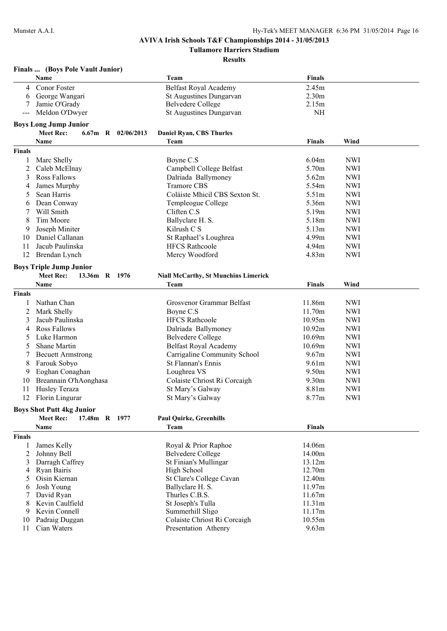**Tullamore Harriers Stadium**

|               | Finals  (Boys Pole Vault Junior)           |                                             |                   |            |
|---------------|--------------------------------------------|---------------------------------------------|-------------------|------------|
|               | Name                                       | Team                                        | Finals            |            |
| 4             | Conor Foster                               | <b>Belfast Royal Academy</b>                | 2.45m             |            |
| 6             | George Wangari                             | St Augustines Dungarvan                     | 2.30 <sub>m</sub> |            |
|               | Jamie O'Grady                              | <b>Belvedere College</b>                    | 2.15m             |            |
| $---$         | Meldon O'Dwyer                             | <b>St Augustines Dungarvan</b>              | <b>NH</b>         |            |
|               | <b>Boys Long Jump Junior</b>               |                                             |                   |            |
|               | <b>Meet Rec:</b><br>$6.67m$ R $02/06/2013$ | <b>Daniel Ryan, CBS Thurles</b>             |                   |            |
|               | Name                                       | Team                                        | <b>Finals</b>     | Wind       |
| <b>Finals</b> |                                            |                                             |                   |            |
| 1             | Marc Shelly                                | Boyne C.S                                   | 6.04m             | <b>NWI</b> |
| 2             | Caleb McElnay                              | Campbell College Belfast                    | 5.70m             | <b>NWI</b> |
| 3             | Ross Fallows                               | Dalriada Ballymoney                         | 5.62m             | <b>NWI</b> |
| 4             | James Murphy                               | <b>Tramore CBS</b>                          | 5.54m             | <b>NWI</b> |
| 5             | Sean Harris                                | Coláiste Mhicil CBS Sexton St.              | 5.51m             | <b>NWI</b> |
| 6             | Dean Conway                                | Templeogue College                          | 5.36m             | <b>NWI</b> |
| 7             | Will Smith                                 | Cliften C.S                                 | 5.19m             | <b>NWI</b> |
| 8             | Tim Moore                                  | Ballyclare H. S.                            | 5.18m             | <b>NWI</b> |
| 9             | Joseph Miniter                             | Kilrush C S                                 | 5.13m             | <b>NWI</b> |
| 10            | Daniel Callanan                            | St Raphael's Loughrea                       | 4.99m             | <b>NWI</b> |
| 11            | Jacub Paulinska                            | <b>HFCS Rathcoole</b>                       | 4.94m             | <b>NWI</b> |
| 12            | Brendan Lynch                              | Mercy Woodford                              | 4.83m             | <b>NWI</b> |
|               |                                            |                                             |                   |            |
|               | <b>Boys Triple Jump Junior</b>             |                                             |                   |            |
|               | <b>Meet Rec:</b><br>13.36m R 1976          | <b>Niall McCarthy, St Munchins Limerick</b> |                   |            |
|               | Name                                       | Team                                        | <b>Finals</b>     | Wind       |
| <b>Finals</b> |                                            |                                             |                   |            |
|               | Nathan Chan                                | Grosvenor Grammar Belfast                   | 11.86m            | <b>NWI</b> |
| 2             | Mark Shelly                                | Boyne C.S                                   | 11.70m            | <b>NWI</b> |
| 3             | Jacub Paulinska                            | <b>HFCS Rathcoole</b>                       | 10.95m            | <b>NWI</b> |
| 4             | <b>Ross Fallows</b>                        | Dalriada Ballymoney                         | 10.92m            | <b>NWI</b> |
| 5             | Luke Harmon                                | <b>Belvedere College</b>                    | 10.69m            | <b>NWI</b> |
| 5             | Shane Martin                               | Belfast Royal Academy                       | 10.69m            | <b>NWI</b> |
| 7             | <b>Becuett Armstrong</b>                   | Carrigaline Community School                | 9.67m             | <b>NWI</b> |
| 8             | Farouk Sobyo                               | St Flannan's Ennis                          | 9.61m             | <b>NWI</b> |
| 9             | Eoghan Conaghan                            | Loughrea VS                                 | 9.50m             | <b>NWI</b> |
| 10            | Breannain O'hAonghasa                      | Colaiste Chriost Ri Corcaigh                | 9.30 <sub>m</sub> | <b>NWI</b> |
| 11            | Husley Teraza                              | St Mary's Galway                            | 8.81m             | <b>NWI</b> |
| 12            | Florin Lingurar                            | St Mary's Galway                            | 8.77m             | <b>NWI</b> |
|               | <b>Boys Shot Putt 4kg Junior</b>           |                                             |                   |            |
|               | <b>Meet Rec:</b><br>17.48m R 1977          | <b>Paul Quirke, Greenhills</b>              |                   |            |
|               | Name                                       | Team                                        | <b>Finals</b>     |            |
| <b>Finals</b> |                                            |                                             |                   |            |
| 1             | James Kelly                                | Royal & Prior Raphoe                        | 14.06m            |            |
| 2             | Johnny Bell                                | <b>Belvedere College</b>                    | 14.00m            |            |
| 3             | Darragh Caffrey                            | St Finian's Mullingar                       | 13.12m            |            |
| 4             | Ryan Bairis                                | High School                                 | 12.70m            |            |
| 5             | Oisin Kiernan                              | St Clare's College Cavan                    | 12.40m            |            |
| 6             | Josh Young                                 | Ballyclare H. S.                            | 11.97m            |            |
|               | David Ryan                                 | Thurles C.B.S.                              | 11.67m            |            |
| 8             | Kevin Caulfield                            | St Joseph's Tulla                           | 11.31m            |            |
| 9             | Kevin Connell                              | Summerhill Sligo                            | 11.17m            |            |
| 10            | Padraig Duggan                             | Colaiste Chriost Ri Corcaigh                | 10.55m            |            |
| 11            | Cian Waters                                | Presentation Athenry                        | 9.63m             |            |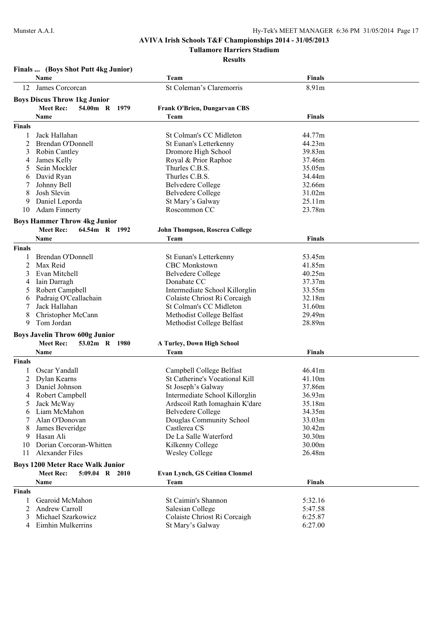**Tullamore Harriers Stadium**

**Results**

# **Finals ... (Boys Shot Putt 4kg Junior)**

|               | Name                                    | Team                                  | Finals           |  |
|---------------|-----------------------------------------|---------------------------------------|------------------|--|
| 12            | James Corcorcan                         | St Coleman's Claremorris              | 8.91m            |  |
|               | <b>Boys Discus Throw 1kg Junior</b>     |                                       |                  |  |
|               |                                         |                                       |                  |  |
|               | <b>Meet Rec:</b><br>54.00m R 1979       | <b>Frank O'Brien, Dungarvan CBS</b>   |                  |  |
|               | Name                                    | Team                                  | <b>Finals</b>    |  |
| <b>Finals</b> |                                         |                                       |                  |  |
|               | Jack Hallahan                           | St Colman's CC Midleton               | 44.77m           |  |
| 2             | Brendan O'Donnell                       | <b>St Eunan's Letterkenny</b>         | 44.23m           |  |
| 3             | Robin Cantley                           | Dromore High School                   | 39.83m           |  |
| 4             | James Kelly                             | Royal & Prior Raphoe                  | 37.46m           |  |
| 5             | Seán Mockler                            | Thurles C.B.S.                        | 35.05m           |  |
| 6             | David Ryan                              | Thurles C.B.S.                        | 34.44m           |  |
|               | Johnny Bell                             | <b>Belvedere College</b>              | 32.66m           |  |
| 8             | Josh Slevin                             | Belvedere College                     | 31.02m           |  |
| 9             | Daniel Leporda                          | St Mary's Galway                      | 25.11m           |  |
| 10            | <b>Adam Finnerty</b>                    | Roscommon CC                          | 23.78m           |  |
|               | <b>Boys Hammer Throw 4kg Junior</b>     |                                       |                  |  |
|               | <b>Meet Rec:</b><br>64.54m R 1992       | John Thompson, Roscrea College        |                  |  |
|               | Name                                    | Team                                  | <b>Finals</b>    |  |
| <b>Finals</b> |                                         |                                       |                  |  |
| 1             | Brendan O'Donnell                       | St Eunan's Letterkenny                | 53.45m           |  |
| 2             | Max Reid                                | <b>CBC</b> Monkstown                  | 41.85m           |  |
| 3             | Evan Mitchell                           | <b>Belvedere College</b>              | 40.25m           |  |
|               | Iain Darragh                            | Donabate CC                           | 37.37m           |  |
| 4             | Robert Campbell                         | Intermediate School Killorglin        | 33.55m           |  |
| 5             |                                         | Colaiste Chriost Ri Corcaigh          | 32.18m           |  |
| 6             | Padraig O'Ceallachain<br>Jack Hallahan  | St Colman's CC Midleton               | 31.60m           |  |
| 8             |                                         |                                       |                  |  |
| 9             | Christopher McCann<br>Tom Jordan        | Methodist College Belfast             | 29.49m<br>28.89m |  |
|               |                                         | Methodist College Belfast             |                  |  |
|               | <b>Boys Javelin Throw 600g Junior</b>   |                                       |                  |  |
|               | <b>Meet Rec:</b><br>53.02m R 1980       | A Turley, Down High School            |                  |  |
|               | Name                                    | Team                                  | <b>Finals</b>    |  |
| Finals        |                                         |                                       |                  |  |
| 1             | Oscar Yandall                           | Campbell College Belfast              | 46.41m           |  |
| 2             | Dylan Kearns                            | St Catherine's Vocational Kill        | 41.10m           |  |
|               | Daniel Johnson                          | St Joseph's Galway                    | 37.86m           |  |
|               | Robert Campbell                         | Intermediate School Killorglin        | 36.93m           |  |
| 5             | Jack McWay                              | Ardscoil Rath Iomaghain K'dare        | 35.18m           |  |
|               | 6 Liam McMahon                          | Belvedere College                     | 34.35m           |  |
| 7             | Alan O'Donovan                          | Douglas Community School              | 33.03m           |  |
|               | James Beveridge                         | Castlerea CS                          | 30.42m           |  |
|               | Hasan Ali                               | De La Salle Waterford                 | 30.30m           |  |
| 10            | Dorian Corcoran-Whitten                 | Kilkenny College                      | 30.00m           |  |
| 11            | <b>Alexander Files</b>                  | <b>Wesley College</b>                 | 26.48m           |  |
|               |                                         |                                       |                  |  |
|               | <b>Boys 1200 Meter Race Walk Junior</b> |                                       |                  |  |
|               | <b>Meet Rec:</b><br>$5:09.04$ R 2010    | <b>Evan Lynch, GS Ceitinn Clonmel</b> |                  |  |
|               | Name                                    | Team                                  | <b>Finals</b>    |  |
| Finals        |                                         |                                       |                  |  |
| 1             | Gearoid McMahon                         | St Caimin's Shannon                   | 5:32.16          |  |
| 2             | Andrew Carroll                          | Salesian College                      | 5:47.58          |  |
|               | Michael Szarkowicz                      | Colaiste Chriost Ri Corcaigh          | 6:25.87          |  |
|               | Eimhin Mulkerrins                       | St Mary's Galway                      | 6:27.00          |  |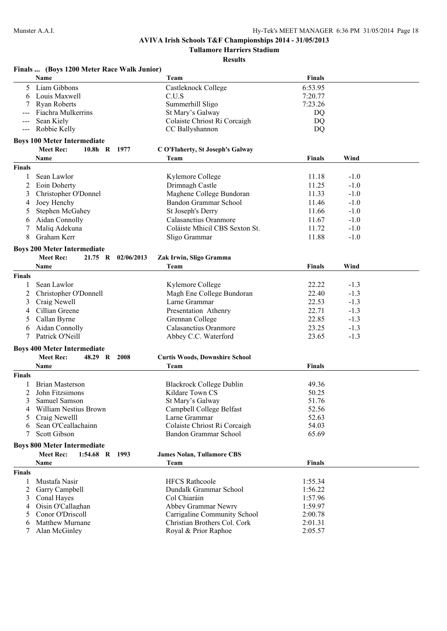**Tullamore Harriers Stadium**

|                                          | Finals  (Boys 1200 Meter Race Walk Junior) |            |                                       |               |        |  |
|------------------------------------------|--------------------------------------------|------------|---------------------------------------|---------------|--------|--|
|                                          | Name                                       |            | Team                                  | <b>Finals</b> |        |  |
| 5                                        | Liam Gibbons                               |            | Castleknock College                   | 6:53.95       |        |  |
| 6                                        | Louis Maxwell                              |            | C.U.S                                 | 7:20.77       |        |  |
|                                          | <b>Ryan Roberts</b>                        |            | Summerhill Sligo                      | 7:23.26       |        |  |
|                                          | Fiachra Mulkerrins                         |            | St Mary's Galway                      | DQ            |        |  |
|                                          | Sean Kiely                                 |            | Colaiste Chriost Ri Corcaigh          | DQ            |        |  |
| $\hspace{0.05cm} \ldots \hspace{0.05cm}$ | Robbie Kelly                               |            | CC Ballyshannon                       | DQ            |        |  |
|                                          | <b>Boys 100 Meter Intermediate</b>         |            |                                       |               |        |  |
|                                          | <b>Meet Rec:</b><br>$10.8h$ R              | 1977       | C O'Flaherty, St Joseph's Galway      |               |        |  |
|                                          | Name                                       |            | Team                                  | <b>Finals</b> | Wind   |  |
| <b>Finals</b>                            |                                            |            |                                       |               |        |  |
| 1                                        | Sean Lawlor                                |            | Kylemore College                      | 11.18         | $-1.0$ |  |
| 2                                        | Eoin Doherty                               |            | Drimnagh Castle                       | 11.25         | $-1.0$ |  |
| 3                                        | Christopher O'Donnel                       |            | Maghene College Bundoran              | 11.33         | $-1.0$ |  |
| 4                                        | Joey Henchy                                |            | Bandon Grammar School                 | 11.46         | $-1.0$ |  |
| 5                                        | Stephen McGahey                            |            | St Joseph's Derry                     | 11.66         | $-1.0$ |  |
| 6                                        | Aidan Connolly                             |            | Calasanctius Oranmore                 | 11.67         | $-1.0$ |  |
| 7                                        | Maliq Adekuna                              |            | Coláiste Mhicil CBS Sexton St.        | 11.72         | $-1.0$ |  |
| 8                                        | Graham Kerr                                |            | Sligo Grammar                         | 11.88         | $-1.0$ |  |
|                                          | <b>Boys 200 Meter Intermediate</b>         |            |                                       |               |        |  |
|                                          | <b>Meet Rec:</b><br>$21.75$ R              | 02/06/2013 | Zak Irwin, Sligo Gramma               |               |        |  |
|                                          | Name                                       |            | Team                                  | <b>Finals</b> | Wind   |  |
| <b>Finals</b>                            |                                            |            |                                       |               |        |  |
|                                          | Sean Lawlor                                |            | Kylemore College                      | 22.22         | $-1.3$ |  |
| 2                                        | Christopher O'Donnell                      |            | Magh Ene College Bundoran             | 22.40         | $-1.3$ |  |
| 3                                        | Craig Newell                               |            | Larne Grammar                         | 22.53         | $-1.3$ |  |
| 4                                        | Cillian Greene                             |            | Presentation Athenry                  | 22.71         | $-1.3$ |  |
| 5                                        | Callan Byrne                               |            | Grennan College                       | 22.85         | $-1.3$ |  |
| 6                                        | Aidan Connolly                             |            | Calasanctius Oranmore                 | 23.25         | $-1.3$ |  |
| 7                                        | Patrick O'Neill                            |            | Abbey C.C. Waterford                  | 23.65         | $-1.3$ |  |
|                                          | <b>Boys 400 Meter Intermediate</b>         |            |                                       |               |        |  |
|                                          | <b>Meet Rec:</b><br>48.29 R                | 2008       | <b>Curtis Woods, Downshire School</b> |               |        |  |
|                                          | Name                                       |            | Team                                  | <b>Finals</b> |        |  |
| <b>Finals</b>                            |                                            |            |                                       |               |        |  |
|                                          | <b>Brian Masterson</b>                     |            | <b>Blackrock College Dublin</b>       | 49.36         |        |  |
| 2                                        | John Fitzsimons                            |            | Kildare Town CS                       | 50.25         |        |  |
|                                          | 3 Samuel Samson                            |            | St Mary's Galway                      | 51.76         |        |  |
| 4                                        | William Nestius Brown                      |            | Campbell College Belfast              | 52.56         |        |  |
| 5                                        | Craig Newelll                              |            | Larne Grammar                         | 52.63         |        |  |
| 6                                        | Sean O'Ceallachainn                        |            | Colaiste Chriost Ri Corcaigh          | 54.03         |        |  |
| 7                                        | Scott Gibson                               |            | Bandon Grammar School                 | 65.69         |        |  |
|                                          | <b>Boys 800 Meter Intermediate</b>         |            |                                       |               |        |  |
|                                          | 1:54.68 R 1993<br><b>Meet Rec:</b>         |            | <b>James Nolan, Tullamore CBS</b>     |               |        |  |
|                                          | Name                                       |            | Team                                  | <b>Finals</b> |        |  |
| <b>Finals</b>                            |                                            |            |                                       |               |        |  |
| 1                                        | Mustafa Nasir                              |            | <b>HFCS Rathcoole</b>                 | 1:55.34       |        |  |
| 2                                        | Garry Campbell                             |            | Dundalk Grammar School                | 1:56.22       |        |  |
| 3                                        | Conal Hayes                                |            | Col Chiaráin                          | 1:57.96       |        |  |
| 4                                        | Oisin O'Callaghan                          |            | Abbey Grammar Newry                   | 1:59.97       |        |  |
| 5                                        | Conor O'Driscoll                           |            | Carrigaline Community School          | 2:00.78       |        |  |
| 6                                        | Matthew Murnane                            |            | Christian Brothers Col. Cork          | 2:01.31       |        |  |
|                                          | Alan McGinley                              |            | Royal & Prior Raphoe                  | 2:05.57       |        |  |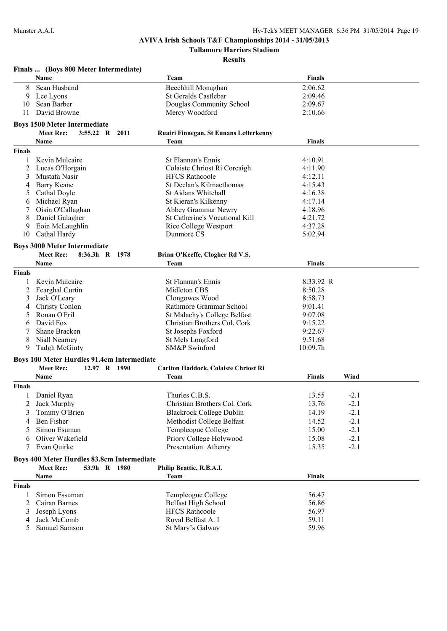**Tullamore Harriers Stadium**

|               | Finals  (Boys 800 Meter Intermediate)      |                |                                        |               |        |
|---------------|--------------------------------------------|----------------|----------------------------------------|---------------|--------|
|               | <b>Name</b>                                |                | Team                                   | <b>Finals</b> |        |
| 8             | Sean Husband                               |                | Beechhill Monaghan                     | 2:06.62       |        |
| 9             | Lee Lyons                                  |                | St Geralds Castlebar                   | 2:09.46       |        |
| 10            | Sean Barber                                |                | Douglas Community School               | 2:09.67       |        |
| 11            | David Browne                               |                | Mercy Woodford                         | 2:10.66       |        |
|               | <b>Boys 1500 Meter Intermediate</b>        |                |                                        |               |        |
|               | <b>Meet Rec:</b>                           | 3:55.22 R 2011 | Ruairi Finnegan, St Eunans Letterkenny |               |        |
|               | Name                                       |                | Team                                   | <b>Finals</b> |        |
| <b>Finals</b> |                                            |                |                                        |               |        |
| $\mathbf{1}$  | Kevin Mulcaire                             |                | St Flannan's Ennis                     | 4:10.91       |        |
| 2             | Lucas O'Horgain                            |                | Colaiste Chriost Ri Corcaigh           | 4:11.90       |        |
| 3             | Mustafa Nasir                              |                | <b>HFCS Rathcoole</b>                  | 4:12.11       |        |
| 4             | <b>Barry Keane</b>                         |                | St Declan's Kilmacthomas               | 4:15.43       |        |
| 5             | Cathal Doyle                               |                | St Aidans Whitehall                    | 4:16.38       |        |
| 6             | Michael Ryan                               |                | St Kieran's Kilkenny                   | 4:17.14       |        |
|               | Oisin O'Callaghan                          |                | Abbey Grammar Newry                    | 4:18.96       |        |
| 8             | Daniel Galagher                            |                | St Catherine's Vocational Kill         | 4:21.72       |        |
| 9             | Eoin McLaughlin                            |                | Rice College Westport                  | 4:37.28       |        |
| 10            | Cathal Hardy                               |                | Dunmore CS                             | 5:02.94       |        |
|               | <b>Boys 3000 Meter Intermediate</b>        |                |                                        |               |        |
|               | <b>Meet Rec:</b><br>$8:36.3h$ R            | 1978           | Brian O'Keeffe, Clogher Rd V.S.        |               |        |
|               | Name                                       |                | Team                                   | Finals        |        |
| <b>Finals</b> |                                            |                |                                        |               |        |
| 1             | Kevin Mulcaire                             |                | St Flannan's Ennis                     | 8:33.92 R     |        |
| 2             | Fearghal Curtin                            |                | Midleton CBS                           | 8:50.28       |        |
| 3             | Jack O'Leary                               |                | Clongowes Wood                         | 8:58.73       |        |
| 4             | Christy Conlon                             |                | Rathmore Grammar School                | 9:01.41       |        |
| 5             | Ronan O'Fril                               |                | St Malachy's College Belfast           | 9:07.08       |        |
| 6             | David Fox                                  |                | Christian Brothers Col. Cork           | 9:15.22       |        |
|               | Shane Bracken                              |                | St Josephs Foxford                     | 9:22.67       |        |
| 8             | Niall Nearney                              |                | St Mels Longford                       | 9:51.68       |        |
| 9             | <b>Tadgh McGinty</b>                       |                | SM&P Swinford                          | 10:09.7h      |        |
|               | Boys 100 Meter Hurdles 91.4cm Intermediate |                |                                        |               |        |
|               | <b>Meet Rec:</b>                           | 12.97 R 1990   | Carlton Haddock, Colaiste Chriost Ri   |               |        |
|               | Name                                       |                | Team                                   | <b>Finals</b> | Wind   |
| <b>Finals</b> |                                            |                |                                        |               |        |
| 1             | Daniel Ryan                                |                | Thurles C.B.S.                         | 13.55         | $-2.1$ |
| 2             | Jack Murphy                                |                | Christian Brothers Col. Cork           | 13.76         | $-2.1$ |
| 3             | Tommy O'Brien                              |                | <b>Blackrock College Dublin</b>        | 14.19         | $-2.1$ |
| 4             | Ben Fisher                                 |                | Methodist College Belfast              | 14.52         | $-2.1$ |
| 5             | Simon Esuman                               |                | Templeogue College                     | 15.00         | $-2.1$ |
| 6             | Oliver Wakefield                           |                | Priory College Holywood                | 15.08         | $-2.1$ |
| 7             | Evan Quirke                                |                | Presentation Athenry                   | 15.35         | $-2.1$ |
|               | Boys 400 Meter Hurdles 83.8cm Intermediate |                |                                        |               |        |
|               | <b>Meet Rec:</b>                           | 53.9h R 1980   | Philip Beattie, R.B.A.I.               |               |        |
|               | <b>Name</b>                                |                | Team                                   | <b>Finals</b> |        |
| <b>Finals</b> |                                            |                |                                        |               |        |
| 1             | Simon Essuman                              |                | Templeogue College                     | 56.47         |        |
| 2             | Cairan Barnes                              |                | <b>Belfast High School</b>             | 56.86         |        |
| 3             | Joseph Lyons                               |                | <b>HFCS Rathcoole</b>                  | 56.97         |        |
| 4             | Jack McComb                                |                | Royal Belfast A. I                     | 59.11         |        |
| 5             | Samuel Samson                              |                | St Mary's Galway                       | 59.96         |        |
|               |                                            |                |                                        |               |        |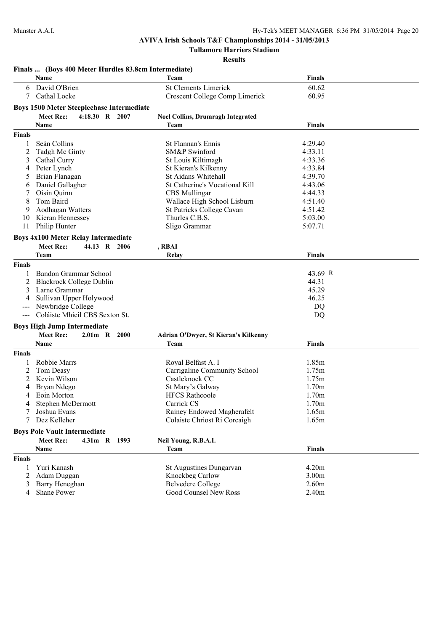**Finals ... (Boys 400 Meter Hurdles 83.8cm Intermediate)**

# **AVIVA Irish Schools T&F Championships 2014 - 31/05/2013**

**Tullamore Harriers Stadium**

|                     | Name                                             | Team                                     | Finals            |  |
|---------------------|--------------------------------------------------|------------------------------------------|-------------------|--|
| 6                   | David O'Brien                                    | <b>St Clements Limerick</b>              | 60.62             |  |
| 7                   | Cathal Locke                                     | Crescent College Comp Limerick           | 60.95             |  |
|                     |                                                  |                                          |                   |  |
|                     | <b>Boys 1500 Meter Steeplechase Intermediate</b> |                                          |                   |  |
|                     | <b>Meet Rec:</b><br>4:18.30 R 2007               | <b>Noel Collins, Drumragh Integrated</b> |                   |  |
|                     | <b>Name</b>                                      | Team                                     | Finals            |  |
| <b>Finals</b>       |                                                  |                                          |                   |  |
| 1                   | Seán Collins                                     | St Flannan's Ennis                       | 4:29.40           |  |
| 2                   | Tadgh Mc Ginty                                   | SM&P Swinford                            | 4:33.11           |  |
| 3                   | Cathal Curry                                     | St Louis Kiltimagh                       | 4:33.36           |  |
| 4                   | Peter Lynch                                      | St Kieran's Kilkenny                     | 4:33.84           |  |
| 5                   | Brian Flanagan                                   | St Aidans Whitehall                      | 4:39.70           |  |
| 6                   | Daniel Gallagher                                 | St Catherine's Vocational Kill           | 4:43.06           |  |
|                     | Oisin Quinn                                      | <b>CBS</b> Mullingar                     | 4:44.33           |  |
| 8                   | Tom Baird                                        | Wallace High School Lisburn              | 4:51.40           |  |
| 9                   | Aodhagan Watters                                 | St Patricks College Cavan                | 4:51.42           |  |
| 10                  | Kieran Hennessey                                 | Thurles C.B.S.                           | 5:03.00           |  |
| 11                  | Philip Hunter                                    | Sligo Grammar                            | 5:07.71           |  |
|                     |                                                  |                                          |                   |  |
|                     | <b>Boys 4x100 Meter Relay Intermediate</b>       |                                          |                   |  |
|                     | <b>Meet Rec:</b><br>44.13 R 2006                 | , RBAI                                   |                   |  |
|                     | Team                                             | Relay                                    | <b>Finals</b>     |  |
| <b>Finals</b>       |                                                  |                                          |                   |  |
| 1                   | Bandon Grammar School                            |                                          | 43.69 R           |  |
| 2                   | <b>Blackrock College Dublin</b>                  |                                          | 44.31             |  |
| 3                   | Larne Grammar                                    |                                          | 45.29             |  |
| 4                   | Sullivan Upper Holywood                          |                                          | 46.25             |  |
| $---$               | Newbridge College                                |                                          | DQ                |  |
| $\qquad \qquad - -$ | Coláiste Mhicil CBS Sexton St.                   |                                          | DQ                |  |
|                     |                                                  |                                          |                   |  |
|                     | <b>Boys High Jump Intermediate</b>               |                                          |                   |  |
|                     | <b>Meet Rec:</b><br>2.01m R 2000                 | Adrian O'Dwyer, St Kieran's Kilkenny     |                   |  |
|                     | Name                                             | Team                                     | <b>Finals</b>     |  |
| <b>Finals</b>       |                                                  |                                          |                   |  |
|                     | <b>Robbie Marrs</b>                              | Royal Belfast A. I                       | 1.85m             |  |
| 2                   | Tom Deasy                                        | Carrigaline Community School             | 1.75m             |  |
| 2                   | Kevin Wilson                                     | Castleknock CC                           | 1.75m             |  |
| 4                   | Bryan Ndego                                      | St Mary's Galway                         | 1.70m             |  |
|                     | Eoin Morton                                      | <b>HFCS Rathcoole</b>                    | 1.70m             |  |
| 4                   | Stephen McDermott                                | Carrick CS                               | 1.70m             |  |
| 7                   | Joshua Evans                                     | Rainey Endowed Magherafelt               | 1.65m             |  |
| 7                   | Dez Kelleher                                     | Colaiste Chriost Ri Corcaigh             | 1.65m             |  |
|                     | <b>Boys Pole Vault Intermediate</b>              |                                          |                   |  |
|                     | <b>Meet Rec:</b><br>4.31m R 1993                 |                                          |                   |  |
|                     |                                                  | Neil Young, R.B.A.I.                     |                   |  |
|                     | Name                                             | Team                                     | Finals            |  |
| <b>Finals</b>       |                                                  |                                          |                   |  |
| 1                   | Yuri Kanash                                      | <b>St Augustines Dungarvan</b>           | 4.20m             |  |
| $\overline{2}$      | Adam Duggan                                      | Knockbeg Carlow                          | 3.00 <sub>m</sub> |  |
| 3                   | Barry Heneghan                                   | <b>Belvedere College</b>                 | 2.60m             |  |
| $\overline{4}$      | Shane Power                                      | Good Counsel New Ross                    | 2.40m             |  |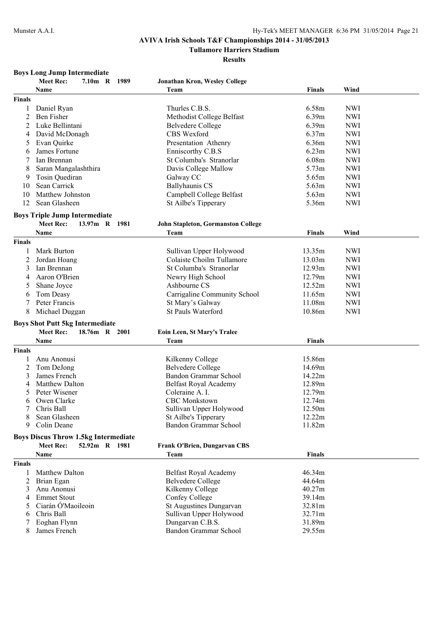**Tullamore Harriers Stadium**

**Results**

### **Boys Long Jump Intermediate**

|                | <b>Meet Rec:</b><br>7.10m R 1989            | Jonathan Kron, Wesley College                     |                  |            |
|----------------|---------------------------------------------|---------------------------------------------------|------------------|------------|
|                | <b>Name</b>                                 | Team                                              | <b>Finals</b>    | Wind       |
| <b>Finals</b>  |                                             |                                                   |                  |            |
| 1              | Daniel Ryan                                 | Thurles C.B.S.                                    | 6.58m            | <b>NWI</b> |
| $\overline{2}$ | <b>Ben Fisher</b>                           | Methodist College Belfast                         | 6.39m            | <b>NWI</b> |
| 2              | Luke Bellintani                             | <b>Belvedere College</b>                          | 6.39m            | <b>NWI</b> |
| 4              | David McDonagh                              | CBS Wexford                                       | 6.37m            | <b>NWI</b> |
| 5              | Evan Quirke                                 | Presentation Athenry                              | 6.36m            | <b>NWI</b> |
| 6              | James Fortune                               | Enniscorthy C.B.S                                 | 6.23m            | <b>NWI</b> |
|                | Ian Brennan                                 | St Columba's Stranorlar                           | 6.08m            | <b>NWI</b> |
| 8              | Saran Mangalashthira                        | Davis College Mallow                              | 5.73m            | <b>NWI</b> |
| 9              | Tosin Quediran                              | Galway CC                                         | 5.65m            | <b>NWI</b> |
| 10             | Sean Carrick                                | <b>Ballyhaunis CS</b>                             | 5.63m            | <b>NWI</b> |
| 10             | Matthew Johnston                            | Campbell College Belfast                          | 5.63m            | <b>NWI</b> |
| 12             | Sean Glasheen                               | St Ailbe's Tipperary                              | 5.36m            | <b>NWI</b> |
|                |                                             |                                                   |                  |            |
|                | <b>Boys Triple Jump Intermediate</b>        |                                                   |                  |            |
|                | <b>Meet Rec:</b><br>13.97m R 1981           | John Stapleton, Gormanston College                |                  |            |
|                | Name                                        | Team                                              | <b>Finals</b>    | Wind       |
| <b>Finals</b>  |                                             |                                                   |                  |            |
|                | Mark Burton                                 | Sullivan Upper Holywood                           | 13.35m           | <b>NWI</b> |
| 2              | Jordan Hoang                                | Colaiste Choilm Tullamore                         | 13.03m           | <b>NWI</b> |
| 3              | Ian Brennan                                 | St Columba's Stranorlar                           | 12.93m           | <b>NWI</b> |
| $\overline{4}$ | Aaron O'Brien                               | Newry High School                                 | 12.79m           | <b>NWI</b> |
| 5              | Shane Joyce                                 | Ashbourne CS                                      | 12.52m           | <b>NWI</b> |
| 6              | Tom Deasy                                   | Carrigaline Community School                      | 11.65m           | <b>NWI</b> |
| 7              | Peter Francis                               | St Mary's Galway                                  | 11.08m           | <b>NWI</b> |
| 8              | Michael Duggan                              | St Pauls Waterford                                | 10.86m           | <b>NWI</b> |
|                | <b>Boys Shot Putt 5kg Intermediate</b>      |                                                   |                  |            |
|                | <b>Meet Rec:</b><br>18.76m R 2001           | Eoin Leen, St Mary's Tralee                       |                  |            |
|                | Name                                        | Team                                              | <b>Finals</b>    |            |
| <b>Finals</b>  |                                             |                                                   |                  |            |
|                |                                             |                                                   |                  |            |
| 1              | Anu Anonusi                                 | Kilkenny College                                  | 15.86m           |            |
| 2<br>3         | Tom DeJong<br>James French                  | <b>Belvedere College</b><br>Bandon Grammar School | 14.69m<br>14.22m |            |
|                | <b>Matthew Dalton</b>                       |                                                   | 12.89m           |            |
| 4              | Peter Wisener                               | Belfast Royal Academy<br>Coleraine A. I.          | 12.79m           |            |
| 5              | Owen Clarke                                 | <b>CBC</b> Monkstown                              | 12.74m           |            |
| 6<br>7         | Chris Ball                                  |                                                   | 12.50m           |            |
| 8              |                                             | Sullivan Upper Holywood                           |                  |            |
| 9              | Sean Glasheen<br>Colin Deane                | St Ailbe's Tipperary<br>Bandon Grammar School     | 12.22m<br>11.82m |            |
|                |                                             |                                                   |                  |            |
|                | <b>Boys Discus Throw 1.5kg Intermediate</b> |                                                   |                  |            |
|                | 52.92m R 1981<br><b>Meet Rec:</b>           | Frank O'Brien, Dungarvan CBS                      |                  |            |
|                | Name                                        | Team                                              | <b>Finals</b>    |            |
| <b>Finals</b>  |                                             |                                                   |                  |            |
| 1              | <b>Matthew Dalton</b>                       | Belfast Royal Academy                             | 46.34m           |            |
| 2              | Brian Egan                                  | <b>Belvedere College</b>                          | 44.64m           |            |
| 3              | Anu Anonusi                                 | Kilkenny College                                  | 40.27m           |            |
| 4              | <b>Emmet Stout</b>                          | Confey College                                    | 39.14m           |            |
| 5              | Ciarán Ó'Maoileoin                          | St Augustines Dungarvan                           | 32.81m           |            |
| 6              | Chris Ball                                  | Sullivan Upper Holywood                           | 32.71m           |            |
| 7              | Eoghan Flynn                                | Dungarvan C.B.S.                                  | 31.89m           |            |
| 8              | James French                                | <b>Bandon Grammar School</b>                      | 29.55m           |            |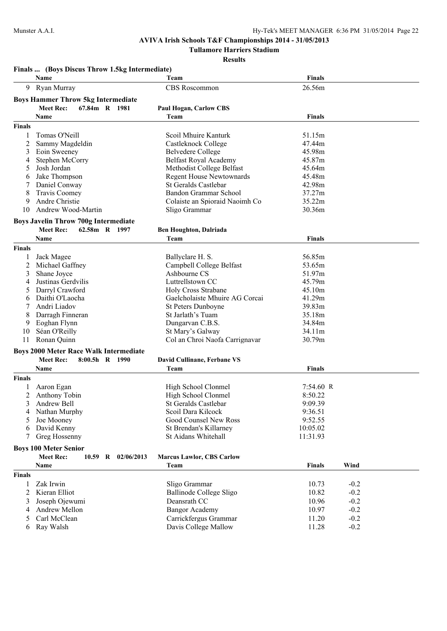**Tullamore Harriers Stadium**

|                    | Name                                             |                    | Team                                          | <b>Finals</b>      |                  |  |
|--------------------|--------------------------------------------------|--------------------|-----------------------------------------------|--------------------|------------------|--|
|                    | 9 Ryan Murray                                    |                    | CBS Roscommon                                 | 26.56m             |                  |  |
|                    | <b>Boys Hammer Throw 5kg Intermediate</b>        |                    |                                               |                    |                  |  |
|                    | <b>Meet Rec:</b>                                 | 67.84m R 1981      | <b>Paul Hogan, Carlow CBS</b>                 |                    |                  |  |
|                    | Name                                             |                    | Team                                          | <b>Finals</b>      |                  |  |
| <b>Finals</b>      |                                                  |                    |                                               |                    |                  |  |
| 1                  | Tomas O'Neill                                    |                    | Scoil Mhuire Kanturk                          | 51.15m             |                  |  |
| 2                  | Sammy Magdeldin                                  |                    | Castleknock College                           | 47.44m             |                  |  |
| 3                  | Eoin Sweeney                                     |                    | <b>Belvedere College</b>                      | 45.98m             |                  |  |
| 4                  | Stephen McCorry                                  |                    | <b>Belfast Royal Academy</b>                  | 45.87m             |                  |  |
| 5                  | Josh Jordan                                      |                    | Methodist College Belfast                     | 45.64m             |                  |  |
| 6                  | Jake Thompson                                    |                    | <b>Regent House Newtownards</b>               | 45.48m             |                  |  |
| 7                  | Daniel Conway                                    |                    | <b>St Geralds Castlebar</b>                   | 42.98m             |                  |  |
| 8                  | Travis Coomey                                    |                    | <b>Bandon Grammar School</b>                  | 37.27m             |                  |  |
| 9                  | Andre Christie                                   |                    | Colaiste an Spioraid Naoimh Co                | 35.22m             |                  |  |
| 10                 | Andrew Wood-Martin                               |                    | Sligo Grammar                                 | 30.36m             |                  |  |
|                    | <b>Boys Javelin Throw 700g Intermediate</b>      |                    |                                               |                    |                  |  |
|                    | <b>Meet Rec:</b>                                 | 62.58m R 1997      | <b>Ben Houghton, Dalriada</b>                 |                    |                  |  |
|                    | Name                                             |                    | Team                                          | <b>Finals</b>      |                  |  |
| <b>Finals</b>      |                                                  |                    |                                               |                    |                  |  |
| 1                  | Jack Magee                                       |                    | Ballyclare H. S.                              | 56.85m             |                  |  |
| 2                  | Michael Gaffney                                  |                    | Campbell College Belfast                      | 53.65m             |                  |  |
| 3                  | Shane Joyce                                      |                    | Ashbourne CS                                  | 51.97m             |                  |  |
| 4                  | Justinas Gerdvilis                               |                    | Luttrellstown CC                              | 45.79m             |                  |  |
| 5                  | Darryl Crawford                                  |                    | <b>Holy Cross Strabane</b>                    | 45.10m             |                  |  |
| 6                  | Daithi O'Laocha                                  |                    | Gaelcholaiste Mhuire AG Corcai                | 41.29m             |                  |  |
| 7                  | Andri Liadov                                     |                    | <b>St Peters Dunboyne</b>                     | 39.83m             |                  |  |
| 8                  | Darragh Finneran                                 |                    | St Jarlath's Tuam                             | 35.18m             |                  |  |
| 9                  | Eoghan Flynn                                     |                    | Dungarvan C.B.S.                              | 34.84m             |                  |  |
| 10                 | Séan O'Reilly                                    |                    | St Mary's Galway                              | 34.11m             |                  |  |
| 11                 | Ronan Quinn                                      |                    | Col an Chroi Naofa Carrignavar                | 30.79m             |                  |  |
|                    | <b>Boys 2000 Meter Race Walk Intermediate</b>    |                    |                                               |                    |                  |  |
|                    | <b>Meet Rec:</b>                                 | 8:00.5h R 1990     | David Cullinane, Ferbane VS                   |                    |                  |  |
|                    | Name                                             |                    | Team                                          | <b>Finals</b>      |                  |  |
| <b>Finals</b>      |                                                  |                    |                                               |                    |                  |  |
|                    | Aaron Egan                                       |                    | High School Clonmel                           | 7:54.60 R          |                  |  |
| 2                  | Anthony Tobin                                    |                    | High School Clonmel                           | 8:50.22            |                  |  |
| 4                  | Andrew Bell<br>Nathan Murphy                     |                    | St Geralds Castlebar<br>Scoil Dara Kilcock    | 9:09.39<br>9:36.51 |                  |  |
| 5                  | Joe Mooney                                       |                    | Good Counsel New Ross                         | 9:52.55            |                  |  |
| 6                  | David Kenny                                      |                    | St Brendan's Killarney                        | 10:05.02           |                  |  |
| 7                  | Greg Hossenny                                    |                    | St Aidans Whitehall                           | 11:31.93           |                  |  |
|                    |                                                  |                    |                                               |                    |                  |  |
|                    | <b>Boys 100 Meter Senior</b><br><b>Meet Rec:</b> | 10.59 R 02/06/2013 | <b>Marcus Lawlor, CBS Carlow</b>              |                    |                  |  |
|                    |                                                  |                    | Team                                          | Finals             | Wind             |  |
|                    |                                                  |                    |                                               |                    |                  |  |
|                    | Name                                             |                    |                                               |                    |                  |  |
|                    |                                                  |                    |                                               |                    |                  |  |
| 1                  | Zak Irwin                                        |                    | Sligo Grammar                                 | 10.73              | $-0.2$           |  |
| 2                  | Kieran Elliot                                    |                    | Ballinode College Sligo                       | 10.82              | $-0.2$           |  |
| 3                  | Joseph Ojewumi                                   |                    | Deansrath CC                                  | 10.96              | $-0.2$           |  |
| <b>Finals</b><br>4 | <b>Andrew Mellon</b>                             |                    | <b>Bangor Academy</b>                         | 10.97              | $-0.2$           |  |
| 5<br>6             | Carl McClean<br>Ray Walsh                        |                    | Carrickfergus Grammar<br>Davis College Mallow | 11.20<br>11.28     | $-0.2$<br>$-0.2$ |  |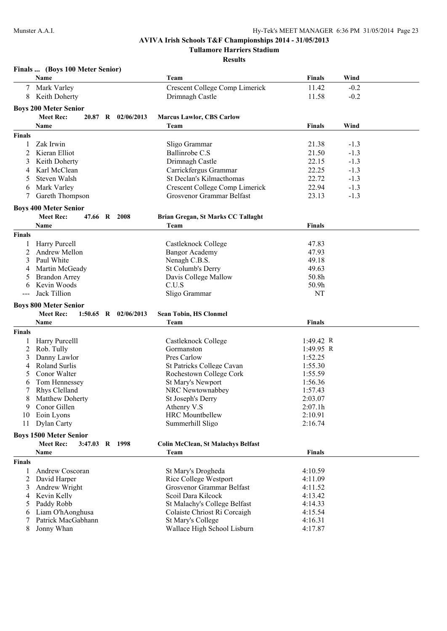### **AVIVA Irish Schools T&F Championships 2014 - 31/05/2013 Tullamore Harriers Stadium**

|               | Finals  (Boys 100 Meter Senior) |                          |                                           |               |        |  |
|---------------|---------------------------------|--------------------------|-------------------------------------------|---------------|--------|--|
|               | Name                            |                          | Team                                      | <b>Finals</b> | Wind   |  |
|               | Mark Varley                     |                          | Crescent College Comp Limerick            | 11.42         | $-0.2$ |  |
| 8             | Keith Doherty                   |                          | Drimnagh Castle                           | 11.58         | $-0.2$ |  |
|               |                                 |                          |                                           |               |        |  |
|               | <b>Boys 200 Meter Senior</b>    | 20.87 R 02/06/2013       |                                           |               |        |  |
|               | <b>Meet Rec:</b>                |                          | <b>Marcus Lawlor, CBS Carlow</b>          |               |        |  |
|               | Name                            |                          | Team                                      | <b>Finals</b> | Wind   |  |
| <b>Finals</b> |                                 |                          |                                           |               |        |  |
| 1             | Zak Irwin                       |                          | Sligo Grammar                             | 21.38         | $-1.3$ |  |
| 2             | Kieran Elliot                   |                          | Ballinrobe C.S.                           | 21.50         | $-1.3$ |  |
| 3             | Keith Doherty                   |                          | Drimnagh Castle                           | 22.15         | $-1.3$ |  |
| 4             | Karl McClean                    |                          | Carrickfergus Grammar                     | 22.25         | $-1.3$ |  |
| 5             | Steven Walsh                    |                          | St Declan's Kilmacthomas                  | 22.72         | $-1.3$ |  |
| 6             | Mark Varley                     |                          | Crescent College Comp Limerick            | 22.94         | $-1.3$ |  |
|               | Gareth Thompson                 |                          | Grosvenor Grammar Belfast                 | 23.13         | $-1.3$ |  |
|               | <b>Boys 400 Meter Senior</b>    |                          |                                           |               |        |  |
|               | <b>Meet Rec:</b>                | 47.66 R 2008             | Brian Gregan, St Marks CC Tallaght        |               |        |  |
|               | <b>Name</b>                     |                          | Team                                      | <b>Finals</b> |        |  |
| <b>Finals</b> |                                 |                          |                                           |               |        |  |
|               | Harry Purcell                   |                          | Castleknock College                       | 47.83         |        |  |
| 2             | Andrew Mellon                   |                          | <b>Bangor Academy</b>                     | 47.93         |        |  |
| 3             | Paul White                      |                          | Nenagh C.B.S.                             | 49.18         |        |  |
| 4             | Martin McGeady                  |                          | St Columb's Derry                         | 49.63         |        |  |
|               | <b>Brandon Arrey</b>            |                          | Davis College Mallow                      | 50.8h         |        |  |
| 6             | Kevin Woods                     |                          | C.U.S                                     | 50.9h         |        |  |
|               | Jack Tillion                    |                          | Sligo Grammar                             | <b>NT</b>     |        |  |
|               |                                 |                          |                                           |               |        |  |
|               |                                 |                          |                                           |               |        |  |
|               | <b>Boys 800 Meter Senior</b>    |                          |                                           |               |        |  |
|               | <b>Meet Rec:</b>                | $1:50.65$ R $02/06/2013$ | <b>Sean Tobin, HS Clonmel</b>             |               |        |  |
|               | Name                            |                          | Team                                      | <b>Finals</b> |        |  |
| <b>Finals</b> |                                 |                          |                                           |               |        |  |
|               | Harry Purcelll                  |                          | Castleknock College                       | 1:49.42 R     |        |  |
| 2             | Rob. Tully                      |                          | Gormanston                                | 1:49.95 R     |        |  |
| 3             | Danny Lawlor                    |                          | Pres Carlow                               | 1:52.25       |        |  |
| 4             | Roland Surlis                   |                          | St Patricks College Cavan                 | 1:55.30       |        |  |
| 5             | Conor Walter                    |                          | Rochestown College Cork                   | 1:55.59       |        |  |
| 6             | Tom Hennessey                   |                          | St Mary's Newport                         | 1:56.36       |        |  |
|               | Rhys Clelland                   |                          | NRC Newtownabbey                          | 1:57.43       |        |  |
| 8             | <b>Matthew Doherty</b>          |                          | St Joseph's Derry                         | 2:03.07       |        |  |
| 9             | Conor Gillen                    |                          | Athenry V.S                               | 2:07.1h       |        |  |
| 10            | Eoin Lyons                      |                          | <b>HRC</b> Mountbellew                    | 2:10.91       |        |  |
| 11            | Dylan Carty                     |                          | Summerhill Sligo                          | 2:16.74       |        |  |
|               | <b>Boys 1500 Meter Senior</b>   |                          |                                           |               |        |  |
|               | <b>Meet Rec:</b>                | 3:47.03 R 1998           | <b>Colin McClean, St Malachys Belfast</b> |               |        |  |
|               | Name                            |                          | Team                                      | <b>Finals</b> |        |  |
| <b>Finals</b> |                                 |                          |                                           |               |        |  |
|               | Andrew Coscoran                 |                          | St Mary's Drogheda                        | 4:10.59       |        |  |
| 2             | David Harper                    |                          | <b>Rice College Westport</b>              | 4:11.09       |        |  |
| 3             | Andrew Wright                   |                          | Grosvenor Grammar Belfast                 | 4:11.52       |        |  |
| 4             | Kevin Kelly                     |                          | Scoil Dara Kilcock                        | 4:13.42       |        |  |
| 5             | Paddy Robb                      |                          | St Malachy's College Belfast              | 4:14.33       |        |  |
| 6             | Liam O'hAonghusa                |                          | Colaiste Chriost Ri Corcaigh              | 4:15.54       |        |  |
| 7             | Patrick MacGabhann              |                          | St Mary's College                         | 4:16.31       |        |  |
| 8             | Jonny Whan                      |                          | Wallace High School Lisburn               | 4:17.87       |        |  |
|               |                                 |                          |                                           |               |        |  |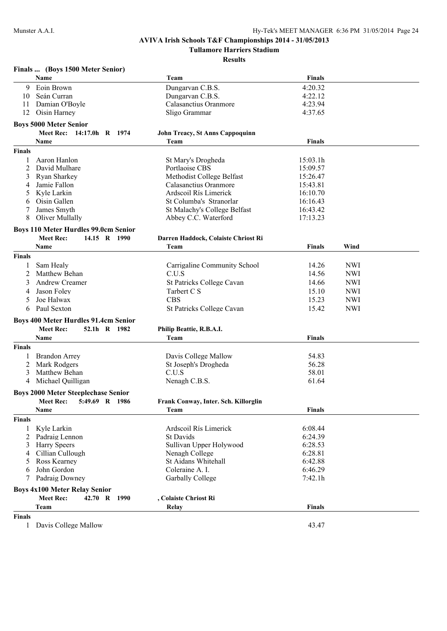**Tullamore Harriers Stadium**

|               | Finals  (Boys 1500 Meter Senior)            |                                        |               |            |  |
|---------------|---------------------------------------------|----------------------------------------|---------------|------------|--|
|               | Name                                        | Team                                   | <b>Finals</b> |            |  |
| 9             | Eoin Brown                                  | Dungarvan C.B.S.                       | 4:20.32       |            |  |
| 10            | Seán Curran                                 | Dungarvan C.B.S.                       | 4:22.12       |            |  |
| 11            | Damian O'Boyle                              | Calasanctius Oranmore                  | 4:23.94       |            |  |
| 12            | Oisin Harney                                | Sligo Grammar                          | 4:37.65       |            |  |
|               | <b>Boys 5000 Meter Senior</b>               |                                        |               |            |  |
|               | <b>Meet Rec:</b><br>14:17.0h R 1974         | <b>John Treacy, St Anns Cappoquinn</b> |               |            |  |
|               | Name                                        | Team                                   | <b>Finals</b> |            |  |
| <b>Finals</b> |                                             |                                        |               |            |  |
| 1             | Aaron Hanlon                                | St Mary's Drogheda                     | 15:03.1h      |            |  |
| 2             | David Mulhare                               | Portlaoise CBS                         | 15:09.57      |            |  |
| 3             | Ryan Sharkey                                | Methodist College Belfast              | 15:26.47      |            |  |
| 4             | Jamie Fallon                                | Calasanctius Oranmore                  | 15:43.81      |            |  |
| 5             | Kyle Larkin                                 | Ardscoil Rís Limerick                  | 16:10.70      |            |  |
| 6             | Oisin Gallen                                | St Columba's Stranorlar                | 16:16.43      |            |  |
|               | James Smyth                                 | St Malachy's College Belfast           | 16:43.42      |            |  |
| 8             | Oliver Mullally                             | Abbey C.C. Waterford                   | 17:13.23      |            |  |
|               | <b>Boys 110 Meter Hurdles 99.0cm Senior</b> |                                        |               |            |  |
|               | <b>Meet Rec:</b><br>14.15 R 1990            | Darren Haddock, Colaiste Chriost Ri    |               |            |  |
|               | Name                                        | Team                                   | <b>Finals</b> | Wind       |  |
| <b>Finals</b> |                                             |                                        |               |            |  |
|               |                                             |                                        |               |            |  |
|               | Sam Healy<br>Matthew Behan                  | Carrigaline Community School           | 14.26         | <b>NWI</b> |  |
| 2             |                                             | C.U.S                                  | 14.56         | <b>NWI</b> |  |
| 3             | Andrew Creamer                              | St Patricks College Cavan              | 14.66         | <b>NWI</b> |  |
| 4             | Jason Foley                                 | Tarbert C S                            | 15.10         | <b>NWI</b> |  |
| 5             | Joe Halwax                                  | <b>CBS</b>                             | 15.23         | <b>NWI</b> |  |
| 6             | Paul Sexton                                 | St Patricks College Cavan              | 15.42         | <b>NWI</b> |  |
|               | <b>Boys 400 Meter Hurdles 91.4cm Senior</b> |                                        |               |            |  |
|               | <b>Meet Rec:</b><br>52.1h R 1982            | Philip Beattie, R.B.A.I.               |               |            |  |
|               | Name                                        | Team                                   | <b>Finals</b> |            |  |
| <b>Finals</b> |                                             |                                        |               |            |  |
|               | <b>Brandon Arrey</b>                        | Davis College Mallow                   | 54.83         |            |  |
| 2             | Mark Rodgers                                | St Joseph's Drogheda                   | 56.28         |            |  |
| 3             | Matthew Behan                               | C.U.S                                  | 58.01         |            |  |
| 4             | Michael Quilligan                           | Nenagh C.B.S.                          | 61.64         |            |  |
|               | <b>Boys 2000 Meter Steeplechase Senior</b>  |                                        |               |            |  |
|               | Meet Rec: 5:49.69 R 1986                    | Frank Conway, Inter. Sch. Killorglin   |               |            |  |
|               | Name                                        | Team                                   | Finals        |            |  |
| <b>Finals</b> |                                             |                                        |               |            |  |
| $\mathbf{1}$  | Kyle Larkin                                 | Ardscoil Rís Limerick                  | 6:08.44       |            |  |
| 2             | Padraig Lennon                              | <b>St Davids</b>                       | 6:24.39       |            |  |
| 3             | <b>Harry Speers</b>                         | Sullivan Upper Holywood                | 6:28.53       |            |  |
| 4             | Cillian Cullough                            | Nenagh College                         | 6:28.81       |            |  |
| 5             | Ross Kearney                                | St Aidans Whitehall                    | 6:42.88       |            |  |
| 6             | John Gordon                                 | Coleraine A. I.                        | 6:46.29       |            |  |
| 7             | Padraig Downey                              | Garbally College                       | 7:42.1h       |            |  |
|               |                                             |                                        |               |            |  |
|               | <b>Boys 4x100 Meter Relay Senior</b>        |                                        |               |            |  |
|               | <b>Meet Rec:</b><br>42.70 R<br>1990         | , Colaiste Chriost Ri                  |               |            |  |
|               | Team                                        | Relay                                  | Finals        |            |  |
| <b>Finals</b> |                                             |                                        |               |            |  |
| $\mathbf{1}$  | Davis College Mallow                        |                                        | 43.47         |            |  |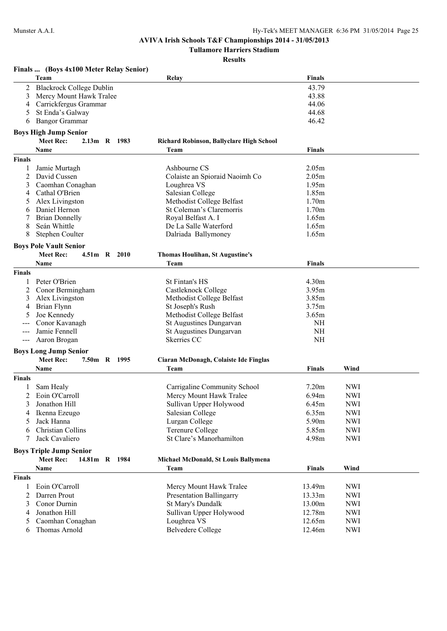**Tullamore Harriers Stadium**

|               | Finals  (Boys 4x100 Meter Relay Senior) |                                          |                   |            |
|---------------|-----------------------------------------|------------------------------------------|-------------------|------------|
|               | Team                                    | Relay                                    | <b>Finals</b>     |            |
| 2             | <b>Blackrock College Dublin</b>         |                                          | 43.79             |            |
| 3             | Mercy Mount Hawk Tralee                 |                                          | 43.88             |            |
| 4             | Carrickfergus Grammar                   |                                          | 44.06             |            |
| 5             | St Enda's Galway                        |                                          | 44.68             |            |
| 6             | <b>Bangor Grammar</b>                   |                                          | 46.42             |            |
|               | <b>Boys High Jump Senior</b>            |                                          |                   |            |
|               | <b>Meet Rec:</b><br>2.13m R 1983        | Richard Robinson, Ballyclare High School |                   |            |
|               | <b>Name</b>                             | Team                                     | <b>Finals</b>     |            |
| <b>Finals</b> |                                         |                                          |                   |            |
|               | Jamie Murtagh                           | Ashbourne CS                             | 2.05m             |            |
| 2             | David Cussen                            | Colaiste an Spioraid Naoimh Co           | 2.05m             |            |
| 3             | Caomhan Conaghan                        | Loughrea VS                              | 1.95m             |            |
| 4             | Cathal O'Brien                          | Salesian College                         | 1.85m             |            |
| 5             | Alex Livingston                         | Methodist College Belfast                | 1.70m             |            |
| 6             | Daniel Hernon                           | St Coleman's Claremorris                 | 1.70m             |            |
| 7             | <b>Brian Donnelly</b>                   | Royal Belfast A. I                       | 1.65m             |            |
| 8             | Seán Whittle                            | De La Salle Waterford                    | 1.65m             |            |
| 8             | Stephen Coulter                         | Dalriada Ballymoney                      | 1.65m             |            |
|               | <b>Boys Pole Vault Senior</b>           |                                          |                   |            |
|               | <b>Meet Rec:</b><br>4.51m R 2010        | <b>Thomas Houlihan, St Augustine's</b>   |                   |            |
|               | Name                                    | Team                                     | Finals            |            |
| <b>Finals</b> |                                         |                                          |                   |            |
| 1             | Peter O'Brien                           | St Fintan's HS                           | 4.30m             |            |
| 2             | Conor Bermingham                        | Castleknock College                      | 3.95m             |            |
| 3             | Alex Livingston                         | Methodist College Belfast                | 3.85m             |            |
| 4             | Brian Flynn                             | St Joseph's Rush                         | 3.75m             |            |
| 5             | Joe Kennedy                             | Methodist College Belfast                | 3.65m             |            |
|               | Conor Kavanagh                          | St Augustines Dungarvan                  | <b>NH</b>         |            |
| $---$         | Jamie Fennell                           | St Augustines Dungarvan                  | <b>NH</b>         |            |
| $---$         | Aaron Brogan                            | Skerries CC                              | <b>NH</b>         |            |
|               | <b>Boys Long Jump Senior</b>            |                                          |                   |            |
|               | <b>Meet Rec:</b><br>7.50m R 1995        | Ciaran McDonagh, Colaiste Ide Finglas    |                   |            |
|               | Name                                    | Team                                     | <b>Finals</b>     | Wind       |
| <b>Finals</b> |                                         |                                          |                   |            |
|               | Sam Healy                               | Carrigaline Community School             | 7.20 <sub>m</sub> | <b>NWI</b> |
| 2             | Eoin O'Carroll                          | Mercy Mount Hawk Tralee                  | 6.94m             | <b>NWI</b> |
| 3             | Jonathon Hill                           | Sullivan Upper Holywood                  | 6.45m             | <b>NWI</b> |
| 4             | Ikenna Ezeugo                           | Salesian College                         | 6.35m             | <b>NWI</b> |
| 5             | Jack Hanna                              | Lurgan College                           | 5.90m             | <b>NWI</b> |
| 6             | Christian Collins                       | <b>Terenure College</b>                  | 5.85m             | <b>NWI</b> |
| 7             | Jack Cavaliero                          | St Clare's Manorhamilton                 | 4.98m             | <b>NWI</b> |
|               | <b>Boys Triple Jump Senior</b>          |                                          |                   |            |
|               | <b>Meet Rec:</b><br>14.81m R 1984       | Michael McDonald, St Louis Ballymena     |                   |            |
|               | Name                                    | Team                                     | <b>Finals</b>     | Wind       |
| <b>Finals</b> |                                         |                                          |                   |            |
| 1             | Eoin O'Carroll                          | Mercy Mount Hawk Tralee                  | 13.49m            | <b>NWI</b> |
| 2             | Darren Prout                            | <b>Presentation Ballingarry</b>          | 13.33m            | <b>NWI</b> |
| 3             | Conor Durnin                            | St Mary's Dundalk                        | 13.00m            | <b>NWI</b> |
| 4             | Jonathon Hill                           | Sullivan Upper Holywood                  | 12.78m            | <b>NWI</b> |
| 5             | Caomhan Conaghan                        | Loughrea VS                              | 12.65m            | <b>NWI</b> |
| 6             | Thomas Arnold                           | <b>Belvedere College</b>                 | 12.46m            | <b>NWI</b> |
|               |                                         |                                          |                   |            |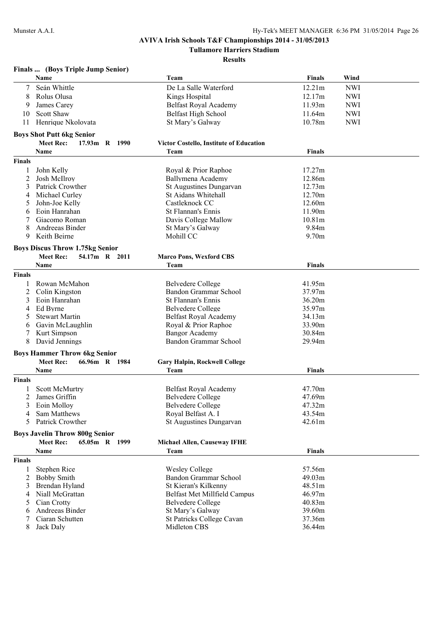**Tullamore Harriers Stadium**

|        | Finals  (Boys Triple Jump Senior)      |                                                |               |            |
|--------|----------------------------------------|------------------------------------------------|---------------|------------|
|        | Name                                   | Team                                           | <b>Finals</b> | Wind       |
| 7      | Seán Whittle                           | De La Salle Waterford                          | 12.21m        | <b>NWI</b> |
| 8      | Rolus Olusa                            | Kings Hospital                                 | 12.17m        | <b>NWI</b> |
| 9      | James Carey                            | <b>Belfast Royal Academy</b>                   | 11.93m        | <b>NWI</b> |
| 10     | <b>Scott Shaw</b>                      | <b>Belfast High School</b>                     | 11.64m        | <b>NWI</b> |
| 11     | Henrique Nkolovata                     | St Mary's Galway                               | 10.78m        | <b>NWI</b> |
|        |                                        |                                                |               |            |
|        | <b>Boys Shot Putt 6kg Senior</b>       |                                                |               |            |
|        | <b>Meet Rec:</b><br>17.93m R 1990      | <b>Victor Costello, Institute of Education</b> |               |            |
|        | <b>Name</b>                            | Team                                           | <b>Finals</b> |            |
| Finals |                                        |                                                |               |            |
| 1      | John Kelly                             | Royal & Prior Raphoe                           | 17.27m        |            |
| 2      | <b>Josh McIlroy</b>                    | Ballymena Academy                              | 12.86m        |            |
| 3      | Patrick Crowther                       | St Augustines Dungarvan                        | 12.73m        |            |
| 4      | Michael Curley                         | St Aidans Whitehall                            | 12.70m        |            |
| 5      | John-Joe Kelly                         | Castleknock CC                                 | 12.60m        |            |
| 6      | Eoin Hanrahan                          | St Flannan's Ennis                             | 11.90m        |            |
| 7      | Giacomo Roman                          | Davis College Mallow                           | 10.81m        |            |
| 8      | Andreeas Binder                        | St Mary's Galway                               | 9.84m         |            |
| 9      | Keith Beirne                           | Mohill CC                                      | 9.70m         |            |
|        |                                        |                                                |               |            |
|        | <b>Boys Discus Throw 1.75kg Senior</b> |                                                |               |            |
|        | <b>Meet Rec:</b><br>54.17m R 2011      | <b>Marco Pons, Wexford CBS</b>                 |               |            |
|        | <b>Name</b>                            | Team                                           | Finals        |            |
| Finals |                                        |                                                |               |            |
| 1      | Rowan McMahon                          | <b>Belvedere College</b>                       | 41.95m        |            |
| 2      | Colin Kingston                         | Bandon Grammar School                          | 37.97m        |            |
| 3      | Eoin Hanrahan                          | St Flannan's Ennis                             | 36.20m        |            |
| 4      | Ed Byrne                               | <b>Belvedere College</b>                       | 35.97m        |            |
| 5      | <b>Stewart Martin</b>                  | Belfast Royal Academy                          | 34.13m        |            |
| 6      | Gavin McLaughlin                       | Royal & Prior Raphoe                           | 33.90m        |            |
| 7      | Kurt Simpson                           | <b>Bangor Academy</b>                          | 30.84m        |            |
| 8      | David Jennings                         | Bandon Grammar School                          | 29.94m        |            |
|        | <b>Boys Hammer Throw 6kg Senior</b>    |                                                |               |            |
|        | <b>Meet Rec:</b><br>66.96m R 1984      | <b>Gary Halpin, Rockwell College</b>           |               |            |
|        | Name                                   | Team                                           | <b>Finals</b> |            |
| Finals |                                        |                                                |               |            |
|        | <b>Scott McMurtry</b>                  | Belfast Royal Academy                          | 47.70m        |            |
| 2      | James Griffin                          | Belvedere College                              | 47.69m        |            |
| 3      | Eoin Molloy                            | <b>Belvedere College</b>                       | 47.32m        |            |
| 4      | Sam Matthews                           | Royal Belfast A. I                             | 43.54m        |            |
| 5.     | Patrick Crowther                       | St Augustines Dungarvan                        | 42.61m        |            |
|        |                                        |                                                |               |            |
|        | <b>Boys Javelin Throw 800g Senior</b>  |                                                |               |            |
|        | <b>Meet Rec:</b><br>65.05m R 1999      | Michael Allen, Causeway IFHE                   |               |            |
|        | Name                                   | Team                                           | <b>Finals</b> |            |
| Finals |                                        |                                                |               |            |
| 1      | Stephen Rice                           | <b>Wesley College</b>                          | 57.56m        |            |
| 2      | <b>Bobby Smith</b>                     | Bandon Grammar School                          | 49.03m        |            |
| 3      | Brendan Hyland                         | St Kieran's Kilkenny                           | 48.51m        |            |
| 4      | Niall McGrattan                        | Belfast Met Millfield Campus                   | 46.97m        |            |
| 5      | Cian Crotty                            | Belvedere College                              | 40.83m        |            |
| 6      | Andreeas Binder                        | St Mary's Galway                               | 39.60m        |            |
| 7      | Ciaran Schutten                        | St Patricks College Cavan                      | 37.36m        |            |
| 8      | Jack Daly                              | Midleton CBS                                   | 36.44m        |            |
|        |                                        |                                                |               |            |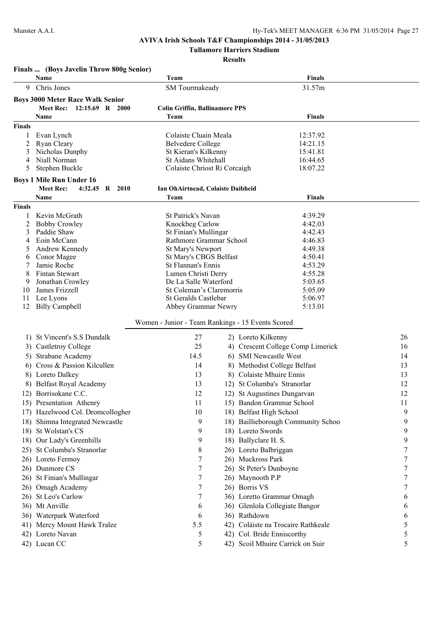**Tullamore Harriers Stadium**

|               | Finals  (Boys Javelin Throw 800g Senior)                                          |                                                   |                                    |    |
|---------------|-----------------------------------------------------------------------------------|---------------------------------------------------|------------------------------------|----|
|               | Name                                                                              | Team                                              | <b>Finals</b>                      |    |
| 9             | Chris Jones                                                                       | SM Tourmakeady                                    | 31.57m                             |    |
|               | <b>Boys 3000 Meter Race Walk Senior</b>                                           |                                                   |                                    |    |
|               | Meet Rec:<br>12:15.69 R 2000                                                      | <b>Colin Griffin, Ballinamore PPS</b>             |                                    |    |
|               | <b>Name</b>                                                                       | Team                                              | <b>Finals</b>                      |    |
| <b>Finals</b> |                                                                                   |                                                   |                                    |    |
|               | Evan Lynch                                                                        | Colaiste Cluain Meala                             | 12:37.92                           |    |
| 2             | <b>Ryan Cleary</b>                                                                | <b>Belvedere College</b>                          | 14:21.15                           |    |
| 3<br>4        | Nicholas Dunphy<br>Niall Norman                                                   | St Kieran's Kilkenny<br>St Aidans Whitehall       | 15:41.81<br>16:44.65               |    |
| 5             | Stephen Buckle                                                                    | Colaiste Chriost Ri Corcaigh                      | 18:07.22                           |    |
|               |                                                                                   |                                                   |                                    |    |
|               | <b>Boys 1 Mile Run Under 16</b><br><b>Meet Rec:</b><br>$4:32.45$ R<br><b>2010</b> |                                                   |                                    |    |
|               | Name                                                                              | Ian OhAirtnead, Colaiste Daibheid<br>Team         | <b>Finals</b>                      |    |
| <b>Finals</b> |                                                                                   |                                                   |                                    |    |
|               | Kevin McGrath                                                                     | St Patrick's Navan                                | 4:39.29                            |    |
| 2             | <b>Bobby Crowley</b>                                                              | Knockbeg Carlow                                   | 4:42.03                            |    |
| 3             | Paddie Shaw                                                                       | St Finian's Mullingar                             | 4:42.43                            |    |
| 4             | Eoin McCann                                                                       | Rathmore Grammar School                           | 4:46.83                            |    |
| 5             | Andrew Kennedy                                                                    | St Mary's Newport                                 | 4:49.38                            |    |
| 6             | Conor Magee                                                                       | St Mary's CBGS Belfast                            | 4:50.41                            |    |
| 7             | Jamie Roche                                                                       | St Flannan's Ennis                                | 4:53.29                            |    |
| 8<br>9        | Fintan Stewart<br>Jonathan Crowley                                                | Lumen Christi Derry<br>De La Salle Waterford      | 4:55.28<br>5:03.65                 |    |
| 10            | James Frizzell                                                                    | St Coleman's Claremorris                          | 5:05.09                            |    |
| 11            | Lee Lyons                                                                         | St Geralds Castlebar                              | 5:06.97                            |    |
| 12            | <b>Billy Campbell</b>                                                             | Abbey Grammar Newry                               | 5:13.01                            |    |
|               |                                                                                   |                                                   |                                    |    |
|               |                                                                                   | Women - Junior - Team Rankings - 15 Events Scored |                                    |    |
|               | 1) St Vincent's S.S Dundalk                                                       | 27                                                | 2) Loreto Kilkenny                 | 26 |
|               | 3) Castletroy College                                                             | 25                                                | 4) Crescent College Comp Limerick  | 16 |
|               | 5) Strabane Academy                                                               | 14.5                                              | 6) SMI Newcastle West              | 14 |
|               | 6) Cross & Passion Kilcullen                                                      | 14                                                | 8) Methodist College Belfast       | 13 |
|               | 8) Loreto Dalkey                                                                  | 13                                                | 8) Colaiste Mhuire Ennis           | 13 |
|               | 8) Belfast Royal Academy                                                          | 13                                                | 12) St Columba's Stranorlar        | 12 |
|               | 12) Borrisokane C.C.                                                              | 12                                                | 12) St Augustines Dungarvan        | 12 |
|               | 15) Presentation Athenry                                                          | 11                                                | 15) Bandon Grammar School          | 11 |
|               | 17) Hazelwood Col. Dromcollogher                                                  | 10                                                | 18) Belfast High School            | 9  |
|               | 18) Shimna Integrated Newcastle                                                   | 9                                                 | 18) Baillieborough Community Schoo | 9  |
|               | 18) St Wolstan's CS                                                               | 9                                                 | 18) Loreto Swords                  | 9  |
|               | 18) Our Lady's Greenhills                                                         | 9                                                 | 18) Ballyclare H. S.               | 9  |
|               | 25) St Columba's Stranorlar                                                       | 8                                                 | 26) Loreto Balbriggan              | 7  |
|               | 26) Loreto Fermoy                                                                 | 7                                                 | 26) Muckross Park                  | 7  |
|               | 26) Dunmore CS                                                                    | 7                                                 | 26) St Peter's Dunboyne            | 7  |
|               | 26) St Finian's Mullingar                                                         | 7                                                 | 26) Maynooth P.P                   |    |
|               | 26) Omagh Academy                                                                 | 7                                                 | 26) Borris VS                      | 7  |
|               | 26) St Leo's Carlow                                                               | 7                                                 | 36) Loretto Grammar Omagh          | 6  |
|               | 36) Mt Anville                                                                    | 6                                                 | 36) Glenlola Collegiate Bangor     | 6  |
|               | 36) Waterpark Waterford                                                           | 6                                                 | 36) Rathdown                       | 6  |
|               | 41) Mercy Mount Hawk Tralee                                                       | 5.5                                               | 42) Coláiste na Trocaire Rathkeale | 5  |
|               | 42) Loreto Navan                                                                  | 5                                                 | 42) Col. Bride Enniscorthy         | 5  |
|               | 42) Lucan CC                                                                      | 5                                                 | 42) Scoil Mhuire Carrick on Suir   | 5  |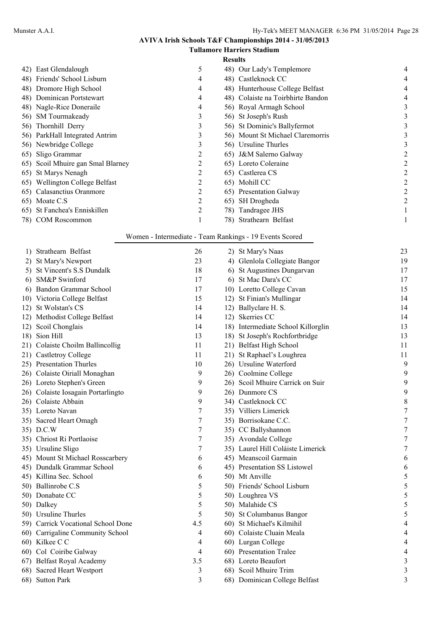|                | <b>Tullamore Harriers Stadium</b> |   |                                   |   |  |
|----------------|-----------------------------------|---|-----------------------------------|---|--|
| <b>Results</b> |                                   |   |                                   |   |  |
|                | 42) East Glendalough              | 5 | 48) Our Lady's Templemore         | 4 |  |
|                | 48) Friends' School Lisburn       | 4 | 48) Castleknock CC                | 4 |  |
|                | 48) Dromore High School           | 4 | 48) Hunterhouse College Belfast   | 4 |  |
|                | 48) Dominican Portstewart         | 4 | 48) Colaiste na Toirbhirte Bandon | 4 |  |
|                | 48) Nagle-Rice Doneraile          | 4 | 56) Royal Armagh School           | 3 |  |
|                | 56) SM Tourmakeady                | 3 | 56) St Joseph's Rush              |   |  |
|                | 56) Thornhill Derry               | 3 | 56) St Dominic's Ballyfermot      |   |  |
|                | 56) ParkHall Integrated Antrim    | 3 | 56) Mount St Michael Claremorris  |   |  |
|                | 56) Newbridge College             | 3 | 56) Ursuline Thurles              |   |  |
|                | 65) Sligo Grammar                 | 2 | 65) J&M Salerno Galway            |   |  |
|                | 65) Scoil Mhuire gan Smal Blarney | 2 | 65) Loreto Coleraine              |   |  |
|                | 65) St Marys Nenagh               |   | 65) Castlerea CS                  |   |  |
|                | 65) Wellington College Belfast    | 2 | 65) Mohill CC                     | 2 |  |
|                | 65) Calasanctius Oranmore         |   | 65) Presentation Galway           | 2 |  |
|                | 65) Moate C.S                     |   | 65) SH Drogheda                   |   |  |
|                | 65) St Fanchea's Enniskillen      | 2 | 78) Tandragee JHS                 |   |  |
|                | 78) COM Roscommon                 |   | 78) Strathearn Belfast            |   |  |

### Women - Intermediate - Team Rankings - 19 Events Scored

| 1)   | Strathearn Belfast                 | 26  | 2) St Mary's Naas                  | 23         |
|------|------------------------------------|-----|------------------------------------|------------|
| 2)   | St Mary's Newport                  | 23  | 4) Glenlola Collegiate Bangor      | 19         |
| 5)   | <b>St Vincent's S.S Dundalk</b>    | 18  | 6) St Augustines Dungarvan         | 17         |
| 6)   | SM&P Swinford                      | 17  | 6) St Mac Dara's CC                | 17         |
| 6)   | Bandon Grammar School              | 17  | 10) Loretto College Cavan          | 15         |
|      | 10) Victoria College Belfast       | 15  | 12) St Finian's Mullingar          | 14         |
| 12)  | St Wolstan's CS                    | 14  | 12) Ballyclare H. S.               | 14         |
|      | 12) Methodist College Belfast      | 14  | 12) Skerries CC                    | 14         |
|      | 12) Scoil Chonglais                | 14  | 18) Intermediate School Killorglin | 13         |
| 18)  | Sion Hill                          | 13  | 18) St Joseph's Rochfortbridge     | 13         |
|      | 21) Colaiste Choilm Ballincollig   | 11  | 21) Belfast High School            | 11         |
|      | 21) Castletroy College             | 11  | 21) St Raphael's Loughrea          | 11         |
|      | 25) Presentation Thurles           | 10  | 26) Ursuline Waterford             | 9          |
|      | 26) Colaiste Oiriall Monaghan      | 9   | 26) Coolmine College               | 9          |
|      | 26) Loreto Stephen's Green         | 9   | 26) Scoil Mhuire Carrick on Suir   | 9          |
|      | 26) Colaiste Iosagain Portarlingto | 9   | 26) Dunmore CS                     | 9          |
|      | 26) Colaiste Abbain                | 9   | 34) Castleknock CC                 | 8          |
|      | 35) Loreto Navan                   | 7   | 35) Villiers Limerick              | $\sqrt{ }$ |
|      | 35) Sacred Heart Omagh             | 7   | 35) Borrisokane C.C.               | $\sqrt{ }$ |
|      | 35) D.C.W                          | 7   | 35) CC Ballyshannon                | $\sqrt{ }$ |
|      | 35) Chriost Ri Portlaoise          | 7   | 35) Avondale College               | $\sqrt{ }$ |
|      | 35) Ursuline Sligo                 | 7   | 35) Laurel Hill Coláiste Limerick  | $\sqrt{ }$ |
|      | 45) Mount St Michael Rosscarbery   | 6   | 45) Meanscoil Garmain              | 6          |
|      | 45) Dundalk Grammar School         | 6   | 45) Presentation SS Listowel       | 6          |
|      | 45) Killina Sec. School            | 6   | 50) Mt Anville                     | 5          |
|      | 50) Ballinrobe C.S                 | 5   | 50) Friends' School Lisburn        | 5          |
|      | 50) Donabate CC                    | 5   | 50) Loughrea VS                    | 5          |
|      | 50) Dalkey                         | 5   | 50) Malahide CS                    | 5          |
|      | 50) Ursuline Thurles               | 5   | 50) St Columbanus Bangor           | 5          |
| 59). | Carrick Vocational School Done     | 4.5 | 60) St Michael's Kilmihil          | 4          |
| 60)  | Carrigaline Community School       | 4   | 60) Colaiste Cluain Meala          | 4          |
|      | 60) Kilkee C C                     | 4   | 60) Lurgan College                 | 4          |
|      | 60) Col Coiribe Galway             | 4   | 60) Presentation Tralee            | 4          |
|      | 67) Belfast Royal Academy          | 3.5 | 68) Loreto Beaufort                | 3          |
|      | 68) Sacred Heart Westport          | 3   | 68) Scoil Mhuire Trim              | 3          |
|      | 68) Sutton Park                    | 3   | 68) Dominican College Belfast      | 3          |
|      |                                    |     |                                    |            |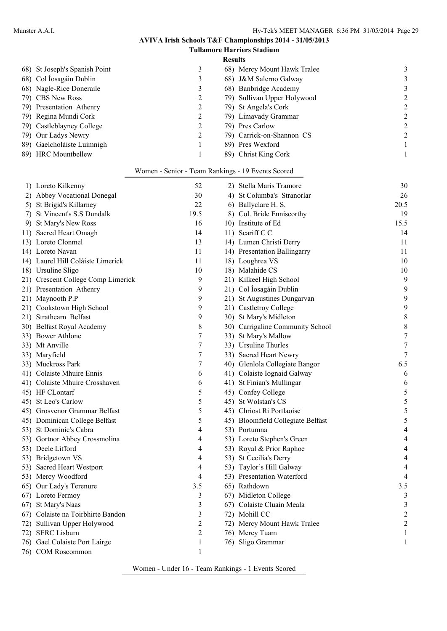### **Tullamore Harriers Stadium Results** 68) St Joseph's Spanish Point 3 68) Mercy Mount Hawk Tralee 3 68) Col Íosagáin Dublin 3 68) J&M Salerno Galway 3 68) Nagle-Rice Doneraile 3 68) Banbridge Academy 3 79) CBS New Ross 2 79) Sullivan Upper Holywood 2 79) Presentation Athenry 2 79) St Angela's Cork 2 79) Regina Mundi Cork 2 79) Limavady Grammar 2<br>
79) Castleblayney College 2 79) Pres Carlow 2 79) Castleblayney College 2 79) Pres Carlow 2 79) Our Ladys Newry 2 79) Carrick-on-Shannon CS 2 89) Gaelcholáiste Luimnigh 189) Pres Wexford 1 89) HRC Mountbellew 1 89) Christ King Cork 1

#### Women - Senior - Team Rankings - 19 Events Scored

| 1) Loreto Kilkenny                 | 52             | 2) Stella Maris Tramore           | 30                       |
|------------------------------------|----------------|-----------------------------------|--------------------------|
| 2) Abbey Vocational Donegal        | 30             | 4) St Columba's Stranorlar        | 26                       |
| 5) St Brigid's Killarney           | 22             | 6) Ballyclare H. S.               | 20.5                     |
| 7) St Vincent's S.S Dundalk        | 19.5           | 8) Col. Bride Enniscorthy         | 19                       |
| 9) St Mary's New Ross              | 16             | 10) Institute of Ed               | 15.5                     |
| 11) Sacred Heart Omagh             | 14             | 11) Scariff C C                   | 14                       |
| 13) Loreto Clonmel                 | 13             | 14) Lumen Christi Derry           | 11                       |
| 14) Loreto Navan                   | 11             | 14) Presentation Ballingarry      | 11                       |
| 14) Laurel Hill Coláiste Limerick  | 11             | 18) Loughrea VS                   | 10                       |
| 18) Ursuline Sligo                 | 10             | 18) Malahide CS                   | 10                       |
| 21) Crescent College Comp Limerick | 9              | 21) Kilkeel High School           | 9                        |
| 21) Presentation Athenry           | 9              | 21) Col Íosagáin Dublin           | 9                        |
| 21) Maynooth P.P                   | 9              | 21) St Augustines Dungarvan       | 9                        |
| 21) Cookstown High School          | 9              | 21) Castletroy College            | 9                        |
| 21) Strathearn Belfast             | 9              | 30) St Mary's Midleton            | 8                        |
| 30) Belfast Royal Academy          | 8              | 30) Carrigaline Community School  | $\,$ 8 $\,$              |
| 33) Bower Athlone                  | 7              | 33) St Mary's Mallow              | $\overline{7}$           |
| 33) Mt Anville                     | 7              | 33) Ursuline Thurles              | $\boldsymbol{7}$         |
| 33) Maryfield                      | 7              | 33) Sacred Heart Newry            | $\overline{7}$           |
| 33) Muckross Park                  | 7              | 40) Glenlola Collegiate Bangor    | 6.5                      |
| 41) Colaiste Mhuire Ennis          | 6              | 41) Colaiste Iognaid Galway       | 6                        |
| 41) Colaiste Mhuire Crosshaven     | 6              | 41) St Finian's Mullingar         | 6                        |
| 45) HF CLontarf                    | 5              | 45) Confey College                | 5                        |
| 45) St Leo's Carlow                | 5              | 45) St Wolstan's CS               | 5                        |
| 45) Grosvenor Grammar Belfast      | 5              | 45) Chriost Ri Portlaoise         | 5                        |
| 45) Dominican College Belfast      | 5              | 45) Bloomfield Collegiate Belfast | 5                        |
| 53) St Dominic's Cabra             | 4              | 53) Portumna                      | $\overline{\mathcal{L}}$ |
| 53) Gortnor Abbey Crossmolina      | 4              | 53) Loreto Stephen's Green        | $\overline{\mathcal{L}}$ |
| 53) Deele Lifford                  | 4              | 53) Royal & Prior Raphoe          | 4                        |
| 53) Bridgetown VS                  | 4              | 53) St Cecilia's Derry            | 4                        |
| 53) Sacred Heart Westport          | 4              | 53) Taylor's Hill Galway          | 4                        |
| 53) Mercy Woodford                 | 4              | 53) Presentation Waterford        | $\overline{4}$           |
| 65) Our Lady's Terenure            | 3.5            | 65) Rathdown                      | 3.5                      |
| 67) Loreto Fermoy                  | 3              | 67) Midleton College              | 3                        |
| 67) St Mary's Naas                 | 3              | 67) Colaiste Cluain Meala         | 3                        |
| 67) Colaiste na Toirbhirte Bandon  | 3              | 72) Mohill CC                     | $\overline{c}$           |
| 72) Sullivan Upper Holywood        | 2              | 72) Mercy Mount Hawk Tralee       | $\overline{c}$           |
| 72) SERC Lisburn                   | $\overline{2}$ | 76) Mercy Tuam                    | $\mathbf{1}$             |
| 76) Gael Colaiste Port Lairge      | $\mathbf{1}$   | 76) Sligo Grammar                 | 1                        |
| 76) COM Roscommon                  | $\mathbf{1}$   |                                   |                          |

Women - Under 16 - Team Rankings - 1 Events Scored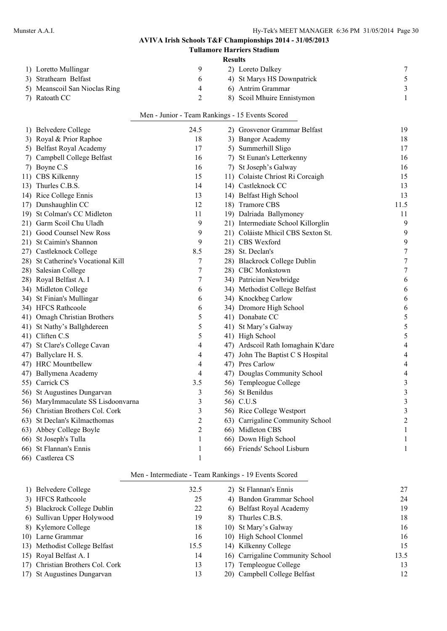|     |                                    |                                                 |                | <b>Tullamore Harriers Stadium</b>  |                         |
|-----|------------------------------------|-------------------------------------------------|----------------|------------------------------------|-------------------------|
|     |                                    |                                                 | <b>Results</b> |                                    |                         |
|     | 1) Loretto Mullingar               | 9                                               |                | 2) Loreto Dalkey                   | 7                       |
|     | 3) Strathearn Belfast              | 6                                               |                | 4) St Marys HS Downpatrick         | 5                       |
|     | 5) Meanscoil San Nioclas Ring      | 4                                               |                | 6) Antrim Grammar                  | $\overline{\mathbf{3}}$ |
|     | 7) Ratoath CC                      | 2                                               |                | 8) Scoil Mhuire Ennistymon         | 1                       |
|     |                                    | Men - Junior - Team Rankings - 15 Events Scored |                |                                    |                         |
|     | 1) Belvedere College               | 24.5                                            |                | 2) Grosvenor Grammar Belfast       | 19                      |
|     | 3) Royal & Prior Raphoe            | 18                                              |                | 3) Bangor Academy                  | 18                      |
|     | 5) Belfast Royal Academy           | 17                                              |                | 5) Summerhill Sligo                | 17                      |
| 7). | Campbell College Belfast           | 16                                              |                | 7) St Eunan's Letterkenny          | 16                      |
| 7). | Boyne C.S                          | 16                                              |                | 7) St Joseph's Galway              | 16                      |
| 11) | CBS Kilkenny                       | 15                                              |                | 11) Colaiste Chriost Ri Corcaigh   | 15                      |
|     | 13) Thurles C.B.S.                 | 14                                              |                | 14) Castleknock CC                 | 13                      |
|     | 14) Rice College Ennis             | 13                                              |                | 14) Belfast High School            | 13                      |
| 17) | Dunshaughlin CC                    | 12                                              |                | 18) Tramore CBS                    | 11.5                    |
| 19) | St Colman's CC Midleton            | 11                                              |                | 19) Dalriada Ballymoney            | 11                      |
| 21) | Garm Scoil Chu Uladh               | 9                                               |                | 21) Intermediate School Killorglin | 9                       |
| 21) | Good Counsel New Ross              | 9                                               |                | 21) Coláiste Mhicil CBS Sexton St. | 9                       |
|     | 21) St Caimin's Shannon            | 9                                               |                | 21) CBS Wexford                    | 9                       |
| 27) | Castleknock College                | 8.5                                             |                | 28) St. Declan's                   | $\overline{7}$          |
|     | 28) St Catherine's Vocational Kill | 7                                               |                | 28) Blackrock College Dublin       | $\boldsymbol{7}$        |
|     | 28) Salesian College               | 7                                               |                | 28) CBC Monkstown                  | $\boldsymbol{7}$        |
|     | 28) Royal Belfast A. I             | 7                                               |                | 34) Patrician Newbridge            | 6                       |
|     | 34) Midleton College               | 6                                               |                | 34) Methodist College Belfast      | 6                       |
|     | 34) St Finian's Mullingar          | 6                                               |                | 34) Knockbeg Carlow                | 6                       |
|     | 34) HFCS Rathcoole                 | 6                                               |                | 34) Dromore High School            | 6                       |
|     | 41) Omagh Christian Brothers       | 5                                               |                | 41) Donabate CC                    | 5                       |
| 41) | St Nathy's Ballghdereen            | 5                                               |                | 41) St Mary's Galway               | 5                       |
|     | 41) Cliften C.S                    | 5                                               |                | 41) High School                    | 5                       |
|     | 47) St Clare's College Cavan       | 4                                               |                | 47) Ardscoil Rath Iomaghain K'dare | 4                       |
|     | 47) Ballyclare H. S.               | 4                                               |                | 47) John The Baptist C S Hospital  | 4                       |
|     | 47) HRC Mountbellew                | 4                                               |                | 47) Pres Carlow                    | 4                       |
|     | 47) Ballymena Academy              | 4                                               |                | 47) Douglas Community School       | 4                       |
|     | 55) Carrick CS                     | 3.5                                             |                | 56) Templeogue College             | 3                       |
|     | 56) St Augustines Dungarvan        | 3                                               |                | 56) St Benildus                    | 3                       |
|     | 56) MaryImmaculate SS Lisdoonvarna | 3                                               |                | 56) C.U.S                          | 3                       |
|     | 56) Christian Brothers Col. Cork   | 3                                               |                | 56) Rice College Westport          | 3                       |
|     | 63) St Declan's Kilmacthomas       | 2                                               |                | 63) Carrigaline Community School   | 2                       |
|     | 63) Abbey College Boyle            | 2                                               |                | 66) Midleton CBS                   |                         |
|     | 66) St Joseph's Tulla              | 1                                               |                | 66) Down High School               |                         |
|     | 66) St Flannan's Ennis             | 1                                               |                | 66) Friends' School Lisburn        | 1                       |
|     | 66) Castlerea CS                   | 1                                               |                |                                    |                         |

### Men - Intermediate - Team Rankings - 19 Events Scored

| 1) Belvedere College             | 32.5 | 2) St Flannan's Ennis            | 27   |
|----------------------------------|------|----------------------------------|------|
| 3) HFCS Rathcoole                | 25   | 4) Bandon Grammar School         | 24   |
| 5) Blackrock College Dublin      | 22   | 6) Belfast Royal Academy         | 19   |
| 6) Sullivan Upper Holywood       | 19   | 8) Thurles C.B.S.                | 18   |
| 8) Kylemore College              | 18   | 10) St Mary's Galway             | 16   |
| 10) Larne Grammar                | 16   | 10) High School Clonmel          | 16   |
| 13) Methodist College Belfast    | 15.5 | 14) Kilkenny College             | 15   |
| 15) Royal Belfast A. I           | 14   | 16) Carrigaline Community School | 13.5 |
| 17) Christian Brothers Col. Cork | 13   | 17) Templeogue College           | 13   |
| 17) St Augustines Dungarvan      | 13   | 20) Campbell College Belfast     | 12   |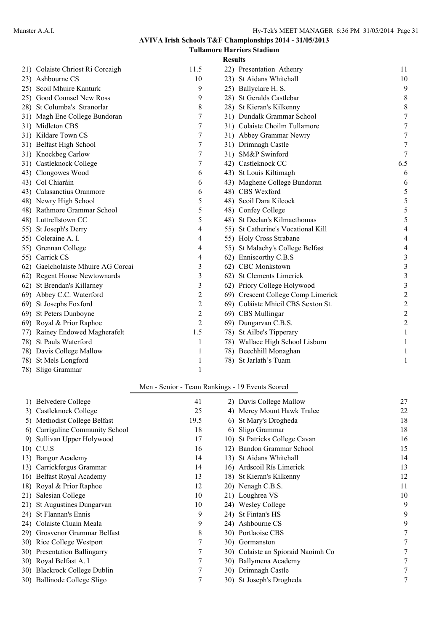### **AVIVA Irish Schools T&F Championships 2014 - 31/05/2013 Tullamore Harriers Stadium**

|                 |                                    |                | <b>Results</b> |                                    |                |
|-----------------|------------------------------------|----------------|----------------|------------------------------------|----------------|
|                 | 21) Colaiste Chriost Ri Corcaigh   | 11.5           |                | 22) Presentation Athenry           | 11             |
|                 | 23) Ashbourne CS                   | 10             |                | 23) St Aidans Whitehall            | 10             |
| 25)             | Scoil Mhuire Kanturk               | 9              |                | 25) Ballyclare H. S.               | 9              |
| 25)             | Good Counsel New Ross              | 9              |                | 28) St Geralds Castlebar           | $\,8\,$        |
|                 | 28) St Columba's Stranorlar        | 8              |                | 28) St Kieran's Kilkenny           | $\,$ $\,$      |
|                 | 31) Magh Ene College Bundoran      | 7              |                | 31) Dundalk Grammar School         | $\overline{7}$ |
|                 | 31) Midleton CBS                   | 7              |                | 31) Colaiste Choilm Tullamore      | $\overline{7}$ |
|                 | 31) Kildare Town CS                | 7              |                | 31) Abbey Grammar Newry            | 7              |
|                 | 31) Belfast High School            | 7              |                | 31) Drimnagh Castle                | $\tau$         |
|                 | 31) Knockbeg Carlow                | 7              |                | 31) SM&P Swinford                  | $\tau$         |
|                 | 31) Castleknock College            | 7              |                | 42) Castleknock CC                 | 6.5            |
| 43)             | Clongowes Wood                     | 6              |                | 43) St Louis Kiltimagh             | 6              |
|                 | 43) Col Chiaráin                   | 6              |                | 43) Maghene College Bundoran       | 6              |
| 43)             | Calasanctius Oranmore              | 6              |                | 48) CBS Wexford                    | 5              |
|                 | 48) Newry High School              | 5              |                | 48) Scoil Dara Kilcock             | 5              |
|                 | 48) Rathmore Grammar School        | 5              |                | 48) Confey College                 | 5              |
|                 | 48) Luttrellstown CC               | 5              |                | 48) St Declan's Kilmacthomas       | 5              |
|                 | 55) St Joseph's Derry              | 4              |                | 55) St Catherine's Vocational Kill | 4              |
|                 | 55) Coleraine A. I.                | 4              |                | 55) Holy Cross Strabane            | 4              |
| 55)             | Grennan College                    | 4              |                | 55) St Malachy's College Belfast   | 4              |
|                 | 55) Carrick CS                     | 4              |                | 62) Enniscorthy C.B.S              | 3              |
|                 | 62) Gaelcholaiste Mhuire AG Corcai | 3              |                | 62) CBC Monkstown                  | 3              |
|                 | 62) Regent House Newtownards       | $\mathfrak{Z}$ |                | 62) St Clements Limerick           | $\mathfrak{Z}$ |
| 62)             | St Brendan's Killarney             | $\mathfrak{Z}$ |                | 62) Priory College Holywood        | 3              |
| 69)             | Abbey C.C. Waterford               | $\overline{c}$ |                | 69) Crescent College Comp Limerick | $\overline{c}$ |
| 69).            | St Josephs Foxford                 | $\overline{2}$ |                | 69) Coláiste Mhicil CBS Sexton St. | $\overline{c}$ |
| <sup>69</sup> ) | St Peters Dunboyne                 | $\overline{c}$ |                | 69) CBS Mullingar                  | $\overline{c}$ |
|                 | 69) Royal & Prior Raphoe           | $\overline{2}$ |                | 69) Dungarvan C.B.S.               | $\overline{c}$ |
| 77)             | Rainey Endowed Magherafelt         | 1.5            |                | 78) St Ailbe's Tipperary           | 1              |
| 78)             | St Pauls Waterford                 | 1              |                | 78) Wallace High School Lisburn    |                |
| 78)             | Davis College Mallow               | 1              |                | 78) Beechhill Monaghan             | 1              |
| 78)             | St Mels Longford                   | 1              |                | 78) St Jarlath's Tuam              | 1              |
| 78)             | Sligo Grammar                      | 1              |                |                                    |                |

# Men - Senior - Team Rankings - 19 Events Scored

| 1) | Belvedere College             | 41         | 2) Davis College Mallow            | 27 |
|----|-------------------------------|------------|------------------------------------|----|
|    | 3) Castleknock College        | 25         | 4) Mercy Mount Hawk Tralee         | 22 |
|    | 5) Methodist College Belfast  | 19.5<br>6) | St Mary's Drogheda                 | 18 |
| 6) | Carrigaline Community School  | 18         | 6) Sligo Grammar                   | 18 |
| 9) | Sullivan Upper Holywood       | 17         | 10) St Patricks College Cavan      | 16 |
|    | 10) C.U.S                     | 16         | 12) Bandon Grammar School          | 15 |
|    | 13) Bangor Academy            | 14         | 13) St Aidans Whitehall            | 14 |
|    | 13) Carrickfergus Grammar     | 14         | 16) Ardscoil Rís Limerick          | 13 |
|    | 16) Belfast Royal Academy     | 13         | 18) St Kieran's Kilkenny           | 12 |
|    | 18) Royal & Prior Raphoe      | 12         | 20) Nenagh C.B.S.                  | 11 |
|    | 21) Salesian College          | 10         | 21) Loughrea VS                    | 10 |
|    | 21) St Augustines Dungarvan   | 10         | 24) Wesley College                 | 9  |
|    | 24) St Flannan's Ennis        | 9          | 24) St Fintan's HS                 | 9  |
|    | 24) Colaiste Cluain Meala     | 9          | 24) Ashbourne CS                   | 9  |
|    | 29) Grosvenor Grammar Belfast | 8          | 30) Portlaoise CBS                 |    |
|    | 30) Rice College Westport     | 7          | 30) Gormanston                     |    |
|    | 30) Presentation Ballingarry  | 7          | 30) Colaiste an Spioraid Naoimh Co |    |
|    | 30) Royal Belfast A. I        | 7          | 30) Ballymena Academy              |    |
|    | 30) Blackrock College Dublin  |            | 30) Drimnagh Castle                |    |
|    | 30) Ballinode College Sligo   |            | 30) St Joseph's Drogheda           | 7  |